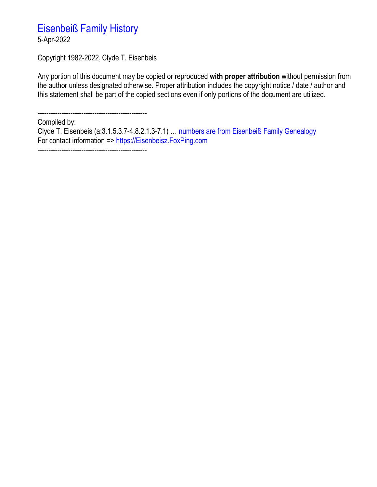# Eisenbeiß Family History

5-Apr-2022

Copyright 1982-2022, Clyde T. Eisenbeis

Any portion of this document may be copied or reproduced **with proper attribution** without permission from the author unless designated otherwise. Proper attribution includes the copyright notice / date / author and this statement shall be part of the copied sections even if only portions of the document are utilized.

--------------------------------------------------

Compiled by:

Clyde T. Eisenbeis (a:3.1.5.3.7-4.8.2.1.3-7.1) … numbers are from Eisenbeiß Family Genealogy For contact information => https://Eisenbeisz.FoxPing.com --------------------------------------------------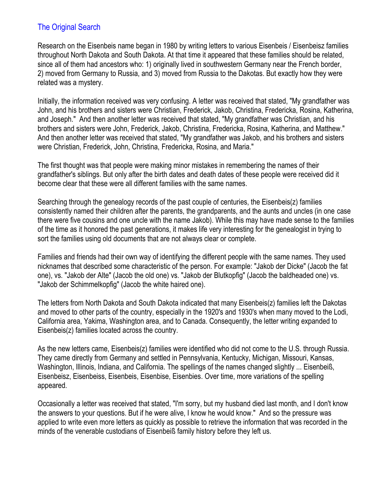### The Original Search

Research on the Eisenbeis name began in 1980 by writing letters to various Eisenbeis / Eisenbeisz families throughout North Dakota and South Dakota. At that time it appeared that these families should be related, since all of them had ancestors who: 1) originally lived in southwestern Germany near the French border, 2) moved from Germany to Russia, and 3) moved from Russia to the Dakotas. But exactly how they were related was a mystery.

Initially, the information received was very confusing. A letter was received that stated, "My grandfather was John, and his brothers and sisters were Christian, Frederick, Jakob, Christina, Fredericka, Rosina, Katherina, and Joseph." And then another letter was received that stated, "My grandfather was Christian, and his brothers and sisters were John, Frederick, Jakob, Christina, Fredericka, Rosina, Katherina, and Matthew." And then another letter was received that stated, "My grandfather was Jakob, and his brothers and sisters were Christian, Frederick, John, Christina, Fredericka, Rosina, and Maria."

The first thought was that people were making minor mistakes in remembering the names of their grandfather's siblings. But only after the birth dates and death dates of these people were received did it become clear that these were all different families with the same names.

Searching through the genealogy records of the past couple of centuries, the Eisenbeis(z) families consistently named their children after the parents, the grandparents, and the aunts and uncles (in one case there were five cousins and one uncle with the name Jakob). While this may have made sense to the families of the time as it honored the past generations, it makes life very interesting for the genealogist in trying to sort the families using old documents that are not always clear or complete.

Families and friends had their own way of identifying the different people with the same names. They used nicknames that described some characteristic of the person. For example: "Jakob der Dicke" (Jacob the fat one), vs. "Jakob der Alte" (Jacob the old one) vs. "Jakob der Blutkopfig" (Jacob the baldheaded one) vs. "Jakob der Schimmelkopfig" (Jacob the white haired one).

The letters from North Dakota and South Dakota indicated that many Eisenbeis(z) families left the Dakotas and moved to other parts of the country, especially in the 1920's and 1930's when many moved to the Lodi, California area, Yakima, Washington area, and to Canada. Consequently, the letter writing expanded to Eisenbeis(z) families located across the country.

As the new letters came, Eisenbeis(z) families were identified who did not come to the U.S. through Russia. They came directly from Germany and settled in Pennsylvania, Kentucky, Michigan, Missouri, Kansas, Washington, Illinois, Indiana, and California. The spellings of the names changed slightly ... Eisenbeiß, Eisenbeisz, Eisenbeiss, Eisenbeis, Eisenbise, Eisenbies. Over time, more variations of the spelling appeared.

Occasionally a letter was received that stated, "I'm sorry, but my husband died last month, and I don't know the answers to your questions. But if he were alive, I know he would know." And so the pressure was applied to write even more letters as quickly as possible to retrieve the information that was recorded in the minds of the venerable custodians of Eisenbeiß family history before they left us.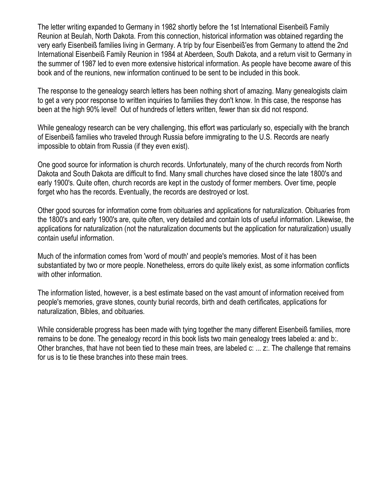The letter writing expanded to Germany in 1982 shortly before the 1st International Eisenbeiß Family Reunion at Beulah, North Dakota. From this connection, historical information was obtained regarding the very early Eisenbeiß families living in Germany. A trip by four Eisenbeiß'es from Germany to attend the 2nd International Eisenbeiß Family Reunion in 1984 at Aberdeen, South Dakota, and a return visit to Germany in the summer of 1987 led to even more extensive historical information. As people have become aware of this book and of the reunions, new information continued to be sent to be included in this book.

The response to the genealogy search letters has been nothing short of amazing. Many genealogists claim to get a very poor response to written inquiries to families they don't know. In this case, the response has been at the high 90% level! Out of hundreds of letters written, fewer than six did not respond.

While genealogy research can be very challenging, this effort was particularly so, especially with the branch of Eisenbeiß families who traveled through Russia before immigrating to the U.S. Records are nearly impossible to obtain from Russia (if they even exist).

One good source for information is church records. Unfortunately, many of the church records from North Dakota and South Dakota are difficult to find. Many small churches have closed since the late 1800's and early 1900's. Quite often, church records are kept in the custody of former members. Over time, people forget who has the records. Eventually, the records are destroyed or lost.

Other good sources for information come from obituaries and applications for naturalization. Obituaries from the 1800's and early 1900's are, quite often, very detailed and contain lots of useful information. Likewise, the applications for naturalization (not the naturalization documents but the application for naturalization) usually contain useful information.

Much of the information comes from 'word of mouth' and people's memories. Most of it has been substantiated by two or more people. Nonetheless, errors do quite likely exist, as some information conflicts with other information.

The information listed, however, is a best estimate based on the vast amount of information received from people's memories, grave stones, county burial records, birth and death certificates, applications for naturalization, Bibles, and obituaries.

While considerable progress has been made with tying together the many different Eisenbeiß families, more remains to be done. The genealogy record in this book lists two main genealogy trees labeled a: and b:. Other branches, that have not been tied to these main trees, are labeled c: ... z:. The challenge that remains for us is to tie these branches into these main trees.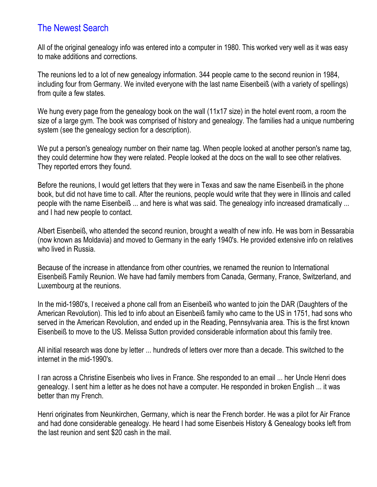## The Newest Search

All of the original genealogy info was entered into a computer in 1980. This worked very well as it was easy to make additions and corrections.

The reunions led to a lot of new genealogy information. 344 people came to the second reunion in 1984, including four from Germany. We invited everyone with the last name Eisenbeiß (with a variety of spellings) from quite a few states.

We hung every page from the genealogy book on the wall (11x17 size) in the hotel event room, a room the size of a large gym. The book was comprised of history and genealogy. The families had a unique numbering system (see the genealogy section for a description).

We put a person's genealogy number on their name tag. When people looked at another person's name tag, they could determine how they were related. People looked at the docs on the wall to see other relatives. They reported errors they found.

Before the reunions, I would get letters that they were in Texas and saw the name Eisenbeiß in the phone book, but did not have time to call. After the reunions, people would write that they were in Illinois and called people with the name Eisenbeiß ... and here is what was said. The genealogy info increased dramatically ... and I had new people to contact.

Albert Eisenbeiß, who attended the second reunion, brought a wealth of new info. He was born in Bessarabia (now known as Moldavia) and moved to Germany in the early 1940's. He provided extensive info on relatives who lived in Russia.

Because of the increase in attendance from other countries, we renamed the reunion to International Eisenbeiß Family Reunion. We have had family members from Canada, Germany, France, Switzerland, and Luxembourg at the reunions.

In the mid-1980's, I received a phone call from an Eisenbeiß who wanted to join the DAR (Daughters of the American Revolution). This led to info about an Eisenbeiß family who came to the US in 1751, had sons who served in the American Revolution, and ended up in the Reading, Pennsylvania area. This is the first known Eisenbeiß to move to the US. Melissa Sutton provided considerable information about this family tree.

All initial research was done by letter ... hundreds of letters over more than a decade. This switched to the internet in the mid-1990's.

I ran across a Christine Eisenbeis who lives in France. She responded to an email ... her Uncle Henri does genealogy. I sent him a letter as he does not have a computer. He responded in broken English ... it was better than my French.

Henri originates from Neunkirchen, Germany, which is near the French border. He was a pilot for Air France and had done considerable genealogy. He heard I had some Eisenbeis History & Genealogy books left from the last reunion and sent \$20 cash in the mail.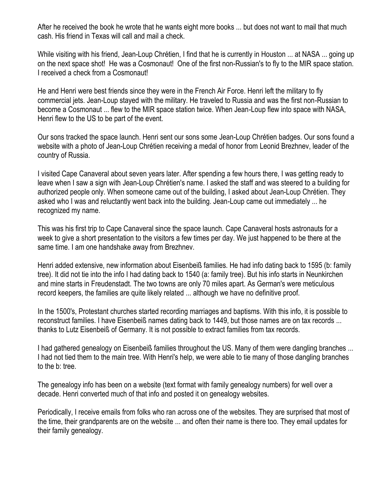After he received the book he wrote that he wants eight more books ... but does not want to mail that much cash. His friend in Texas will call and mail a check.

While visiting with his friend, Jean-Loup Chrétien, I find that he is currently in Houston ... at NASA ... going up on the next space shot! He was a Cosmonaut! One of the first non-Russian's to fly to the MIR space station. I received a check from a Cosmonaut!

He and Henri were best friends since they were in the French Air Force. Henri left the military to fly commercial jets. Jean-Loup stayed with the military. He traveled to Russia and was the first non-Russian to become a Cosmonaut ... flew to the MIR space station twice. When Jean-Loup flew into space with NASA, Henri flew to the US to be part of the event.

Our sons tracked the space launch. Henri sent our sons some Jean-Loup Chrétien badges. Our sons found a website with a photo of Jean-Loup Chrétien receiving a medal of honor from Leonid Brezhnev, leader of the country of Russia.

I visited Cape Canaveral about seven years later. After spending a few hours there, I was getting ready to leave when I saw a sign with Jean-Loup Chrétien's name. I asked the staff and was steered to a building for authorized people only. When someone came out of the building, I asked about Jean-Loup Chrétien. They asked who I was and reluctantly went back into the building. Jean-Loup came out immediately ... he recognized my name.

This was his first trip to Cape Canaveral since the space launch. Cape Canaveral hosts astronauts for a week to give a short presentation to the visitors a few times per day. We just happened to be there at the same time. I am one handshake away from Brezhnev.

Henri added extensive, new information about Eisenbeiß families. He had info dating back to 1595 (b: family tree). It did not tie into the info I had dating back to 1540 (a: family tree). But his info starts in Neunkirchen and mine starts in Freudenstadt. The two towns are only 70 miles apart. As German's were meticulous record keepers, the families are quite likely related ... although we have no definitive proof.

In the 1500's, Protestant churches started recording marriages and baptisms. With this info, it is possible to reconstruct families. I have Eisenbeiß names dating back to 1449, but those names are on tax records ... thanks to Lutz Eisenbeiß of Germany. It is not possible to extract families from tax records.

I had gathered genealogy on Eisenbeiß families throughout the US. Many of them were dangling branches ... I had not tied them to the main tree. With Henri's help, we were able to tie many of those dangling branches to the b: tree.

The genealogy info has been on a website (text format with family genealogy numbers) for well over a decade. Henri converted much of that info and posted it on genealogy websites.

Periodically, I receive emails from folks who ran across one of the websites. They are surprised that most of the time, their grandparents are on the website ... and often their name is there too. They email updates for their family genealogy.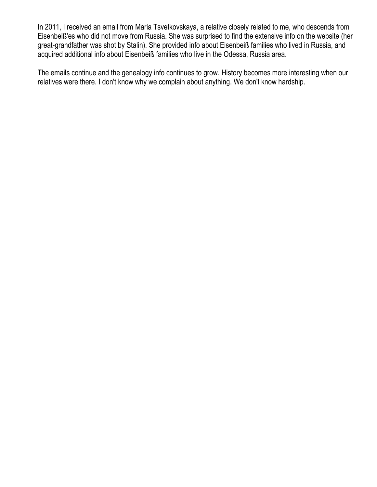In 2011, I received an email from Maria Tsvetkovskaya, a relative closely related to me, who descends from Eisenbeiß'es who did not move from Russia. She was surprised to find the extensive info on the website (her great-grandfather was shot by Stalin). She provided info about Eisenbeiß families who lived in Russia, and acquired additional info about Eisenbeiß families who live in the Odessa, Russia area.

The emails continue and the genealogy info continues to grow. History becomes more interesting when our relatives were there. I don't know why we complain about anything. We don't know hardship.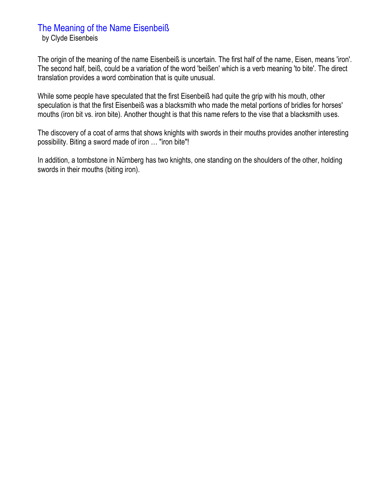### The Meaning of the Name Eisenbeiß

by Clyde Eisenbeis

The origin of the meaning of the name Eisenbeiß is uncertain. The first half of the name, Eisen, means 'iron'. The second half, beiß, could be a variation of the word 'beißen' which is a verb meaning 'to bite'. The direct translation provides a word combination that is quite unusual.

While some people have speculated that the first Eisenbeiß had quite the grip with his mouth, other speculation is that the first Eisenbeiß was a blacksmith who made the metal portions of bridles for horses' mouths (iron bit vs. iron bite). Another thought is that this name refers to the vise that a blacksmith uses.

The discovery of a coat of arms that shows knights with swords in their mouths provides another interesting possibility. Biting a sword made of iron … "iron bite"!

In addition, a tombstone in Nürnberg has two knights, one standing on the shoulders of the other, holding swords in their mouths (biting iron).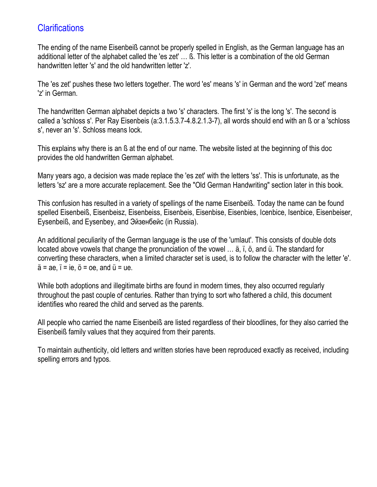## **Clarifications**

The ending of the name Eisenbeiß cannot be properly spelled in English, as the German language has an additional letter of the alphabet called the 'es zet' … ß. This letter is a combination of the old German handwritten letter 's' and the old handwritten letter 'z'.

The 'es zet' pushes these two letters together. The word 'es' means 's' in German and the word 'zet' means 'z' in German.

The handwritten German alphabet depicts a two 's' characters. The first 's' is the long 's'. The second is called a 'schloss s'. Per Ray Eisenbeis (a:3.1.5.3.7-4.8.2.1.3-7), all words should end with an ß or a 'schloss s', never an 's'. Schloss means lock.

This explains why there is an ß at the end of our name. The website listed at the beginning of this doc provides the old handwritten German alphabet.

Many years ago, a decision was made replace the 'es zet' with the letters 'ss'. This is unfortunate, as the letters 'sz' are a more accurate replacement. See the "Old German Handwriting" section later in this book.

This confusion has resulted in a variety of spellings of the name Eisenbeiß. Today the name can be found spelled Eisenbeiß, Eisenbeisz, Eisenbeiss, Eisenbeis, Eisenbise, Eisenbies, Icenbice, Isenbice, Eisenbeiser, Eysenbeiß, and Eysenbey, and Эйзенбейс (in Russia).

An additional peculiarity of the German language is the use of the 'umlaut'. This consists of double dots located above vowels that change the pronunciation of the vowel … ä, ï, ö, and ü. The standard for converting these characters, when a limited character set is used, is to follow the character with the letter 'e'.  $\ddot{a}$  = ae,  $\ddot{i}$  = ie,  $\ddot{o}$  = oe, and  $\ddot{u}$  = ue.

While both adoptions and illegitimate births are found in modern times, they also occurred regularly throughout the past couple of centuries. Rather than trying to sort who fathered a child, this document identifies who reared the child and served as the parents.

All people who carried the name Eisenbeiß are listed regardless of their bloodlines, for they also carried the Eisenbeiß family values that they acquired from their parents.

To maintain authenticity, old letters and written stories have been reproduced exactly as received, including spelling errors and typos.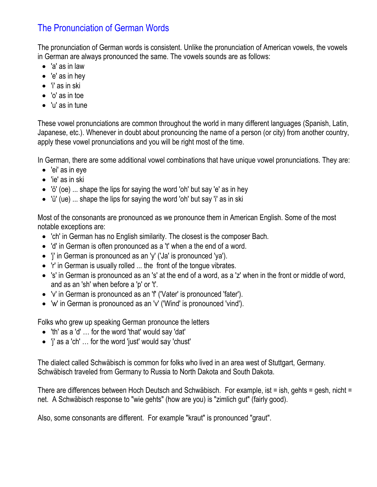# The Pronunciation of German Words

The pronunciation of German words is consistent. Unlike the pronunciation of American vowels, the vowels in German are always pronounced the same. The vowels sounds are as follows:

- 'a' as in law
- 'e' as in hey
- 'i' as in ski
- 'o' as in toe
- 'u' as in tune

These vowel pronunciations are common throughout the world in many different languages (Spanish, Latin, Japanese, etc.). Whenever in doubt about pronouncing the name of a person (or city) from another country, apply these vowel pronunciations and you will be right most of the time.

In German, there are some additional vowel combinations that have unique vowel pronunciations. They are:

- 'ei' as in eye
- 'ie' as in ski
- 'ö' (oe) ... shape the lips for saying the word 'oh' but say 'e' as in hey
- 'ü' (ue) ... shape the lips for saying the word 'oh' but say 'i' as in ski

Most of the consonants are pronounced as we pronounce them in American English. Some of the most notable exceptions are:

- 'ch' in German has no English similarity. The closest is the composer Bach.
- 'd' in German is often pronounced as a 't' when a the end of a word.
- 'j' in German is pronounced as an 'y' ('Ja' is pronounced 'ya').
- 'r' in German is usually rolled ... the front of the tongue vibrates.
- 's' in German is pronounced as an 's' at the end of a word, as a 'z' when in the front or middle of word, and as an 'sh' when before a 'p' or 't'.
- 'v' in German is pronounced as an 'f' ('Vater' is pronounced 'fater').
- 'w' in German is pronounced as an 'v' ('Wind' is pronounced 'vind').

Folks who grew up speaking German pronounce the letters

- 'th' as a 'd' … for the word 'that' would say 'dat'
- 'j' as a 'ch' … for the word 'just' would say 'chust'

The dialect called Schwäbisch is common for folks who lived in an area west of Stuttgart, Germany. Schwäbisch traveled from Germany to Russia to North Dakota and South Dakota.

There are differences between Hoch Deutsch and Schwäbisch. For example, ist = ish, gehts = gesh, nicht = net. A Schwäbisch response to "wie gehts" (how are you) is "zimlich gut" (fairly good).

Also, some consonants are different. For example "kraut" is pronounced "graut".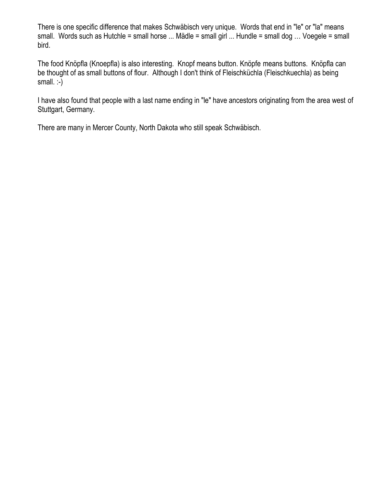There is one specific difference that makes Schwäbisch very unique. Words that end in "le" or "la" means small. Words such as Hutchle = small horse ... Mädle = small girl ... Hundle = small dog … Voegele = small bird.

The food Knöpfla (Knoepfla) is also interesting. Knopf means button. Knöpfe means buttons. Knöpfla can be thought of as small buttons of flour. Although I don't think of Fleischküchla (Fleischkuechla) as being small. :-)

I have also found that people with a last name ending in "le" have ancestors originating from the area west of Stuttgart, Germany.

There are many in Mercer County, North Dakota who still speak Schwäbisch.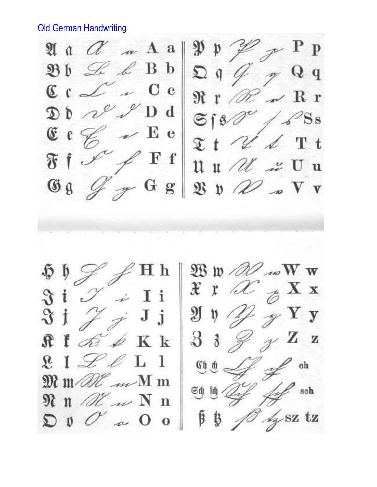Old German Handwriting

 $\mathbb{P}$  P P  $\mathfrak{P} \mathfrak{p} \mathcal{Z}$  $\mathfrak{A}$  a  $\alpha$   $\alpha$   $\alpha$   $\alpha$  a  $Dq \not q$  $\mathfrak{B} \mathfrak{b} \mathrel{\mathcal{L}} \mathscr{L} \mathscr{L} \mathfrak{B} \mathfrak{b}$  $\gamma$  Q q  $C C \sim C$  $\Re$ r  $\mathcal{R}$   $\sim$  R r  $\mathfrak{D} \uparrow \mathcal{N} \mathcal{N}$  Dd  $6180^\circ/88$  $\angle$  E e  $t \sim t$  $E \in \mathscr{G}$  $\swarrow$ Ff  $\mathfrak{F}$  f  $\mathscr{I}$  $\mathfrak{u}$   $\mathfrak{u}$   $\mathfrak{u}$   $\mathfrak{v}$   $\mathfrak{v}$   $\mathfrak{u}$  $G_8$  $\mathscr{F}$  G g  $\mathfrak{V} \mathfrak{v} \mathscr{Q} \mathscr{Q} \mathscr{Q} \mathfrak{v}$  $\mathfrak{W} \mathfrak{w}$  and  $\mathbf{W} \mathbf{w}$ Нh  $x \times \mathcal{U}$   $\underset{\mathcal{D}}{\otimes} X$  x  $\mathfrak{F}$  i  $\mathscr{I}$  $\left( \begin{array}{cc} \overline{\phantom{a}} & I & \overline{\phantom{a}} \\ \end{array} \right)$  $\mathscr{Y}$  Y y  $\mathfrak{Y} \mathfrak{y} \mathscr{D}$  $\vartheta$ j  $\neq$  J j  $Z^{\mathbf{Z}}$  $3 \frac{3}{7}$  $E \not\cong K$  $\mathbf{R}$  f  $\mathscr{L}$  oh  $R_1 \nsubseteq \ell L_1$  $\widehat{\mathfrak{ch}} \widehat{\mathfrak{g}} =$  $\mathfrak{M}$  m all  $\mathscr{M}$  m  $#$  soh  $500000$  $\mathfrak{N}$  n  $\mathcal{U}$  m  $N$  n  $\beta \beta$  /  $\beta$  sz tz  $\mathfrak{D} \mathfrak{g} \mathcal{O} \mathfrak{a} \mathfrak{0} \mathfrak{0}$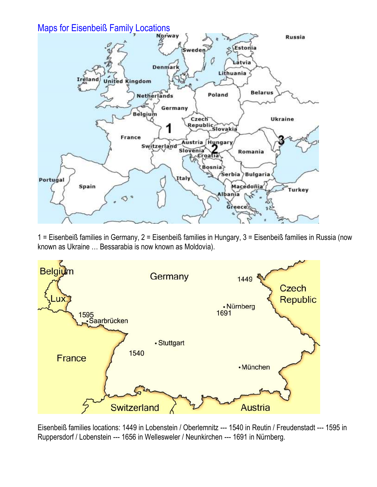

1 = Eisenbeiß families in Germany, 2 = Eisenbeiß families in Hungary, 3 = Eisenbeiß families in Russia (now known as Ukraine … Bessarabia is now known as Moldovia).



Eisenbeiß families locations: 1449 in Lobenstein / Oberlemnitz --- 1540 in Reutin / Freudenstadt --- 1595 in Ruppersdorf / Lobenstein --- 1656 in Wellesweler / Neunkirchen --- 1691 in Nürnberg.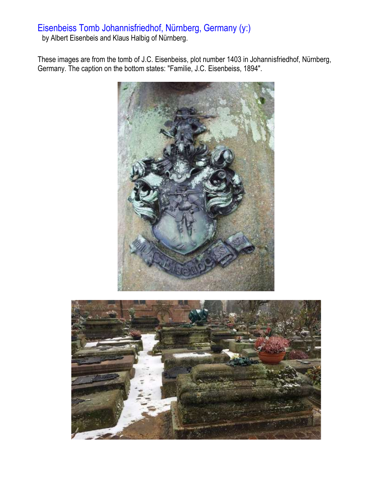# Eisenbeiss Tomb Johannisfriedhof, Nürnberg, Germany (y:)

by Albert Eisenbeis and Klaus Halbig of Nürnberg.

These images are from the tomb of J.C. Eisenbeiss, plot number 1403 in Johannisfriedhof, Nürnberg, Germany. The caption on the bottom states: "Familie, J.C. Eisenbeiss, 1894".



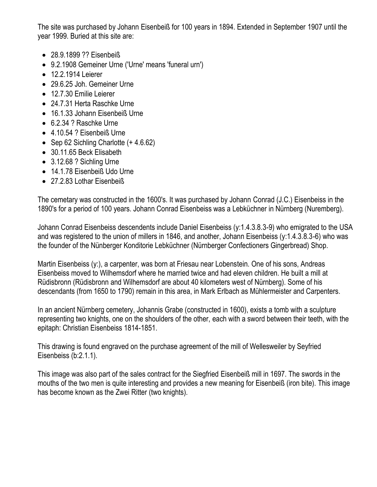The site was purchased by Johann Eisenbeiß for 100 years in 1894. Extended in September 1907 until the year 1999. Buried at this site are:

- 28.9.1899 ?? Eisenbeiß
- 9.2.1908 Gemeiner Urne ('Urne' means 'funeral urn')
- 12.2.1914 Leierer
- 29.6.25 Joh. Gemeiner Urne
- 12.7.30 Emilie Leierer
- 24.7.31 Herta Raschke Urne
- 16.1.33 Johann Eisenbeiß Urne
- 6.2.34 ? Raschke Urne
- 4.10.54 ? Eisenbeiß Urne
- Sep 62 Sichling Charlotte (+ 4.6.62)
- 30.11.65 Beck Elisabeth
- 3.12.68 ? Sichling Urne
- 14.1.78 Eisenbeiß Udo Urne
- 27.2.83 Lothar Eisenbeiß

The cemetary was constructed in the 1600's. It was purchased by Johann Conrad (J.C.) Eisenbeiss in the 1890's for a period of 100 years. Johann Conrad Eisenbeiss was a Lebküchner in Nürnberg (Nuremberg).

Johann Conrad Eisenbeiss descendents include Daniel Eisenbeiss (y:1.4.3.8.3-9) who emigrated to the USA and was registered to the union of millers in 1846, and another, Johann Eisenbeiss (y:1.4.3.8.3-6) who was the founder of the Nünberger Konditorie Lebküchner (Nürnberger Confectioners Gingerbread) Shop.

Martin Eisenbeiss (y:), a carpenter, was born at Friesau near Lobenstein. One of his sons, Andreas Eisenbeiss moved to Wilhemsdorf where he married twice and had eleven children. He built a mill at Rüdisbronn (Rüdisbronn and Wilhemsdorf are about 40 kilometers west of Nürnberg). Some of his descendants (from 1650 to 1790) remain in this area, in Mark Erlbach as Mühlermeister and Carpenters.

In an ancient Nürnberg cemetery, Johannis Grabe (constructed in 1600), exists a tomb with a sculpture representing two knights, one on the shoulders of the other, each with a sword between their teeth, with the epitaph: Christian Eisenbeiss 1814-1851.

This drawing is found engraved on the purchase agreement of the mill of Wellesweiler by Seyfried Eisenbeiss (b:2.1.1).

This image was also part of the sales contract for the Siegfried Eisenbeiß mill in 1697. The swords in the mouths of the two men is quite interesting and provides a new meaning for Eisenbeiß (iron bite). This image has become known as the Zwei Ritter (two knights).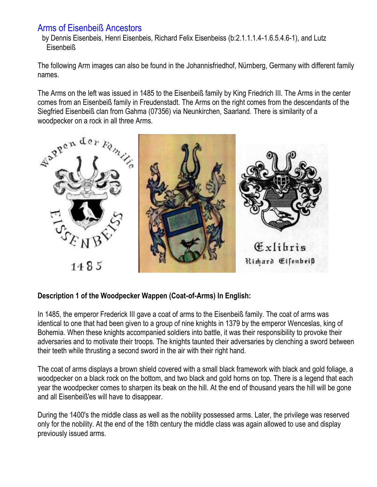## Arms of Eisenbeiß Ancestors

by Dennis Eisenbeis, Henri Eisenbeis, Richard Felix Eisenbeiss (b:2.1.1.1.4-1.6.5.4.6-1), and Lutz Eisenbeiß

The following Arm images can also be found in the Johannisfriedhof, Nürnberg, Germany with different family names.

The Arms on the left was issued in 1485 to the Eisenbeiß family by King Friedrich III. The Arms in the center comes from an Eisenbeiß family in Freudenstadt. The Arms on the right comes from the descendants of the Siegfried Eisenbeiß clan from Gahma (07356) via Neunkirchen, Saarland. There is similarity of a woodpecker on a rock in all three Arms.



### **Description 1 of the Woodpecker Wappen (Coat-of-Arms) In English:**

In 1485, the emperor Frederick III gave a coat of arms to the Eisenbeiß family. The coat of arms was identical to one that had been given to a group of nine knights in 1379 by the emperor Wenceslas, king of Bohemia. When these knights accompanied soldiers into battle, it was their responsibility to provoke their adversaries and to motivate their troops. The knights taunted their adversaries by clenching a sword between their teeth while thrusting a second sword in the air with their right hand.

The coat of arms displays a brown shield covered with a small black framework with black and gold foliage, a woodpecker on a black rock on the bottom, and two black and gold horns on top. There is a legend that each year the woodpecker comes to sharpen its beak on the hill. At the end of thousand years the hill will be gone and all Eisenbeiß'es will have to disappear.

During the 1400's the middle class as well as the nobility possessed arms. Later, the privilege was reserved only for the nobility. At the end of the 18th century the middle class was again allowed to use and display previously issued arms.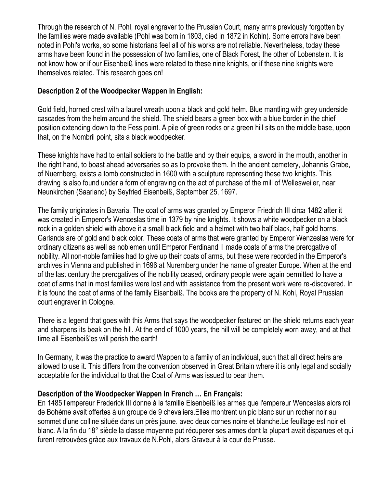Through the research of N. Pohl, royal engraver to the Prussian Court, many arms previously forgotten by the families were made available (Pohl was born in 1803, died in 1872 in Kohln). Some errors have been noted in Pohl's works, so some historians feel all of his works are not reliable. Nevertheless, today these arms have been found in the possession of two families, one of Black Forest, the other of Lobenstein. It is not know how or if our Eisenbeiß lines were related to these nine knights, or if these nine knights were themselves related. This research goes on!

### **Description 2 of the Woodpecker Wappen in English:**

Gold field, horned crest with a laurel wreath upon a black and gold helm. Blue mantling with grey underside cascades from the helm around the shield. The shield bears a green box with a blue border in the chief position extending down to the Fess point. A pile of green rocks or a green hill sits on the middle base, upon that, on the Nombril point, sits a black woodpecker.

These knights have had to entail soldiers to the battle and by their equips, a sword in the mouth, another in the right hand, to boast ahead adversaries so as to provoke them. In the ancient cemetery, Johannis Grabe, of Nuernberg, exists a tomb constructed in 1600 with a sculpture representing these two knights. This drawing is also found under a form of engraving on the act of purchase of the mill of Wellesweiler, near Neunkirchen (Saarland) by Seyfried Eisenbeiß, September 25, 1697.

The family originates in Bavaria. The coat of arms was granted by Emperor Friedrich III circa 1482 after it was created in Emperor's Wenceslas time in 1379 by nine knights. It shows a white woodpecker on a black rock in a golden shield with above it a small black field and a helmet with two half black, half gold horns. Garlands are of gold and black color. These coats of arms that were granted by Emperor Wenzeslas were for ordinary citizens as well as noblemen until Emperor Ferdinand II made coats of arms the prerogative of nobility. All non-noble families had to give up their coats of arms, but these were recorded in the Emperor's archives in Vienna and published in 1696 at Nuremberg under the name of greater Europe. When at the end of the last century the prerogatives of the nobility ceased, ordinary people were again permitted to have a coat of arms that in most families were lost and with assistance from the present work were re-discovered. In it is found the coat of arms of the family Eisenbeiß. The books are the property of N. Kohl, Royal Prussian court engraver in Cologne.

There is a legend that goes with this Arms that says the woodpecker featured on the shield returns each year and sharpens its beak on the hill. At the end of 1000 years, the hill will be completely worn away, and at that time all Eisenbeiß'es will perish the earth!

In Germany, it was the practice to award Wappen to a family of an individual, such that all direct heirs are allowed to use it. This differs from the convention observed in Great Britain where it is only legal and socially acceptable for the individual to that the Coat of Arms was issued to bear them.

#### **Description of the Woodpecker Wappen In French … En Français:**

En 1485 l'empereur Frederick III donne à la famille Eisenbeiß les armes que l'empereur Wenceslas alors roi de Bohème avait offertes à un groupe de 9 chevaliers.Elles montrent un pic blanc sur un rocher noir au sommet d'une colline située dans un près jaune. avec deux cornes noire et blanche.Le feuillage est noir et blanc. A la fin du 18° siècle la classe moyenne put récuperer ses armes dont la plupart avait disparues et qui furent retrouvées gràce aux travaux de N.Pohl, alors Graveur à la cour de Prusse.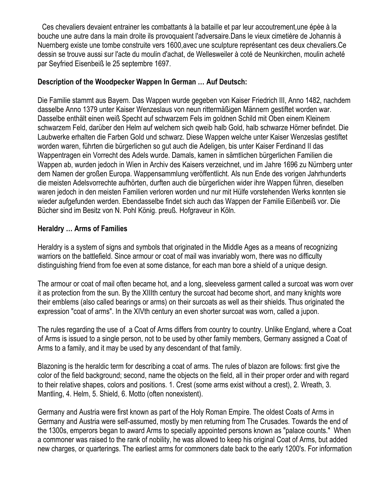Ces chevaliers devaient entrainer les combattants à la bataille et par leur accoutrement,une épèe à la bouche une autre dans la main droite ils provoquaient l'adversaire.Dans le vieux cimetière de Johannis à Nuernberg existe une tombe construite vers 1600,avec une sculpture représentant ces deux chevaliers.Ce dessin se trouve aussi sur l'acte du moulin d'achat, de Wellesweiler à coté de Neunkirchen, moulin acheté par Seyfried Eisenbeiß le 25 septembre 1697.

### **Description of the Woodpecker Wappen In German … Auf Deutsch:**

Die Familie stammt aus Bayern. Das Wappen wurde gegeben von Kaiser Friedrich III, Anno 1482, nachdem dasselbe Anno 1379 unter Kaiser Wenzeslaus von neun rittermäßigen Männern gestiftet worden war. Dasselbe enthält einen weiß Specht auf schwarzem Fels im goldnen Schild mit Oben einem Kleinem schwarzem Feld, darüber den Helm auf welchem sich qweib halb Gold, halb schwarze Hörner befindet. Die Laubwerke erhalten die Farben Gold und schwarz. Diese Wappen welche unter Kaiser Wenzeslas gestiftet worden waren, führten die bürgerlichen so gut auch die Adeligen, bis unter Kaiser Ferdinand II das Wappentragen ein Vorrecht des Adels wurde. Damals, kamen in sämtlichen bürgerlichen Familien die Wappen ab, wurden jedoch in Wien in Archiv des Kaisers verzeichnet, und im Jahre 1696 zu Nürnberg unter dem Namen der großen Europa. Wappensammlung veröffentlicht. Als nun Ende des vorigen Jahrhunderts die meisten Adelsvorrechte aufhörten, durften auch die bürgerlichen wider ihre Wappen führen, dieselben waren jedoch in den meisten Familien verloren worden und nur mit Hülfe vorstehenden Werks konnten sie wieder aufgefunden werden. Ebendasselbe findet sich auch das Wappen der Familie Eißenbeiß vor. Die Bücher sind im Besitz von N. Pohl König. preuß. Hofgraveur in Köln.

#### **Heraldry … Arms of Families**

Heraldry is a system of signs and symbols that originated in the Middle Ages as a means of recognizing warriors on the battlefield. Since armour or coat of mail was invariably worn, there was no difficulty distinguishing friend from foe even at some distance, for each man bore a shield of a unique design.

The armour or coat of mail often became hot, and a long, sleeveless garment called a surcoat was worn over it as protection from the sun. By the XIIIth century the surcoat had become short, and many knights wore their emblems (also called bearings or arms) on their surcoats as well as their shields. Thus originated the expression "coat of arms". In the XIVth century an even shorter surcoat was worn, called a jupon.

The rules regarding the use of a Coat of Arms differs from country to country. Unlike England, where a Coat of Arms is issued to a single person, not to be used by other family members, Germany assigned a Coat of Arms to a family, and it may be used by any descendant of that family.

Blazoning is the heraldic term for describing a coat of arms. The rules of blazon are follows: first give the color of the field background; second, name the objects on the field, all in their proper order and with regard to their relative shapes, colors and positions. 1. Crest (some arms exist without a crest), 2. Wreath, 3. Mantling, 4. Helm, 5. Shield, 6. Motto (often nonexistent).

Germany and Austria were first known as part of the Holy Roman Empire. The oldest Coats of Arms in Germany and Austria were self-assumed, mostly by men returning from The Crusades. Towards the end of the 1300s, emperors began to award Arms to specially appointed persons known as "palace counts." When a commoner was raised to the rank of nobility, he was allowed to keep his original Coat of Arms, but added new charges, or quarterings. The earliest arms for commoners date back to the early 1200's. For information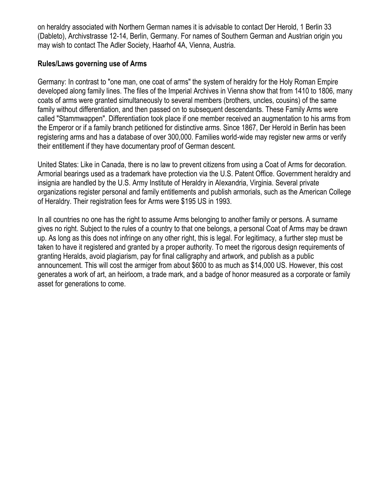on heraldry associated with Northern German names it is advisable to contact Der Herold, 1 Berlin 33 (Dableto), Archivstrasse 12-14, Berlin, Germany. For names of Southern German and Austrian origin you may wish to contact The Adler Society, Haarhof 4A, Vienna, Austria.

#### **Rules/Laws governing use of Arms**

Germany: In contrast to "one man, one coat of arms" the system of heraldry for the Holy Roman Empire developed along family lines. The files of the Imperial Archives in Vienna show that from 1410 to 1806, many coats of arms were granted simultaneously to several members (brothers, uncles, cousins) of the same family without differentiation, and then passed on to subsequent descendants. These Family Arms were called "Stammwappen". Differentiation took place if one member received an augmentation to his arms from the Emperor or if a family branch petitioned for distinctive arms. Since 1867, Der Herold in Berlin has been registering arms and has a database of over 300,000. Families world-wide may register new arms or verify their entitlement if they have documentary proof of German descent.

United States: Like in Canada, there is no law to prevent citizens from using a Coat of Arms for decoration. Armorial bearings used as a trademark have protection via the U.S. Patent Office. Government heraldry and insignia are handled by the U.S. Army Institute of Heraldry in Alexandria, Virginia. Several private organizations register personal and family entitlements and publish armorials, such as the American College of Heraldry. Their registration fees for Arms were \$195 US in 1993.

In all countries no one has the right to assume Arms belonging to another family or persons. A surname gives no right. Subject to the rules of a country to that one belongs, a personal Coat of Arms may be drawn up. As long as this does not infringe on any other right, this is legal. For legitimacy, a further step must be taken to have it registered and granted by a proper authority. To meet the rigorous design requirements of granting Heralds, avoid plagiarism, pay for final calligraphy and artwork, and publish as a public announcement. This will cost the armiger from about \$600 to as much as \$14,000 US. However, this cost generates a work of art, an heirloom, a trade mark, and a badge of honor measured as a corporate or family asset for generations to come.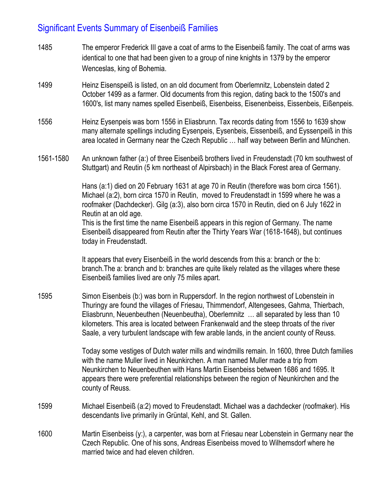# Significant Events Summary of Eisenbeiß Families

- 1485 The emperor Frederick III gave a coat of arms to the Eisenbeiß family. The coat of arms was identical to one that had been given to a group of nine knights in 1379 by the emperor Wenceslas, king of Bohemia.
- 1499 Heinz Eisenspeiß is listed, on an old document from Oberlemnitz, Lobenstein dated 2 October 1499 as a farmer. Old documents from this region, dating back to the 1500's and 1600's, list many names spelled Eisenbeiß, Eisenbeiss, Eisenenbeiss, Eissenbeis, Eißenpeis.
- 1556 Heinz Eysenpeis was born 1556 in Eliasbrunn. Tax records dating from 1556 to 1639 show many alternate spellings including Eysenpeis, Eysenbeis, Eissenbeiß, and Eyssenpeiß in this area located in Germany near the Czech Republic … half way between Berlin and München.
- 1561-1580 An unknown father (a:) of three Eisenbeiß brothers lived in Freudenstadt (70 km southwest of Stuttgart) and Reutin (5 km northeast of Alpirsbach) in the Black Forest area of Germany.

Hans (a:1) died on 20 February 1631 at age 70 in Reutin (therefore was born circa 1561). Michael (a:2), born circa 1570 in Reutin, moved to Freudenstadt in 1599 where he was a roofmaker (Dachdecker). Gilg (a:3), also born circa 1570 in Reutin, died on 6 July 1622 in Reutin at an old age.

This is the first time the name Eisenbeiß appears in this region of Germany. The name Eisenbeiß disappeared from Reutin after the Thirty Years War (1618-1648), but continues today in Freudenstadt.

It appears that every Eisenbeiß in the world descends from this a: branch or the b: branch.The a: branch and b: branches are quite likely related as the villages where these Eisenbeiß families lived are only 75 miles apart.

1595 Simon Eisenbeis (b:) was born in Ruppersdorf. In the region northwest of Lobenstein in Thuringy are found the villages of Friesau, Thimmendorf, Altengesees, Gahma, Thierbach, Eliasbrunn, Neuenbeuthen (Neuenbeutha), Oberlemnitz … all separated by less than 10 kilometers. This area is located between Frankenwald and the steep throats of the river Saale, a very turbulent landscape with few arable lands, in the ancient county of Reuss.

> Today some vestiges of Dutch water mills and windmills remain. In 1600, three Dutch families with the name Muller lived in Neunkirchen. A man named Muller made a trip from Neunkirchen to Neuenbeuthen with Hans Martin Eisenbeiss between 1686 and 1695. It appears there were preferential relationships between the region of Neunkirchen and the county of Reuss.

- 1599 Michael Eisenbeiß (a:2) moved to Freudenstadt. Michael was a dachdecker (roofmaker). His descendants live primarily in Grüntal, Kehl, and St. Gallen.
- 1600 Martin Eisenbeiss (y:), a carpenter, was born at Friesau near Lobenstein in Germany near the Czech Republic. One of his sons, Andreas Eisenbeiss moved to Wilhemsdorf where he married twice and had eleven children.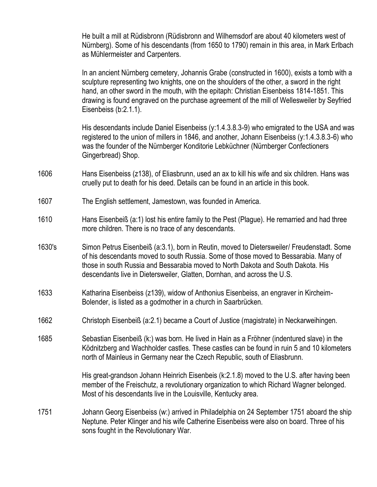He built a mill at Rüdisbronn (Rüdisbronn and Wilhemsdorf are about 40 kilometers west of Nürnberg). Some of his descendants (from 1650 to 1790) remain in this area, in Mark Erlbach as Mühlermeister and Carpenters.

In an ancient Nürnberg cemetery, Johannis Grabe (constructed in 1600), exists a tomb with a sculpture representing two knights, one on the shoulders of the other, a sword in the right hand, an other sword in the mouth, with the epitaph: Christian Eisenbeiss 1814-1851. This drawing is found engraved on the purchase agreement of the mill of Wellesweiler by Seyfried Eisenbeiss (b:2.1.1).

His descendants include Daniel Eisenbeiss (y:1.4.3.8.3-9) who emigrated to the USA and was registered to the union of millers in 1846, and another, Johann Eisenbeiss (y:1.4.3.8.3-6) who was the founder of the Nürnberger Konditorie Lebküchner (Nürnberger Confectioners Gingerbread) Shop.

- 1606 Hans Eisenbeiss (z138), of Eliasbrunn, used an ax to kill his wife and six children. Hans was cruelly put to death for his deed. Details can be found in an article in this book.
- 1607 The English settlement, Jamestown, was founded in America.
- 1610 Hans Eisenbeiß (a:1) lost his entire family to the Pest (Plague). He remarried and had three more children. There is no trace of any descendants.
- 1630's Simon Petrus Eisenbeiß (a:3.1), born in Reutin, moved to Dietersweiler/ Freudenstadt. Some of his descendants moved to south Russia. Some of those moved to Bessarabia. Many of those in south Russia and Bessarabia moved to North Dakota and South Dakota. His descendants live in Dietersweiler, Glatten, Dornhan, and across the U.S.
- 1633 Katharina Eisenbeiss (z139), widow of Anthonius Eisenbeiss, an engraver in Kircheim-Bolender, is listed as a godmother in a church in Saarbrücken.
- 1662 Christoph Eisenbeiß (a:2.1) became a Court of Justice (magistrate) in Neckarweihingen.
- 1685 Sebastian Eisenbeiß (k:) was born. He lived in Hain as a Fröhner (indentured slave) in the Ködnitzberg and Wachholder castles. These castles can be found in ruin 5 and 10 kilometers north of Mainleus in Germany near the Czech Republic, south of Eliasbrunn.

His great-grandson Johann Heinrich Eisenbeis (k:2.1.8) moved to the U.S. after having been member of the Freischutz, a revolutionary organization to which Richard Wagner belonged. Most of his descendants live in the Louisville, Kentucky area.

1751 Johann Georg Eisenbeiss (w:) arrived in Philadelphia on 24 September 1751 aboard the ship Neptune. Peter Klinger and his wife Catherine Eisenbeiss were also on board. Three of his sons fought in the Revolutionary War.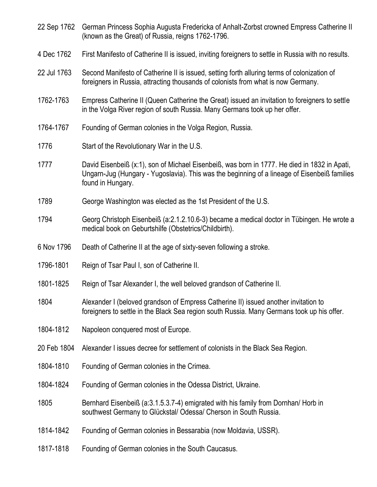| 22 Sep 1762 | German Princess Sophia Augusta Fredericka of Anhalt-Zorbst crowned Empress Catherine II<br>(known as the Great) of Russia, reigns 1762-1796.                                                                      |
|-------------|-------------------------------------------------------------------------------------------------------------------------------------------------------------------------------------------------------------------|
| 4 Dec 1762  | First Manifesto of Catherine II is issued, inviting foreigners to settle in Russia with no results.                                                                                                               |
| 22 Jul 1763 | Second Manifesto of Catherine II is issued, setting forth alluring terms of colonization of<br>foreigners in Russia, attracting thousands of colonists from what is now Germany.                                  |
| 1762-1763   | Empress Catherine II (Queen Catherine the Great) issued an invitation to foreigners to settle<br>in the Volga River region of south Russia. Many Germans took up her offer.                                       |
| 1764-1767   | Founding of German colonies in the Volga Region, Russia.                                                                                                                                                          |
| 1776        | Start of the Revolutionary War in the U.S.                                                                                                                                                                        |
| 1777        | David Eisenbeiß (x:1), son of Michael Eisenbeiß, was born in 1777. He died in 1832 in Apati,<br>Ungarn-Jug (Hungary - Yugoslavia). This was the beginning of a lineage of Eisenbeiß families<br>found in Hungary. |
| 1789        | George Washington was elected as the 1st President of the U.S.                                                                                                                                                    |
| 1794        | Georg Christoph Eisenbeiß (a:2.1.2.10.6-3) became a medical doctor in Tübingen. He wrote a<br>medical book on Geburtshilfe (Obstetrics/Childbirth).                                                               |
| 6 Nov 1796  | Death of Catherine II at the age of sixty-seven following a stroke.                                                                                                                                               |
| 1796-1801   | Reign of Tsar Paul I, son of Catherine II.                                                                                                                                                                        |
| 1801-1825   | Reign of Tsar Alexander I, the well beloved grandson of Catherine II.                                                                                                                                             |
| 1804        | Alexander I (beloved grandson of Empress Catherine II) issued another invitation to<br>foreigners to settle in the Black Sea region south Russia. Many Germans took up his offer.                                 |
| 1804-1812   | Napoleon conquered most of Europe.                                                                                                                                                                                |
| 20 Feb 1804 | Alexander I issues decree for settlement of colonists in the Black Sea Region.                                                                                                                                    |
| 1804-1810   | Founding of German colonies in the Crimea.                                                                                                                                                                        |
| 1804-1824   | Founding of German colonies in the Odessa District, Ukraine.                                                                                                                                                      |
| 1805        | Bernhard Eisenbeiß (a:3.1.5.3.7-4) emigrated with his family from Dornhan/ Horb in<br>southwest Germany to Glückstal/ Odessa/ Cherson in South Russia.                                                            |
| 1814-1842   | Founding of German colonies in Bessarabia (now Moldavia, USSR).                                                                                                                                                   |
| 1817-1818   | Founding of German colonies in the South Caucasus.                                                                                                                                                                |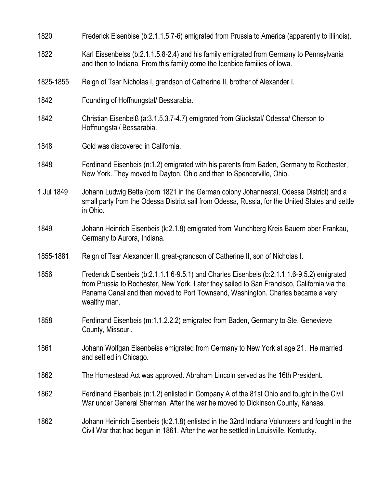| 1820       | Frederick Eisenbise (b:2.1.1.5.7-6) emigrated from Prussia to America (apparently to Illinois).                                                                                                                                                                                               |
|------------|-----------------------------------------------------------------------------------------------------------------------------------------------------------------------------------------------------------------------------------------------------------------------------------------------|
| 1822       | Karl Eissenbeiss (b:2.1.1.5.8-2.4) and his family emigrated from Germany to Pennsylvania<br>and then to Indiana. From this family come the Icenbice families of lowa.                                                                                                                         |
| 1825-1855  | Reign of Tsar Nicholas I, grandson of Catherine II, brother of Alexander I.                                                                                                                                                                                                                   |
| 1842       | Founding of Hoffnungstal/ Bessarabia.                                                                                                                                                                                                                                                         |
| 1842       | Christian Eisenbeiß (a:3.1.5.3.7-4.7) emigrated from Glückstal/ Odessa/ Cherson to<br>Hoffnungstal/Bessarabia.                                                                                                                                                                                |
| 1848       | Gold was discovered in California.                                                                                                                                                                                                                                                            |
| 1848       | Ferdinand Eisenbeis (n:1.2) emigrated with his parents from Baden, Germany to Rochester,<br>New York. They moved to Dayton, Ohio and then to Spencerville, Ohio.                                                                                                                              |
| 1 Jul 1849 | Johann Ludwig Bette (born 1821 in the German colony Johannestal, Odessa District) and a<br>small party from the Odessa District sail from Odessa, Russia, for the United States and settle<br>in Ohio.                                                                                        |
| 1849       | Johann Heinrich Eisenbeis (k:2.1.8) emigrated from Munchberg Kreis Bauern ober Frankau,<br>Germany to Aurora, Indiana.                                                                                                                                                                        |
| 1855-1881  | Reign of Tsar Alexander II, great-grandson of Catherine II, son of Nicholas I.                                                                                                                                                                                                                |
| 1856       | Frederick Eisenbeis (b:2.1.1.1.6-9.5.1) and Charles Eisenbeis (b:2.1.1.1.6-9.5.2) emigrated<br>from Prussia to Rochester, New York. Later they sailed to San Francisco, California via the<br>Panama Canal and then moved to Port Townsend, Washington. Charles became a very<br>wealthy man. |
| 1858       | Ferdinand Eisenbeis (m:1.1.2.2.2) emigrated from Baden, Germany to Ste. Genevieve<br>County, Missouri.                                                                                                                                                                                        |
| 1861       | Johann Wolfgan Eisenbeiss emigrated from Germany to New York at age 21. He married<br>and settled in Chicago.                                                                                                                                                                                 |
| 1862       | The Homestead Act was approved. Abraham Lincoln served as the 16th President.                                                                                                                                                                                                                 |
| 1862       | Ferdinand Eisenbeis (n:1.2) enlisted in Company A of the 81st Ohio and fought in the Civil<br>War under General Sherman. After the war he moved to Dickinson County, Kansas.                                                                                                                  |
| 1862       | Johann Heinrich Eisenbeis (k:2.1.8) enlisted in the 32nd Indiana Volunteers and fought in the<br>Civil War that had begun in 1861. After the war he settled in Louisville, Kentucky.                                                                                                          |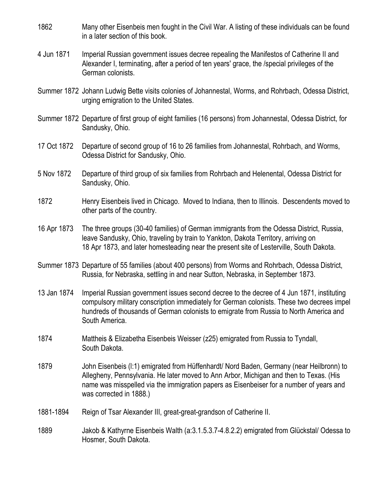- 1862 Many other Eisenbeis men fought in the Civil War. A listing of these individuals can be found in a later section of this book.
- 4 Jun 1871 Imperial Russian government issues decree repealing the Manifestos of Catherine II and Alexander I, terminating, after a period of ten years' grace, the /special privileges of the German colonists.
- Summer 1872 Johann Ludwig Bette visits colonies of Johannestal, Worms, and Rohrbach, Odessa District, urging emigration to the United States.
- Summer 1872 Departure of first group of eight families (16 persons) from Johannestal, Odessa District, for Sandusky, Ohio.
- 17 Oct 1872 Departure of second group of 16 to 26 families from Johannestal, Rohrbach, and Worms, Odessa District for Sandusky, Ohio.
- 5 Nov 1872 Departure of third group of six families from Rohrbach and Helenental, Odessa District for Sandusky, Ohio.
- 1872 Henry Eisenbeis lived in Chicago. Moved to Indiana, then to Illinois. Descendents moved to other parts of the country.
- 16 Apr 1873 The three groups (30-40 families) of German immigrants from the Odessa District, Russia, leave Sandusky, Ohio, traveling by train to Yankton, Dakota Territory, arriving on 18 Apr 1873, and later homesteading near the present site of Lesterville, South Dakota.
- Summer 1873 Departure of 55 families (about 400 persons) from Worms and Rohrbach, Odessa District, Russia, for Nebraska, settling in and near Sutton, Nebraska, in September 1873.
- 13 Jan 1874 Imperial Russian government issues second decree to the decree of 4 Jun 1871, instituting compulsory military conscription immediately for German colonists. These two decrees impel hundreds of thousands of German colonists to emigrate from Russia to North America and South America.
- 1874 Mattheis & Elizabetha Eisenbeis Weisser (z25) emigrated from Russia to Tyndall, South Dakota.
- 1879 John Eisenbeis (l:1) emigrated from Hüffenhardt/ Nord Baden, Germany (near Heilbronn) to Allegheny, Pennsylvania. He later moved to Ann Arbor, Michigan and then to Texas. (His name was misspelled via the immigration papers as Eisenbeiser for a number of years and was corrected in 1888.)
- 1881-1894 Reign of Tsar Alexander III, great-great-grandson of Catherine II.
- 1889 Jakob & Kathyrne Eisenbeis Walth (a:3.1.5.3.7-4.8.2.2) emigrated from Glückstal/ Odessa to Hosmer, South Dakota.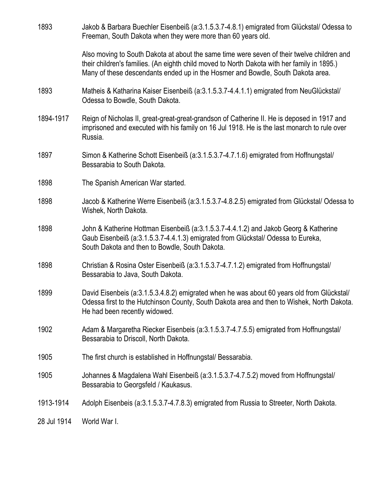| 1893        | Jakob & Barbara Buechler Eisenbeiß (a:3.1.5.3.7-4.8.1) emigrated from Glückstal/ Odessa to<br>Freeman, South Dakota when they were more than 60 years old.                                                                                                                   |
|-------------|------------------------------------------------------------------------------------------------------------------------------------------------------------------------------------------------------------------------------------------------------------------------------|
|             | Also moving to South Dakota at about the same time were seven of their twelve children and<br>their children's families. (An eighth child moved to North Dakota with her family in 1895.)<br>Many of these descendants ended up in the Hosmer and Bowdle, South Dakota area. |
| 1893        | Matheis & Katharina Kaiser Eisenbeiß (a:3.1.5.3.7-4.4.1.1) emigrated from NeuGlückstal/<br>Odessa to Bowdle, South Dakota.                                                                                                                                                   |
| 1894-1917   | Reign of Nicholas II, great-great-great-grandson of Catherine II. He is deposed in 1917 and<br>imprisoned and executed with his family on 16 Jul 1918. He is the last monarch to rule over<br>Russia.                                                                        |
| 1897        | Simon & Katherine Schott Eisenbeiß (a:3.1.5.3.7-4.7.1.6) emigrated from Hoffnungstal/<br>Bessarabia to South Dakota.                                                                                                                                                         |
| 1898        | The Spanish American War started.                                                                                                                                                                                                                                            |
| 1898        | Jacob & Katherine Werre Eisenbeiß (a:3.1.5.3.7-4.8.2.5) emigrated from Glückstal/ Odessa to<br>Wishek, North Dakota.                                                                                                                                                         |
| 1898        | John & Katherine Hottman Eisenbeiß (a:3.1.5.3.7-4.4.1.2) and Jakob Georg & Katherine<br>Gaub Eisenbeiß (a:3.1.5.3.7-4.4.1.3) emigrated from Glückstal/ Odessa to Eureka,<br>South Dakota and then to Bowdle, South Dakota.                                                   |
| 1898        | Christian & Rosina Oster Eisenbeiß (a:3.1.5.3.7-4.7.1.2) emigrated from Hoffnungstal/<br>Bessarabia to Java, South Dakota.                                                                                                                                                   |
| 1899        | David Eisenbeis (a:3.1.5.3.4.8.2) emigrated when he was about 60 years old from Glückstal/<br>Odessa first to the Hutchinson County, South Dakota area and then to Wishek, North Dakota.<br>He had been recently widowed.                                                    |
| 1902        | Adam & Margaretha Riecker Eisenbeis (a:3.1.5.3.7-4.7.5.5) emigrated from Hoffnungstal/<br>Bessarabia to Driscoll, North Dakota.                                                                                                                                              |
| 1905        | The first church is established in Hoffnungstal/ Bessarabia.                                                                                                                                                                                                                 |
| 1905        | Johannes & Magdalena Wahl Eisenbeiß (a:3.1.5.3.7-4.7.5.2) moved from Hoffnungstal/<br>Bessarabia to Georgsfeld / Kaukasus.                                                                                                                                                   |
| 1913-1914   | Adolph Eisenbeis (a:3.1.5.3.7-4.7.8.3) emigrated from Russia to Streeter, North Dakota.                                                                                                                                                                                      |
| 28 Jul 1914 | World War I.                                                                                                                                                                                                                                                                 |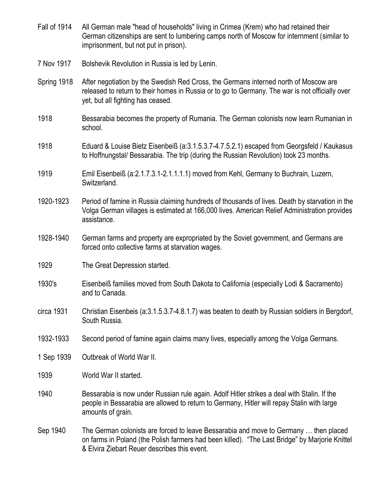- Fall of 1914 All German male "head of households" living in Crimea (Krem) who had retained their German citizenships are sent to lumbering camps north of Moscow for internment (similar to imprisonment, but not put in prison).
- 7 Nov 1917 Bolshevik Revolution in Russia is led by Lenin.
- Spring 1918 After negotiation by the Swedish Red Cross, the Germans interned north of Moscow are released to return to their homes in Russia or to go to Germany. The war is not officially over yet, but all fighting has ceased.
- 1918 Bessarabia becomes the property of Rumania. The German colonists now learn Rumanian in school.
- 1918 Eduard & Louise Bietz Eisenbeiß (a:3.1.5.3.7-4.7.5.2.1) escaped from Georgsfeld / Kaukasus to Hoffnungstal/ Bessarabia. The trip (during the Russian Revolution) took 23 months.
- 1919 Emil Eisenbeiß (a:2.1.7.3.1-2.1.1.1.1) moved from Kehl, Germany to Buchrain, Luzern, Switzerland.
- 1920-1923 Period of famine in Russia claiming hundreds of thousands of lives. Death by starvation in the Volga German villages is estimated at 166,000 lives. American Relief Administration provides assistance.
- 1928-1940 German farms and property are expropriated by the Soviet government, and Germans are forced onto collective farms at starvation wages.
- 1929 The Great Depression started.
- 1930's Eisenbeiß families moved from South Dakota to California (especially Lodi & Sacramento) and to Canada.
- circa 1931 Christian Eisenbeis (a:3.1.5.3.7-4.8.1.7) was beaten to death by Russian soldiers in Bergdorf, South Russia.
- 1932-1933 Second period of famine again claims many lives, especially among the Volga Germans.
- 1 Sep 1939 Outbreak of World War II.
- 1939 World War II started.
- 1940 Bessarabia is now under Russian rule again. Adolf Hitler strikes a deal with Stalin. If the people in Bessarabia are allowed to return to Germany, Hitler will repay Stalin with large amounts of grain.
- Sep 1940 The German colonists are forced to leave Bessarabia and move to Germany … then placed on farms in Poland (the Polish farmers had been killed). "The Last Bridge" by Marjorie Knittel & Elvira Ziebart Reuer describes this event.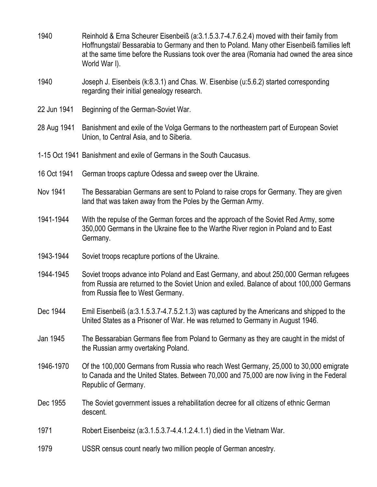- 1940 Reinhold & Erna Scheurer Eisenbeiß (a:3.1.5.3.7-4.7.6.2.4) moved with their family from Hoffnungstal/ Bessarabia to Germany and then to Poland. Many other Eisenbeiß families left at the same time before the Russians took over the area (Romania had owned the area since World War I).
- 1940 Joseph J. Eisenbeis (k:8.3.1) and Chas. W. Eisenbise (u:5.6.2) started corresponding regarding their initial genealogy research.
- 22 Jun 1941 Beginning of the German-Soviet War.
- 28 Aug 1941 Banishment and exile of the Volga Germans to the northeastern part of European Soviet Union, to Central Asia, and to Siberia.
- 1-15 Oct 1941 Banishment and exile of Germans in the South Caucasus.
- 16 Oct 1941 German troops capture Odessa and sweep over the Ukraine.
- Nov 1941 The Bessarabian Germans are sent to Poland to raise crops for Germany. They are given land that was taken away from the Poles by the German Army.
- 1941-1944 With the repulse of the German forces and the approach of the Soviet Red Army, some 350,000 Germans in the Ukraine flee to the Warthe River region in Poland and to East Germany.
- 1943-1944 Soviet troops recapture portions of the Ukraine.
- 1944-1945 Soviet troops advance into Poland and East Germany, and about 250,000 German refugees from Russia are returned to the Soviet Union and exiled. Balance of about 100,000 Germans from Russia flee to West Germany.
- Dec 1944 Emil Eisenbeiß (a:3.1.5.3.7-4.7.5.2.1.3) was captured by the Americans and shipped to the United States as a Prisoner of War. He was returned to Germany in August 1946.
- Jan 1945 The Bessarabian Germans flee from Poland to Germany as they are caught in the midst of the Russian army overtaking Poland.
- 1946-1970 Of the 100,000 Germans from Russia who reach West Germany, 25,000 to 30,000 emigrate to Canada and the United States. Between 70,000 and 75,000 are now living in the Federal Republic of Germany.
- Dec 1955 The Soviet government issues a rehabilitation decree for all citizens of ethnic German descent.
- 1971 Robert Eisenbeisz (a:3.1.5.3.7-4.4.1.2.4.1.1) died in the Vietnam War.
- 1979 USSR census count nearly two million people of German ancestry.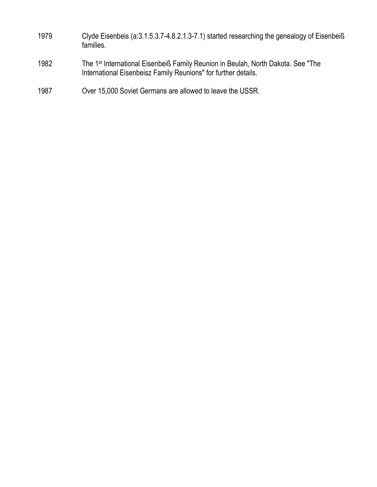- 1979 Clyde Eisenbeis (a:3.1.5.3.7-4.8.2.1.3-7.1) started researching the genealogy of Eisenbeiß families.
- 1982 The 1<sup>st</sup> International Eisenbeiß Family Reunion in Beulah, North Dakota. See "The International Eisenbeisz Family Reunions" for further details.
- 1987 Over 15,000 Soviet Germans are allowed to leave the USSR.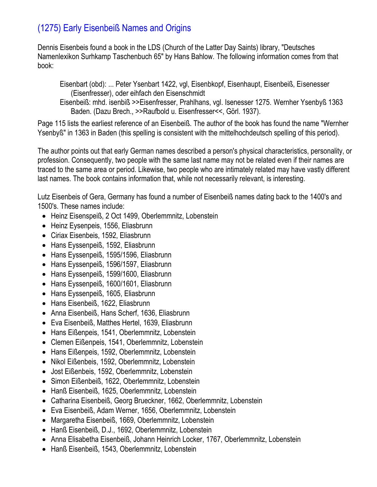# (1275) Early Eisenbeiß Names and Origins

Dennis Eisenbeis found a book in the LDS (Church of the Latter Day Saints) library, "Deutsches Namenlexikon Surhkamp Taschenbuch 65" by Hans Bahlow. The following information comes from that book:

Eisenbart (obd): ... Peter Ysenbart 1422, vgl, Eisenbkopf, Eisenhaupt, Eisenbeiß, Eisenesser (Eisenfresser), oder eihfach den Eisenschmidt

Eisenbeiß: mhd. isenbiß >>Eisenfresser, Prahlhans, vgl. Isenesser 1275. Wernher Ysenbyß 1363 Baden. (Dazu Brech., >>Raufbold u. Eisenfresser<<, Görl. 1937).

Page 115 lists the earliest reference of an Eisenbeiß. The author of the book has found the name "Wernher Ysenbyß" in 1363 in Baden (this spelling is consistent with the mittelhochdeutsch spelling of this period).

The author points out that early German names described a person's physical characteristics, personality, or profession. Consequently, two people with the same last name may not be related even if their names are traced to the same area or period. Likewise, two people who are intimately related may have vastly different last names. The book contains information that, while not necessarily relevant, is interesting.

Lutz Eisenbeis of Gera, Germany has found a number of Eisenbeiß names dating back to the 1400's and 1500's. These names include:

- Heinz Eisenspeiß, 2 Oct 1499, Oberlemmnitz, Lobenstein
- Heinz Eysenpeis, 1556, Eliasbrunn
- Ciriax Eisenbeis, 1592, Eliasbrunn
- Hans Eyssenpeiß, 1592, Eliasbrunn
- Hans Eyssenpeiß, 1595/1596, Eliasbrunn
- Hans Eyssenpeiß, 1596/1597, Eliasbrunn
- Hans Eyssenpeiß, 1599/1600, Eliasbrunn
- Hans Eyssenpeiß, 1600/1601, Eliasbrunn
- Hans Eyssenpeiß, 1605, Eliasbrunn
- Hans Eisenbeiß, 1622, Eliasbrunn
- Anna Eisenbeiß, Hans Scherf, 1636, Eliasbrunn
- Eva Eisenbeiß, Matthes Hertel, 1639, Eliasbrunn
- Hans Eißenpeis, 1541, Oberlemmnitz, Lobenstein
- Clemen Eißenpeis, 1541, Oberlemmnitz, Lobenstein
- Hans Eißenpeis, 1592, Oberlemmnitz, Lobenstein
- Nikol Eißenbeis, 1592, Oberlemmnitz, Lobenstein
- Jost Eißenbeis, 1592, Oberlemmnitz, Lobenstein
- Simon Eißenbeiß, 1622, Oberlemmnitz, Lobenstein
- Hanß Eisenbeiß, 1625, Oberlemmnitz, Lobenstein
- Catharina Eisenbeiß, Georg Brueckner, 1662, Oberlemmnitz, Lobenstein
- Eva Eisenbeiß, Adam Werner, 1656, Oberlemmnitz, Lobenstein
- Margaretha Eisenbeiß, 1669, Oberlemmnitz, Lobenstein
- Hanß Eisenbeiß, D.J., 1692, Oberlemmnitz, Lobenstein
- Anna Elisabetha Eisenbeiß, Johann Heinrich Locker, 1767, Oberlemmnitz, Lobenstein
- Hanß Eisenbeiß, 1543, Oberlemmnitz, Lobenstein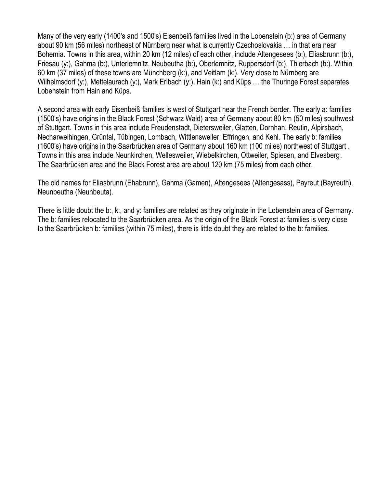Many of the very early (1400's and 1500's) Eisenbeiß families lived in the Lobenstein (b:) area of Germany about 90 km (56 miles) northeast of Nürnberg near what is currently Czechoslovakia … in that era near Bohemia. Towns in this area, within 20 km (12 miles) of each other, include Altengesees (b:), Eliasbrunn (b:), Friesau (y:), Gahma (b:), Unterlemnitz, Neubeutha (b:), Oberlemnitz, Ruppersdorf (b:), Thierbach (b:). Within 60 km (37 miles) of these towns are Münchberg (k:), and Veitlam (k:). Very close to Nürnberg are Wilhelmsdorf (y:), Mettelaurach (y:), Mark Erlbach (y:), Hain (k:) and Küps ... the Thuringe Forest separates Lobenstein from Hain and Küps.

A second area with early Eisenbeiß families is west of Stuttgart near the French border. The early a: families (1500's) have origins in the Black Forest (Schwarz Wald) area of Germany about 80 km (50 miles) southwest of Stuttgart. Towns in this area include Freudenstadt, Dietersweiler, Glatten, Dornhan, Reutin, Alpirsbach, Necharweihingen, Grüntal, Tübingen, Lombach, Wittlensweiler, Effringen, and Kehl. The early b: families (1600's) have origins in the Saarbrücken area of Germany about 160 km (100 miles) northwest of Stuttgart . Towns in this area include Neunkirchen, Wellesweiler, Wiebelkirchen, Ottweiler, Spiesen, and Elvesberg. The Saarbrücken area and the Black Forest area are about 120 km (75 miles) from each other.

The old names for Eliasbrunn (Ehabrunn), Gahma (Gamen), Altengesees (Altengesass), Payreut (Bayreuth), Neunbeutha (Neunbeuta).

There is little doubt the b:, k:, and y: families are related as they originate in the Lobenstein area of Germany. The b: families relocated to the Saarbrücken area. As the origin of the Black Forest a: families is very close to the Saarbrücken b: families (within 75 miles), there is little doubt they are related to the b: families.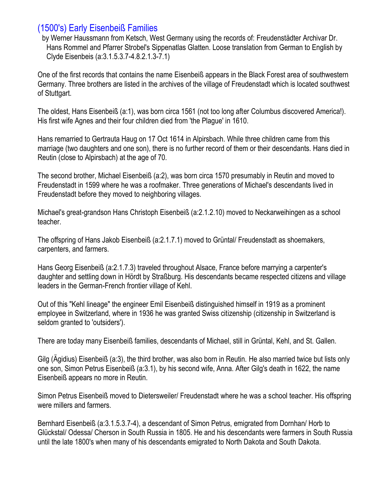## (1500's) Early Eisenbeiß Families

by Werner Haussmann from Ketsch, West Germany using the records of: Freudenstädter Archivar Dr. Hans Rommel and Pfarrer Strobel's Sippenatlas Glatten. Loose translation from German to English by Clyde Eisenbeis (a:3.1.5.3.7-4.8.2.1.3-7.1)

One of the first records that contains the name Eisenbeiß appears in the Black Forest area of southwestern Germany. Three brothers are listed in the archives of the village of Freudenstadt which is located southwest of Stuttgart.

The oldest, Hans Eisenbeiß (a:1), was born circa 1561 (not too long after Columbus discovered America!). His first wife Agnes and their four children died from 'the Plague' in 1610.

Hans remarried to Gertrauta Haug on 17 Oct 1614 in Alpirsbach. While three children came from this marriage (two daughters and one son), there is no further record of them or their descendants. Hans died in Reutin (close to Alpirsbach) at the age of 70.

The second brother, Michael Eisenbeiß (a:2), was born circa 1570 presumably in Reutin and moved to Freudenstadt in 1599 where he was a roofmaker. Three generations of Michael's descendants lived in Freudenstadt before they moved to neighboring villages.

Michael's great-grandson Hans Christoph Eisenbeiß (a:2.1.2.10) moved to Neckarweihingen as a school teacher.

The offspring of Hans Jakob Eisenbeiß (a:2.1.7.1) moved to Grüntal/ Freudenstadt as shoemakers, carpenters, and farmers.

Hans Georg Eisenbeiß (a:2.1.7.3) traveled throughout Alsace, France before marrying a carpenter's daughter and settling down in Hördt by Straßburg. His descendants became respected citizens and village leaders in the German-French frontier village of Kehl.

Out of this "Kehl lineage" the engineer Emil Eisenbeiß distinguished himself in 1919 as a prominent employee in Switzerland, where in 1936 he was granted Swiss citizenship (citizenship in Switzerland is seldom granted to 'outsiders').

There are today many Eisenbeiß families, descendants of Michael, still in Grüntal, Kehl, and St. Gallen.

Gilg (Ägidius) Eisenbeiß (a:3), the third brother, was also born in Reutin. He also married twice but lists only one son, Simon Petrus Eisenbeiß (a:3.1), by his second wife, Anna. After Gilg's death in 1622, the name Eisenbeiß appears no more in Reutin.

Simon Petrus Eisenbeiß moved to Dietersweiler/ Freudenstadt where he was a school teacher. His offspring were millers and farmers.

Bernhard Eisenbeiß (a:3.1.5.3.7-4), a descendant of Simon Petrus, emigrated from Dornhan/ Horb to Glückstal/ Odessa/ Cherson in South Russia in 1805. He and his descendants were farmers in South Russia until the late 1800's when many of his descendants emigrated to North Dakota and South Dakota.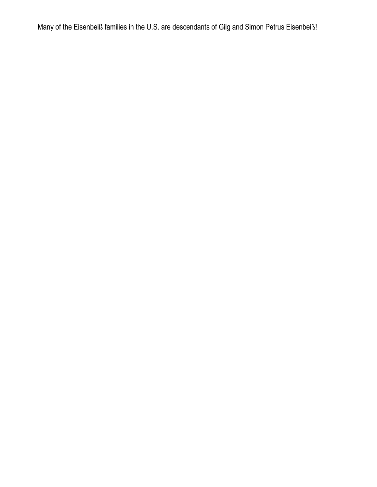Many of the Eisenbeiß families in the U.S. are descendants of Gilg and Simon Petrus Eisenbeiß!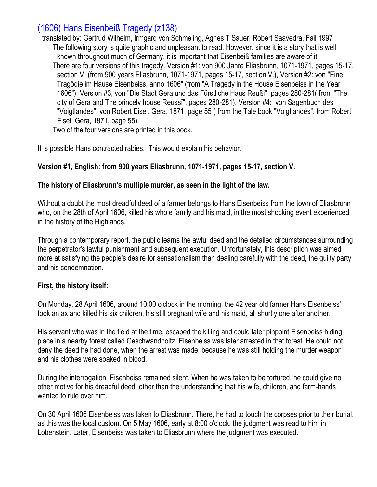# (1606) Hans Eisenbeiß Tragedy (z138)

translated by: Gertrud Wilhelm, Irmgard von Schmeling, Agnes T Sauer, Robert Saavedra, Fall 1997 The following story is quite graphic and unpleasant to read. However, since it is a story that is well known throughout much of Germany, it is important that Eisenbeiß families are aware of it. There are four versions of this tragedy. Version #1: von 900 Jahre Eliasbrunn, 1071-1971, pages 15-17, section V (from 900 years Eliasbrunn, 1071-1971, pages 15-17, section V.), Version #2: von "Eine Tragödie im Hause Eisenbeiss, anno 1606" (from "A Tragedy in the House Eisenbeiss in the Year 1606"), Version #3, von "Die Stadt Gera und das Fürstliche Haus Reußi", pages 280-281( from "The city of Gera and The princely house Reussï", pages 280-281), Version #4: von Sagenbuch des "Voigtlandes", von Robert Eisel, Gera, 1871, page 55 ( from the Tale book "Voigtlandes", from Robert Eisel, Gera, 1871, page 55).

Two of the four versions are printed in this book.

It is possible Hans contracted rabies. This would explain his behavior.

#### **Version #1, English: from 900 years Eliasbrunn, 1071-1971, pages 15-17, section V.**

#### **The history of Eliasbrunn's multiple murder, as seen in the light of the law.**

Without a doubt the most dreadful deed of a farmer belongs to Hans Eisenbeiss from the town of Eliasbrunn who, on the 28th of April 1606, killed his whole family and his maid, in the most shocking event experienced in the history of the Highlands.

Through a contemporary report, the public learns the awful deed and the detailed circumstances surrounding the perpetrator's lawful punishment and subsequent execution. Unfortunately, this description was aimed more at satisfying the people's desire for sensationalism than dealing carefully with the deed, the guilty party and his condemnation.

#### **First, the history itself:**

On Monday, 28 April 1606, around 10:00 o'clock in the morning, the 42 year old farmer Hans Eisenbeiss' took an ax and killed his six children, his still pregnant wife and his maid, all shortly one after another.

His servant who was in the field at the time, escaped the killing and could later pinpoint Eisenbeiss hiding place in a nearby forest called Geschwandholtz. Eisenbeiss was later arrested in that forest. He could not deny the deed he had done, when the arrest was made, because he was still holding the murder weapon and his clothes were soaked in blood.

During the interrogation, Eisenbeiss remained silent. When he was taken to be tortured, he could give no other motive for his dreadful deed, other than the understanding that his wife, children, and farm-hands wanted to rule over him.

On 30 April 1606 Eisenbeiss was taken to Eliasbrunn. There, he had to touch the corpses prior to their burial, as this was the local custom. On 5 May 1606, early at 8:00 o'clock, the judgment was read to him in Lobenstein. Later, Eisenbeiss was taken to Eliasbrunn where the judgment was executed.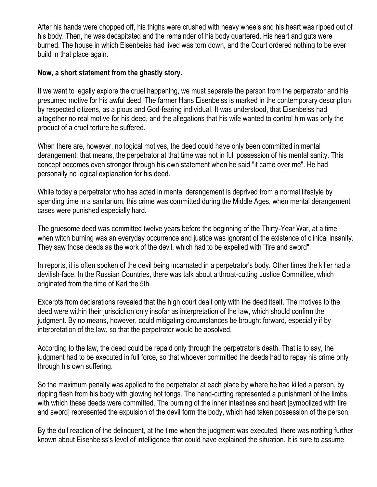After his hands were chopped off, his thighs were crushed with heavy wheels and his heart was ripped out of his body. Then, he was decapitated and the remainder of his body quartered. His heart and guts were burned. The house in which Eisenbeiss had lived was torn down, and the Court ordered nothing to be ever build in that place again.

#### **Now, a short statement from the ghastly story.**

If we want to legally explore the cruel happening, we must separate the person from the perpetrator and his presumed motive for his awful deed. The farmer Hans Eisenbeiss is marked in the contemporary description by respected citizens, as a pious and God-fearing individual. It was understood, that Eisenbeiss had altogether no real motive for his deed, and the allegations that his wife wanted to control him was only the product of a cruel torture he suffered.

When there are, however, no logical motives, the deed could have only been committed in mental derangement; that means, the perpetrator at that time was not in full possession of his mental sanity. This concept becomes even stronger through his own statement when he said "it came over me". He had personally no logical explanation for his deed.

While today a perpetrator who has acted in mental derangement is deprived from a normal lifestyle by spending time in a sanitarium, this crime was committed during the Middle Ages, when mental derangement cases were punished especially hard.

The gruesome deed was committed twelve years before the beginning of the Thirty-Year War, at a time when witch burning was an everyday occurrence and justice was ignorant of the existence of clinical insanity. They saw those deeds as the work of the devil, which had to be expelled with "fire and sword".

In reports, it is often spoken of the devil being incarnated in a perpetrator's body. Other times the killer had a devilish-face. In the Russian Countries, there was talk about a throat-cutting Justice Committee, which originated from the time of Karl the 5th.

Excerpts from declarations revealed that the high court dealt only with the deed itself. The motives to the deed were within their jurisdiction only insofar as interpretation of the law, which should confirm the judgment. By no means, however, could mitigating circumstances be brought forward, especially if by interpretation of the law, so that the perpetrator would be absolved.

According to the law, the deed could be repaid only through the perpetrator's death. That is to say, the judgment had to be executed in full force, so that whoever committed the deeds had to repay his crime only through his own suffering.

So the maximum penalty was applied to the perpetrator at each place by where he had killed a person, by ripping flesh from his body with glowing hot tongs. The hand-cutting represented a punishment of the limbs, with which these deeds were committed. The burning of the inner intestines and heart [symbolized with fire and sword] represented the expulsion of the devil form the body, which had taken possession of the person.

By the dull reaction of the delinquent, at the time when the judgment was executed, there was nothing further known about Eisenbeiss's level of intelligence that could have explained the situation. It is sure to assume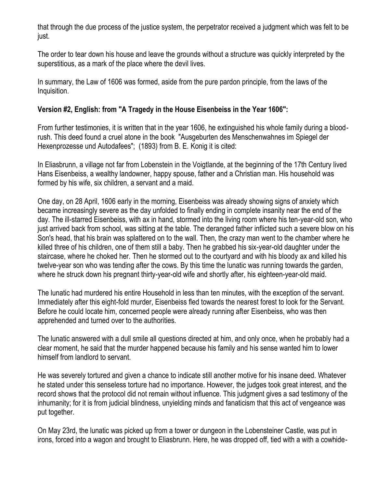that through the due process of the justice system, the perpetrator received a judgment which was felt to be just.

The order to tear down his house and leave the grounds without a structure was quickly interpreted by the superstitious, as a mark of the place where the devil lives.

In summary, the Law of 1606 was formed, aside from the pure pardon principle, from the laws of the Inquisition.

### **Version #2, English: from "A Tragedy in the House Eisenbeiss in the Year 1606":**

From further testimonies, it is written that in the year 1606, he extinguished his whole family during a bloodrush. This deed found a cruel atone in the book "Ausgeburten des Menschenwahnes im Spiegel der Hexenprozesse und Autodafees"; (1893) from B. E. Konig it is cited:

In Eliasbrunn, a village not far from Lobenstein in the Voigtlande, at the beginning of the 17th Century lived Hans Eisenbeiss, a wealthy landowner, happy spouse, father and a Christian man. His household was formed by his wife, six children, a servant and a maid.

One day, on 28 April, 1606 early in the morning, Eisenbeiss was already showing signs of anxiety which became increasingly severe as the day unfolded to finally ending in complete insanity near the end of the day. The ill-starred Eisenbeiss, with ax in hand, stormed into the living room where his ten-year-old son, who just arrived back from school, was sitting at the table. The deranged father inflicted such a severe blow on his Son's head, that his brain was splattered on to the wall. Then, the crazy man went to the chamber where he killed three of his children, one of them still a baby. Then he grabbed his six-year-old daughter under the staircase, where he choked her. Then he stormed out to the courtyard and with his bloody ax and killed his twelve-year son who was tending after the cows. By this time the lunatic was running towards the garden, where he struck down his pregnant thirty-year-old wife and shortly after, his eighteen-year-old maid.

The lunatic had murdered his entire Household in less than ten minutes, with the exception of the servant. Immediately after this eight-fold murder, Eisenbeiss fled towards the nearest forest to look for the Servant. Before he could locate him, concerned people were already running after Eisenbeiss, who was then apprehended and turned over to the authorities.

The lunatic answered with a dull smile all questions directed at him, and only once, when he probably had a clear moment, he said that the murder happened because his family and his sense wanted him to lower himself from landlord to servant.

He was severely tortured and given a chance to indicate still another motive for his insane deed. Whatever he stated under this senseless torture had no importance. However, the judges took great interest, and the record shows that the protocol did not remain without influence. This judgment gives a sad testimony of the inhumanity; for it is from judicial blindness, unyielding minds and fanaticism that this act of vengeance was put together.

On May 23rd, the lunatic was picked up from a tower or dungeon in the Lobensteiner Castle, was put in irons, forced into a wagon and brought to Eliasbrunn. Here, he was dropped off, tied with a with a cowhide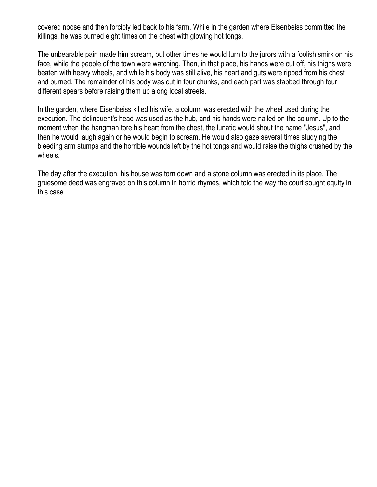covered noose and then forcibly led back to his farm. While in the garden where Eisenbeiss committed the killings, he was burned eight times on the chest with glowing hot tongs.

The unbearable pain made him scream, but other times he would turn to the jurors with a foolish smirk on his face, while the people of the town were watching. Then, in that place, his hands were cut off, his thighs were beaten with heavy wheels, and while his body was still alive, his heart and guts were ripped from his chest and burned. The remainder of his body was cut in four chunks, and each part was stabbed through four different spears before raising them up along local streets.

In the garden, where Eisenbeiss killed his wife, a column was erected with the wheel used during the execution. The delinquent's head was used as the hub, and his hands were nailed on the column. Up to the moment when the hangman tore his heart from the chest, the lunatic would shout the name "Jesus", and then he would laugh again or he would begin to scream. He would also gaze several times studying the bleeding arm stumps and the horrible wounds left by the hot tongs and would raise the thighs crushed by the wheels.

The day after the execution, his house was torn down and a stone column was erected in its place. The gruesome deed was engraved on this column in horrid rhymes, which told the way the court sought equity in this case.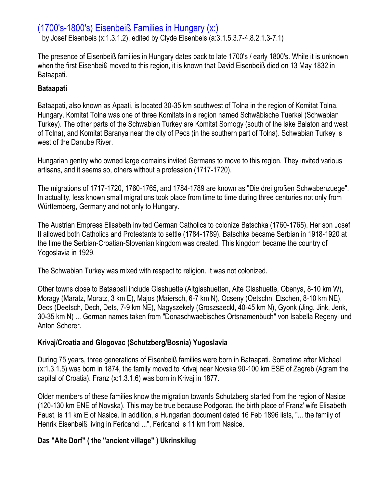## (1700's-1800's) Eisenbeiß Families in Hungary (x:)

by Josef Eisenbeis (x:1.3.1.2), edited by Clyde Eisenbeis (a:3.1.5.3.7-4.8.2.1.3-7.1)

The presence of Eisenbeiß families in Hungary dates back to late 1700's / early 1800's. While it is unknown when the first Eisenbeiß moved to this region, it is known that David Eisenbeiß died on 13 May 1832 in Bataapati.

#### **Bataapati**

Bataapati, also known as Apaati, is located 30-35 km southwest of Tolna in the region of Komitat Tolna, Hungary. Komitat Tolna was one of three Komitats in a region named Schwäbische Tuerkei (Schwabian Turkey). The other parts of the Schwabian Turkey are Komitat Somogy (south of the lake Balaton and west of Tolna), and Komitat Baranya near the city of Pecs (in the southern part of Tolna). Schwabian Turkey is west of the Danube River.

Hungarian gentry who owned large domains invited Germans to move to this region. They invited various artisans, and it seems so, others without a profession (1717-1720).

The migrations of 1717-1720, 1760-1765, and 1784-1789 are known as "Die drei großen Schwabenzuege". In actuality, less known small migrations took place from time to time during three centuries not only from Württemberg, Germany and not only to Hungary.

The Austrian Empress Elisabeth invited German Catholics to colonize Batschka (1760-1765). Her son Josef II allowed both Catholics and Protestants to settle (1784-1789). Batschka became Serbian in 1918-1920 at the time the Serbian-Croatian-Slovenian kingdom was created. This kingdom became the country of Yogoslavia in 1929.

The Schwabian Turkey was mixed with respect to religion. It was not colonized.

Other towns close to Bataapati include Glashuette (Altglashuetten, Alte Glashuette, Obenya, 8-10 km W), Moragy (Maratz, Moratz, 3 km E), Majos (Maiersch, 6-7 km N), Ocseny (Oetschn, Etschen, 8-10 km NE), Decs (Deetsch, Dech, Dets, 7-9 km NE), Nagyszekely (Groszsaeckl, 40-45 km N), Gyonk (Jing, Jink, Jenk, 30-35 km N) ... German names taken from "Donaschwaebisches Ortsnamenbuch" von Isabella Regenyi und Anton Scherer.

### **Krivaj/Croatia and Glogovac (Schutzberg/Bosnia) Yugoslavia**

During 75 years, three generations of Eisenbeiß families were born in Bataapati. Sometime after Michael (x:1.3.1.5) was born in 1874, the family moved to Krivaj near Novska 90-100 km ESE of Zagreb (Agram the capital of Croatia). Franz (x:1.3.1.6) was born in Krivaj in 1877.

Older members of these families know the migration towards Schutzberg started from the region of Nasice (120-130 km ENE of Novska). This may be true because Podgorac, the birth place of Franz' wife Elisabeth Faust, is 11 km E of Nasice. In addition, a Hungarian document dated 16 Feb 1896 lists, "... the family of Henrik Eisenbeiß living in Fericanci ...", Fericanci is 11 km from Nasice.

### **Das "Alte Dorf" ( the "ancient village" ) Ukrinskilug**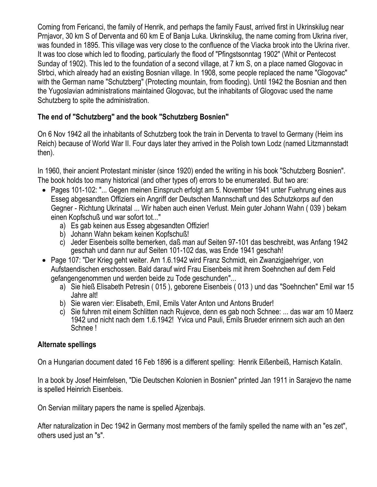Coming from Fericanci, the family of Henrik, and perhaps the family Faust, arrived first in Ukrinskilug near Prnjavor, 30 km S of Derventa and 60 km E of Banja Luka. Ukrinskilug, the name coming from Ukrina river, was founded in 1895. This village was very close to the confluence of the Viacka brook into the Ukrina river. It was too close which led to flooding, particularly the flood of "Pfingstsonntag 1902" (Whit or Pentecost Sunday of 1902). This led to the foundation of a second village, at 7 km S, on a place named Glogovac in Strbci, which already had an existing Bosnian village. In 1908, some people replaced the name "Glogovac" with the German name "Schutzberg" (Protecting mountain, from flooding). Until 1942 the Bosnian and then the Yugoslavian administrations maintained Glogovac, but the inhabitants of Glogovac used the name Schutzberg to spite the administration.

### **The end of "Schutzberg" and the book "Schutzberg Bosnien"**

On 6 Nov 1942 all the inhabitants of Schutzberg took the train in Derventa to travel to Germany (Heim ins Reich) because of World War II. Four days later they arrived in the Polish town Lodz (named Litzmannstadt then).

In 1960, their ancient Protestant minister (since 1920) ended the writing in his book "Schutzberg Bosnien". The book holds too many historical (and other types of) errors to be enumerated. But two are:

- Pages 101-102: "... Gegen meinen Einspruch erfolgt am 5. November 1941 unter Fuehrung eines aus Esseg abgesandten Offiziers ein Angriff der Deutschen Mannschaft und des Schutzkorps auf den Gegner - Richtung Ukrinatal ... Wir haben auch einen Verlust. Mein guter Johann Wahn ( 039 ) bekam einen Kopfschuß und war sofort tot..."
	- a) Es gab keinen aus Esseg abgesandten Offizier!
	- b) Johann Wahn bekam keinen Kopfschuß!
	- c) Jeder Eisenbeis sollte bemerken, daß man auf Seiten 97-101 das beschreibt, was Anfang 1942 geschah und dann nur auf Seiten 101-102 das, was Ende 1941 geschah!
- Page 107: "Der Krieg geht weiter. Am 1.6.1942 wird Franz Schmidt, ein Zwanzigjaehriger, von Aufstaendischen erschossen. Bald darauf wird Frau Eisenbeis mit ihrem Soehnchen auf dem Feld gefangengenommen und werden beide zu Tode geschunden"...
	- a) Sie hieß Elisabeth Petresin ( 015 ), geborene Eisenbeis ( 013 ) und das "Soehnchen" Emil war 15 Jahre alt!
	- b) Sie waren vier: Elisabeth, Emil, Emils Vater Anton und Antons Bruder!
	- c) Sie fuhren mit einem Schlitten nach Rujevce, denn es gab noch Schnee: ... das war am 10 Maerz 1942 und nicht nach dem 1.6.1942! Yvica und Pauli, Emils Brueder erinnern sich auch an den Schnee !

### **Alternate spellings**

On a Hungarian document dated 16 Feb 1896 is a different spelling: Henrik Eißenbeiß, Harnisch Katalin.

In a book by Josef Heimfelsen, "Die Deutschen Kolonien in Bosnien" printed Jan 1911 in Sarajevo the name is spelled Heinrich Eisenbeis.

On Servian military papers the name is spelled Ajzenbajs.

After naturalization in Dec 1942 in Germany most members of the family spelled the name with an "es zet", others used just an "s".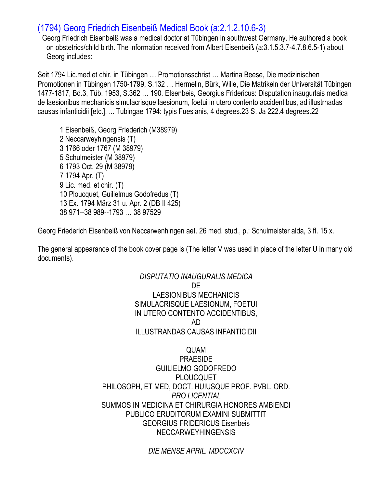# (1794) Georg Friedrich Eisenbeiß Medical Book (a:2.1.2.10.6-3)

Georg Friedrich Eisenbeiß was a medical doctor at Tübingen in southwest Germany. He authored a book on obstetrics/child birth. The information received from Albert Eisenbeiß (a:3.1.5.3.7-4.7.8.6.5-1) about Georg includes:

Seit 1794 Lic.med.et chir. in Tübingen … Promotionsschrist … Martina Beese, Die medizinischen Promotionen in Tübingen 1750-1799, S.132 … Hermelin, Bürk, Wille, Die Matrikeln der Universität Tübingen 1477-1817, Bd.3, Tüb. 1953, S.362 … 190. EIsenbeis, Georgius Fridericus: Disputation inaugurlais medica de laesionibus mechanicis simulacrisque laesionum, foetui in utero contento accidentibus, ad illustrnadas causas infanticidii [etc.]. ... Tubingae 1794: typis Fuesianis, 4 degrees.23 S. Ja 222.4 degrees.22

1 Eisenbeiß, Georg Friederich (M38979) 2 Neccarweyhingensis (T) 3 1766 oder 1767 (M 38979) 5 Schulmeister (M 38979) 6 1793 Oct. 29 (M 38979) 7 1794 Apr. (T) 9 Lic. med. et chir. (T) 10 Ploucquet, Guilielmus Godofredus (T) 13 Ex. 1794 März 31 u. Apr. 2 (DB II 425) 38 971--38 989--1793 … 38 97529

Georg Friederich Eisenbeiß von Neccarwenhingen aet. 26 med. stud., p.: Schulmeister alda, 3 fl. 15 x.

The general appearance of the book cover page is (The letter V was used in place of the letter U in many old documents).

> *DISPUTATIO INAUGURALIS MEDICA* DE LAESIONIBUS MECHANICIS SIMULACRISQUE LAESIONUM, FOETUI IN UTERO CONTENTO ACCIDENTIBUS, AD ILLUSTRANDAS CAUSAS INFANTICIDII

QUAM **PRAESIDE** GUILIELMO GODOFREDO PLOUCQUET PHILOSOPH, ET MED, DOCT. HUIUSQUE PROF. PVBL. ORD. *PRO LICENTIAL* SUMMOS IN MEDICINA ET CHIRURGIA HONORES AMBIENDI PUBLICO ERUDITORUM EXAMINI SUBMITTIT GEORGIUS FRIDERICUS Eisenbeis NECCARWEYHINGENSIS

*DIE MENSE APRIL. MDCCXCIV*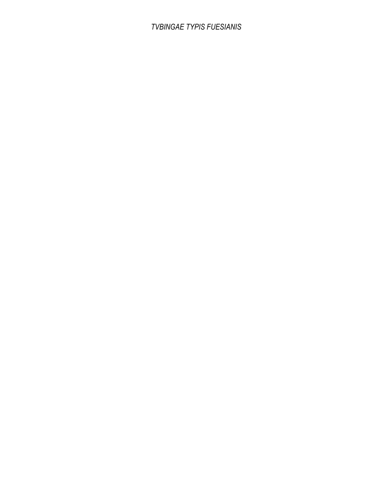### *TVBINGAE TYPIS FUESIANIS*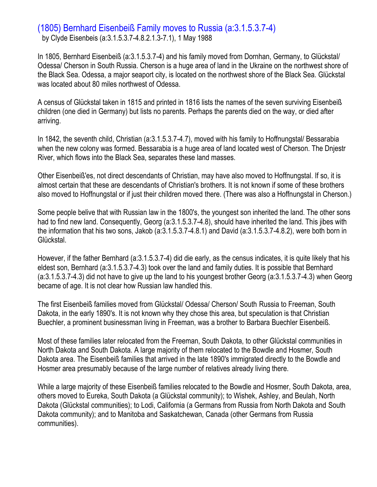### (1805) Bernhard Eisenbeiß Family moves to Russia (a:3.1.5.3.7-4) by Clyde Eisenbeis (a:3.1.5.3.7-4.8.2.1.3-7.1), 1 May 1988

In 1805, Bernhard Eisenbeiß (a:3.1.5.3.7-4) and his family moved from Dornhan, Germany, to Glückstal/ Odessa/ Cherson in South Russia. Cherson is a huge area of land in the Ukraine on the northwest shore of the Black Sea. Odessa, a major seaport city, is located on the northwest shore of the Black Sea. Glückstal was located about 80 miles northwest of Odessa.

A census of Glückstal taken in 1815 and printed in 1816 lists the names of the seven surviving Eisenbeiß children (one died in Germany) but lists no parents. Perhaps the parents died on the way, or died after arriving.

In 1842, the seventh child, Christian (a:3.1.5.3.7-4.7), moved with his family to Hoffnungstal/ Bessarabia when the new colony was formed. Bessarabia is a huge area of land located west of Cherson. The Dnjestr River, which flows into the Black Sea, separates these land masses.

Other Eisenbeiß'es, not direct descendants of Christian, may have also moved to Hoffnungstal. If so, it is almost certain that these are descendants of Christian's brothers. It is not known if some of these brothers also moved to Hoffnungstal or if just their children moved there. (There was also a Hoffnungstal in Cherson.)

Some people belive that with Russian law in the 1800's, the youngest son inherited the land. The other sons had to find new land. Consequently, Georg (a:3.1.5.3.7-4.8), should have inherited the land. This jibes with the information that his two sons, Jakob (a:3.1.5.3.7-4.8.1) and David (a:3.1.5.3.7-4.8.2), were both born in Glückstal.

However, if the father Bernhard (a:3.1.5.3.7-4) did die early, as the census indicates, it is quite likely that his eldest son, Bernhard (a:3.1.5.3.7-4.3) took over the land and family duties. It is possible that Bernhard (a:3.1.5.3.7-4.3) did not have to give up the land to his youngest brother Georg (a:3.1.5.3.7-4.3) when Georg became of age. It is not clear how Russian law handled this.

The first Eisenbeiß families moved from Glückstal/ Odessa/ Cherson/ South Russia to Freeman, South Dakota, in the early 1890's. It is not known why they chose this area, but speculation is that Christian Buechler, a prominent businessman living in Freeman, was a brother to Barbara Buechler Eisenbeiß.

Most of these families later relocated from the Freeman, South Dakota, to other Glückstal communities in North Dakota and South Dakota. A large majority of them relocated to the Bowdle and Hosmer, South Dakota area. The Eisenbeiß families that arrived in the late 1890's immigrated directly to the Bowdle and Hosmer area presumably because of the large number of relatives already living there.

While a large majority of these Eisenbeiß families relocated to the Bowdle and Hosmer, South Dakota, area, others moved to Eureka, South Dakota (a Glückstal community); to Wishek, Ashley, and Beulah, North Dakota (Glückstal communities); to Lodi, California (a Germans from Russia from North Dakota and South Dakota community); and to Manitoba and Saskatchewan, Canada (other Germans from Russia communities).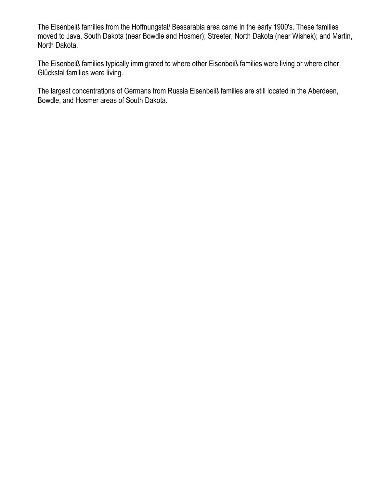The Eisenbeiß families from the Hoffnungstal/ Bessarabia area came in the early 1900's. These families moved to Java, South Dakota (near Bowdle and Hosmer); Streeter, North Dakota (near Wishek); and Martin, North Dakota.

The Eisenbeiß families typically immigrated to where other Eisenbeiß families were living or where other Glückstal families were living.

The largest concentrations of Germans from Russia Eisenbeiß families are still located in the Aberdeen, Bowdle, and Hosmer areas of South Dakota.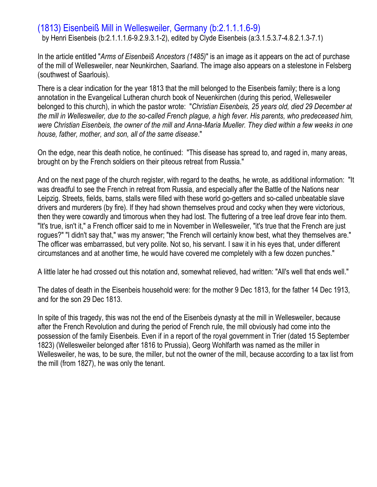# (1813) Eisenbeiß Mill in Wellesweiler, Germany (b:2.1.1.1.6-9)

by Henri Eisenbeis (b:2.1.1.1.6-9.2.9.3.1-2), edited by Clyde Eisenbeis (a:3.1.5.3.7-4.8.2.1.3-7.1)

In the article entitled "*Arms of Eisenbeiß Ancestors (1485)*" is an image as it appears on the act of purchase of the mill of Wellesweiler, near Neunkirchen, Saarland. The image also appears on a stelestone in Felsberg (southwest of Saarlouis).

There is a clear indication for the year 1813 that the mill belonged to the Eisenbeis family; there is a long annotation in the Evangelical Lutheran church book of Neuenkirchen (during this period, Wellesweiler belonged to this church), in which the pastor wrote: "*Christian Eisenbeis, 25 years old, died 29 December at the mill in Wellesweiler, due to the so-called French plague, a high fever. His parents, who predeceased him, were Christian Eisenbeis, the owner of the mill and Anna-Maria Mueller. They died within a few weeks in one house, father, mother, and son, all of the same disease*."

On the edge, near this death notice, he continued: "This disease has spread to, and raged in, many areas, brought on by the French soldiers on their piteous retreat from Russia."

And on the next page of the church register, with regard to the deaths, he wrote, as additional information: "It was dreadful to see the French in retreat from Russia, and especially after the Battle of the Nations near Leipzig. Streets, fields, barns, stalls were filled with these world go-getters and so-called unbeatable slave drivers and murderers (by fire). If they had shown themselves proud and cocky when they were victorious, then they were cowardly and timorous when they had lost. The fluttering of a tree leaf drove fear into them. "It's true, isn't it," a French officer said to me in November in Wellesweiler, "it's true that the French are just rogues?" "I didn't say that," was my answer; "the French will certainly know best, what they themselves are." The officer was embarrassed, but very polite. Not so, his servant. I saw it in his eyes that, under different circumstances and at another time, he would have covered me completely with a few dozen punches."

A little later he had crossed out this notation and, somewhat relieved, had written: "All's well that ends well."

The dates of death in the Eisenbeis household were: for the mother 9 Dec 1813, for the father 14 Dec 1913, and for the son 29 Dec 1813.

In spite of this tragedy, this was not the end of the Eisenbeis dynasty at the mill in Wellesweiler, because after the French Revolution and during the period of French rule, the mill obviously had come into the possession of the family Eisenbeis. Even if in a report of the royal government in Trier (dated 15 September 1823) (Wellesweiler belonged after 1816 to Prussia), Georg Wohlfarth was named as the miller in Wellesweiler, he was, to be sure, the miller, but not the owner of the mill, because according to a tax list from the mill (from 1827), he was only the tenant.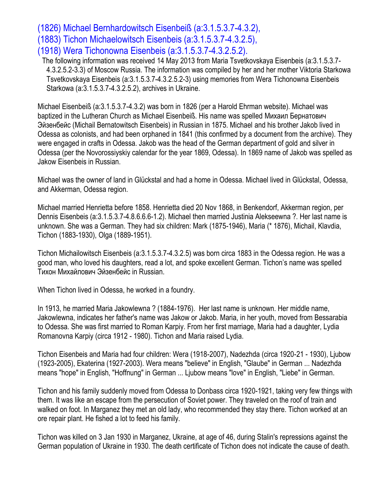(1826) Michael Bernhardowitsch Eisenbeiß (a:3.1.5.3.7-4.3.2), (1883) Tichon Michaelowitsch Eisenbeis (a:3.1.5.3.7-4.3.2.5), (1918) Wera Tichonowna Eisenbeis (a:3.1.5.3.7-4.3.2.5.2).

The following information was received 14 May 2013 from Maria Tsvetkovskaya Eisenbeis (a:3.1.5.3.7- 4.3.2.5.2-3.3) of Moscow Russia. The information was compiled by her and her mother Viktoria Starkowa Tsvetkovskaya Eisenbeis (a:3.1.5.3.7-4.3.2.5.2-3) using memories from Wera Tichonowna Eisenbeis Starkowa (a:3.1.5.3.7-4.3.2.5.2), archives in Ukraine.

Michael Eisenbeiß (a:3.1.5.3.7-4.3.2) was born in 1826 (per a Harold Ehrman website). Michael was baptized in the Lutheran Church as Michael Eisenbeiß. His name was spelled Михаил Бернатович Эйзенбейс (Michail Bernatowitsch Eisenbeis) in Russian in 1875. Michael and his brother Jakob lived in Odessa as colonists, and had been orphaned in 1841 (this confirmed by a document from the archive). They were engaged in crafts in Odessa. Jakob was the head of the German department of gold and silver in Odessa (per the Novorossiyskiy calendar for the year 1869, Odessa). In 1869 name of Jakob was spelled as Jakow Eisenbeis in Russian.

Michael was the owner of land in Glückstal and had a home in Odessa. Michael lived in Glückstal, Odessa, and Akkerman, Odessa region.

Michael married Henrietta before 1858. Henrietta died 20 Nov 1868, in Benkendorf, Akkerman region, per Dennis Eisenbeis (a:3.1.5.3.7-4.8.6.6.6-1.2). Michael then married Justinia Alekseewna ?. Her last name is unknown. She was a German. They had six children: Mark (1875-1946), Maria (\* 1876), Michail, Klavdia, Tichon (1883-1930), Olga (1889-1951).

Tichon Michailowitsch Eisenbeis (a:3.1.5.3.7-4.3.2.5) was born circa 1883 in the Odessa region. He was a good man, who loved his daughters, read a lot, and spoke excellent German. Tichon's name was spelled Тихон Михайлович Эйзенбейс in Russian.

When Tichon lived in Odessa, he worked in a foundry.

In 1913, he married Maria Jakowlewna ? (1884-1976). Her last name is unknown. Her middle name, Jakowlewna, indicates her father's name was Jakow or Jakob. Maria, in her youth, moved from Bessarabia to Odessa. She was first married to Roman Karpiy. From her first marriage, Maria had a daughter, Lydia Romanovna Karpiy (circa 1912 - 1980). Tichon and Maria raised Lydia.

Tichon Eisenbeis and Maria had four children: Wera (1918-2007), Nadezhda (circa 1920-21 - 1930), Ljubow (1923-2005), Ekaterina (1927-2003). Wera means "believe" in English, "Glaube" in German ... Nadezhda means "hope" in English, "Hoffnung" in German ... Ljubow means "love" in English, "Liebe" in German.

Tichon and his family suddenly moved from Odessa to Donbass circa 1920-1921, taking very few things with them. It was like an escape from the persecution of Soviet power. They traveled on the roof of train and walked on foot. In Marganez they met an old lady, who recommended they stay there. Tichon worked at an ore repair plant. He fished a lot to feed his family.

Tichon was killed on 3 Jan 1930 in Marganez, Ukraine, at age of 46, during Stalin's repressions against the German population of Ukraine in 1930. The death certificate of Tichon does not indicate the cause of death.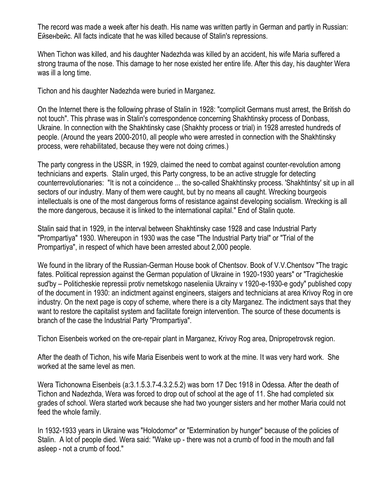The record was made a week after his death. His name was written partly in German and partly in Russian: Eйseнbeйс. All facts indicate that he was killed because of Stalin's repressions.

When Tichon was killed, and his daughter Nadezhda was killed by an accident, his wife Maria suffered a strong trauma of the nose. This damage to her nose existed her entire life. After this day, his daughter Wera was ill a long time.

Tichon and his daughter Nadezhda were buried in Marganez.

On the Internet there is the following phrase of Stalin in 1928: "complicit Germans must arrest, the British do not touch". This phrase was in Stalin's correspondence concerning Shakhtinsky process of Donbass, Ukraine. In connection with the Shakhtinsky case (Shakhty process or trial) in 1928 arrested hundreds of people. (Around the years 2000-2010, all people who were arrested in connection with the Shakhtinsky process, were rehabilitated, because they were not doing crimes.)

The party congress in the USSR, in 1929, claimed the need to combat against counter-revolution among technicians and experts. Stalin urged, this Party congress, to be an active struggle for detecting counterrevolutionaries: "It is not a coincidence ... the so-called Shakhtinsky process. 'Shakhtintsy' sit up in all sectors of our industry. Many of them were caught, but by no means all caught. Wrecking bourgeois intellectuals is one of the most dangerous forms of resistance against developing socialism. Wrecking is all the more dangerous, because it is linked to the international capital." End of Stalin quote.

Stalin said that in 1929, in the interval between Shakhtinsky case 1928 and case Industrial Party "Prompartiya" 1930. Whereupon in 1930 was the case "The Industrial Party trial" or "Trial of the Prompartiya", in respect of which have been arrested about 2,000 people.

We found in the library of the Russian-German House book of Chentsov. Book of V.V.Chentsov "The tragic fates. Political repression against the German population of Ukraine in 1920-1930 years" or "Tragicheskie sud'by – Politicheskie repressii protiv nemetskogo naseleniia Ukrainy v 1920-e-1930-e gody" published copy of the document in 1930: an indictment against engineers, staigers and technicians at area Krivoy Rog in ore industry. On the next page is copy of scheme, where there is a city Marganez. The indictment says that they want to restore the capitalist system and facilitate foreign intervention. The source of these documents is branch of the case the Industrial Party "Prompartiya".

Tichon Eisenbeis worked on the ore-repair plant in Marganez, Krivoy Rog area, Dnipropetrovsk region.

After the death of Tichon, his wife Maria Eisenbeis went to work at the mine. It was very hard work. She worked at the same level as men.

Wera Tichonowna Eisenbeis (a:3.1.5.3.7-4.3.2.5.2) was born 17 Dec 1918 in Odessa. After the death of Tiсhon and Nadezhda, Wera was forced to drop out of school at the age of 11. She had completed six grades of school. Wera started work because she had two younger sisters and her mother Maria could not feed the whole family.

In 1932-1933 years in Ukraine was "Holodomor" or "Extermination by hunger" because of the policies of Stalin. A lot of people died. Wera said: "Wake up - there was not a crumb of food in the mouth and fall asleep - not a crumb of food."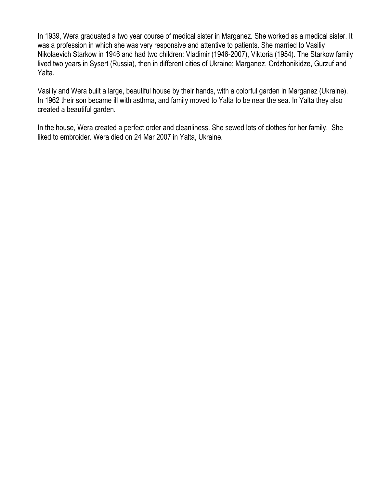In 1939, Wera graduated a two year course of medical sister in Marganez. She worked as a medical sister. It was a profession in which she was very responsive and attentive to patients. She married to Vasiliy Nikolaevich Starkow in 1946 and had two children: Vladimir (1946-2007), Viktoria (1954). The Starkow family lived two years in Sysert (Russia), then in different cities of Ukraine; Marganez, Ordzhonikidze, Gurzuf and Yalta.

Vasiliy and Wera built a large, beautiful house by their hands, with a colorful garden in Marganez (Ukraine). In 1962 their son became ill with asthma, and family moved to Yalta to be near the sea. In Yalta they also created a beautiful garden.

In the house, Wera created a perfect order and cleanliness. She sewed lots of clothes for her family. She liked to embroider. Wera died on 24 Mar 2007 in Yalta, Ukraine.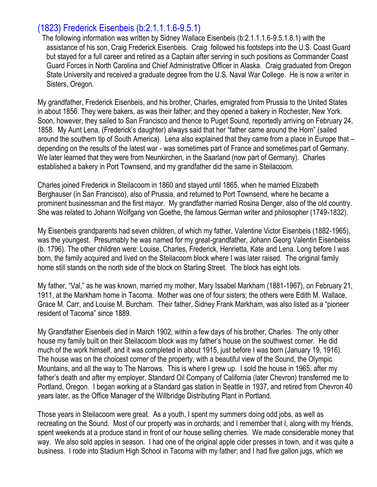# (1823) Frederick Eisenbeis (b:2.1.1.1.6-9.5.1)

The following information was written by Sidney Wallace Eisenbeis (b:2.1.1.1.6-9.5.1.8.1) with the assistance of his son, Craig Frederick Eisenbeis. Craig followed his footsteps into the U.S. Coast Guard but stayed for a full career and retired as a Captain after serving in such positions as Commander Coast Guard Forces in North Carolina and Chief Administrative Officer in Alaska. Craig graduated from Oregon State University and received a graduate degree from the U.S. Naval War College. He is now a writer in Sisters, Oregon.

My grandfather, Frederick Eisenbeis, and his brother, Charles, emigrated from Prussia to the United States in about 1856. They were bakers, as was their father; and they opened a bakery in Rochester, New York. Soon, however, they sailed to San Francisco and thence to Puget Sound, reportedly arriving on February 24, 1858. My Aunt Lena, (Frederick's daughter) always said that her "father came around the Horn" (sailed around the southern tip of South America). Lena also explained that they came from a place in Europe that – depending on the results of the latest war - was sometimes part of France and sometimes part of Germany. We later learned that they were from Neunkirchen, in the Saarland (now part of Germany). Charles established a bakery in Port Townsend, and my grandfather did the same in Steilacoom.

Charles joined Frederick in Steilacoom in 1860 and stayed until 1865, when he married Elizabeth Berghauser (in San Francisco), also of Prussia, and returned to Port Townsend, where he became a prominent businessman and the first mayor. My grandfather married Rosina Denger, also of the old country. She was related to Johann Wolfgang von Goethe, the famous German writer and philosopher (1749-1832).

My Eisenbeis grandparents had seven children, of which my father, Valentine Victor Eisenbeis (1882-1965), was the youngest. Presumably he was named for my great-grandfather, Johann Georg Valentin Eisenbeiss (b. 1796). The other children were: Louise, Charles, Frederick, Henrietta, Kate and Lena. Long before I was born, the family acquired and lived on the Steilacoom block where I was later raised. The original family home still stands on the north side of the block on Starling Street. The block has eight lots.

My father, "Val," as he was known, married my mother, Mary Issabel Markham (1881-1967), on February 21, 1911, at the Markham home in Tacoma. Mother was one of four sisters; the others were Edith M. Wallace, Grace M. Carr, and Louise M. Burcham. Their father, Sidney Frank Markham, was also listed as a "pioneer resident of Tacoma" since 1889.

My Grandfather Eisenbeis died in March 1902, within a few days of his brother, Charles. The only other house my family built on their Steilacoom block was my father's house on the southwest corner. He did much of the work himself, and it was completed in about 1915, just before I was born (January 19, 1916). The house was on the choicest corner of the property, with a beautiful view of the Sound, the Olympic Mountains, and all the way to The Narrows. This is where I grew up. I sold the house in 1965, after my father's death and after my employer, Standard Oil Company of California (later Chevron) transferred me to Portland, Oregon. I began working at a Standard gas station in Seattle in 1937, and retired from Chevron 40 years later, as the Office Manager of the Willbridge Distributing Plant in Portland.

Those years in Steilacoom were great. As a youth, I spent my summers doing odd jobs, as well as recreating on the Sound. Most of our property was in orchards; and I remember that I, along with my friends, spent weekends at a produce stand in front of our house selling cherries. We made considerable money that way. We also sold apples in season. I had one of the original apple cider presses in town, and it was quite a business. I rode into Stadium High School in Tacoma with my father; and I had five gallon jugs, which we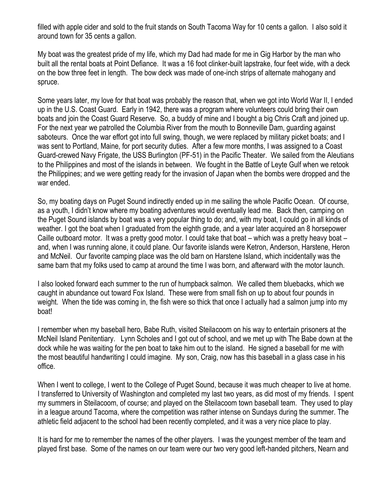filled with apple cider and sold to the fruit stands on South Tacoma Way for 10 cents a gallon. I also sold it around town for 35 cents a gallon.

My boat was the greatest pride of my life, which my Dad had made for me in Gig Harbor by the man who built all the rental boats at Point Defiance. It was a 16 foot clinker-built lapstrake, four feet wide, with a deck on the bow three feet in length. The bow deck was made of one-inch strips of alternate mahogany and spruce.

Some years later, my love for that boat was probably the reason that, when we got into World War II, I ended up in the U.S. Coast Guard. Early in 1942, there was a program where volunteers could bring their own boats and join the Coast Guard Reserve. So, a buddy of mine and I bought a big Chris Craft and joined up. For the next year we patrolled the Columbia River from the mouth to Bonneville Dam, guarding against saboteurs. Once the war effort got into full swing, though, we were replaced by military picket boats; and I was sent to Portland, Maine, for port security duties. After a few more months, I was assigned to a Coast Guard-crewed Navy Frigate, the USS Burlington (PF-51) in the Pacific Theater. We sailed from the Aleutians to the Philippines and most of the islands in between. We fought in the Battle of Leyte Gulf when we retook the Philippines; and we were getting ready for the invasion of Japan when the bombs were dropped and the war ended.

So, my boating days on Puget Sound indirectly ended up in me sailing the whole Pacific Ocean. Of course, as a youth, I didn't know where my boating adventures would eventually lead me. Back then, camping on the Puget Sound islands by boat was a very popular thing to do; and, with my boat, I could go in all kinds of weather. I got the boat when I graduated from the eighth grade, and a year later acquired an 8 horsepower Caille outboard motor. It was a pretty good motor. I could take that boat – which was a pretty heavy boat – and, when I was running alone, it could plane. Our favorite islands were Ketron, Anderson, Harstene, Heron and McNeil. Our favorite camping place was the old barn on Harstene Island, which incidentally was the same barn that my folks used to camp at around the time I was born, and afterward with the motor launch.

I also looked forward each summer to the run of humpback salmon. We called them bluebacks, which we caught in abundance out toward Fox Island. These were from small fish on up to about four pounds in weight. When the tide was coming in, the fish were so thick that once I actually had a salmon jump into my boat!

I remember when my baseball hero, Babe Ruth, visited Steilacoom on his way to entertain prisoners at the McNeil Island Penitentiary. Lynn Scholes and I got out of school, and we met up with The Babe down at the dock while he was waiting for the pen boat to take him out to the island. He signed a baseball for me with the most beautiful handwriting I could imagine. My son, Craig, now has this baseball in a glass case in his office.

When I went to college, I went to the College of Puget Sound, because it was much cheaper to live at home. I transferred to University of Washington and completed my last two years, as did most of my friends. I spent my summers in Steilacoom, of course; and played on the Steilacoom town baseball team. They used to play in a league around Tacoma, where the competition was rather intense on Sundays during the summer. The athletic field adjacent to the school had been recently completed, and it was a very nice place to play.

It is hard for me to remember the names of the other players. I was the youngest member of the team and played first base. Some of the names on our team were our two very good left-handed pitchers, Nearn and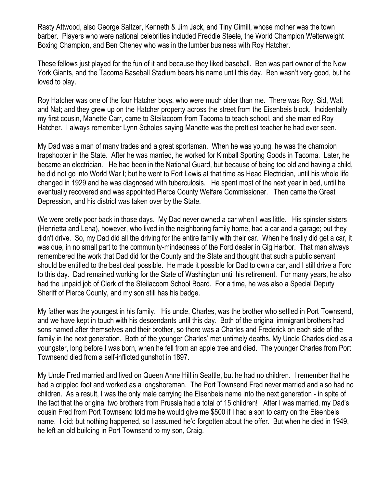Rasty Attwood, also George Saltzer, Kenneth & Jim Jack, and Tiny Gimill, whose mother was the town barber. Players who were national celebrities included Freddie Steele, the World Champion Welterweight Boxing Champion, and Ben Cheney who was in the lumber business with Roy Hatcher.

These fellows just played for the fun of it and because they liked baseball. Ben was part owner of the New York Giants, and the Tacoma Baseball Stadium bears his name until this day. Ben wasn't very good, but he loved to play.

Roy Hatcher was one of the four Hatcher boys, who were much older than me. There was Roy, Sid, Walt and Nat; and they grew up on the Hatcher property across the street from the Eisenbeis block. Incidentally my first cousin, Manette Carr, came to Steilacoom from Tacoma to teach school, and she married Roy Hatcher. I always remember Lynn Scholes saying Manette was the prettiest teacher he had ever seen.

My Dad was a man of many trades and a great sportsman. When he was young, he was the champion trapshooter in the State. After he was married, he worked for Kimball Sporting Goods in Tacoma. Later, he became an electrician. He had been in the National Guard, but because of being too old and having a child, he did not go into World War I; but he went to Fort Lewis at that time as Head Electrician, until his whole life changed in 1929 and he was diagnosed with tuberculosis. He spent most of the next year in bed, until he eventually recovered and was appointed Pierce County Welfare Commissioner. Then came the Great Depression, and his district was taken over by the State.

We were pretty poor back in those days. My Dad never owned a car when I was little. His spinster sisters (Henrietta and Lena), however, who lived in the neighboring family home, had a car and a garage; but they didn't drive. So, my Dad did all the driving for the entire family with their car. When he finally did get a car, it was due, in no small part to the community-mindedness of the Ford dealer in Gig Harbor. That man always remembered the work that Dad did for the County and the State and thought that such a public servant should be entitled to the best deal possible. He made it possible for Dad to own a car, and I still drive a Ford to this day. Dad remained working for the State of Washington until his retirement. For many years, he also had the unpaid job of Clerk of the Steilacoom School Board. For a time, he was also a Special Deputy Sheriff of Pierce County, and my son still has his badge.

My father was the youngest in his family. His uncle, Charles, was the brother who settled in Port Townsend, and we have kept in touch with his descendants until this day. Both of the original immigrant brothers had sons named after themselves and their brother, so there was a Charles and Frederick on each side of the family in the next generation. Both of the younger Charles' met untimely deaths. My Uncle Charles died as a youngster, long before I was born, when he fell from an apple tree and died. The younger Charles from Port Townsend died from a self-inflicted gunshot in 1897.

My Uncle Fred married and lived on Queen Anne Hill in Seattle, but he had no children. I remember that he had a crippled foot and worked as a longshoreman. The Port Townsend Fred never married and also had no children. As a result, I was the only male carrying the Eisenbeis name into the next generation - in spite of the fact that the original two brothers from Prussia had a total of 15 children! After I was married, my Dad's cousin Fred from Port Townsend told me he would give me \$500 if I had a son to carry on the Eisenbeis name. I did; but nothing happened, so I assumed he'd forgotten about the offer. But when he died in 1949, he left an old building in Port Townsend to my son, Craig.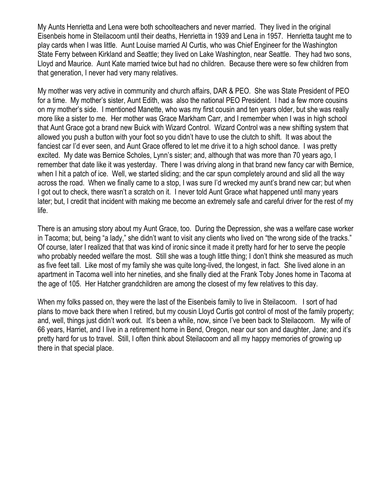My Aunts Henrietta and Lena were both schoolteachers and never married. They lived in the original Eisenbeis home in Steilacoom until their deaths, Henrietta in 1939 and Lena in 1957. Henrietta taught me to play cards when I was little. Aunt Louise married Al Curtis, who was Chief Engineer for the Washington State Ferry between Kirkland and Seattle; they lived on Lake Washington, near Seattle. They had two sons, Lloyd and Maurice. Aunt Kate married twice but had no children. Because there were so few children from that generation, I never had very many relatives.

My mother was very active in community and church affairs, DAR & PEO. She was State President of PEO for a time. My mother's sister, Aunt Edith, was also the national PEO President. I had a few more cousins on my mother's side. I mentioned Manette, who was my first cousin and ten years older, but she was really more like a sister to me. Her mother was Grace Markham Carr, and I remember when I was in high school that Aunt Grace got a brand new Buick with Wizard Control. Wizard Control was a new shifting system that allowed you push a button with your foot so you didn't have to use the clutch to shift. It was about the fanciest car I'd ever seen, and Aunt Grace offered to let me drive it to a high school dance. I was pretty excited. My date was Bernice Scholes, Lynn's sister; and, although that was more than 70 years ago, I remember that date like it was yesterday. There I was driving along in that brand new fancy car with Bernice, when I hit a patch of ice. Well, we started sliding; and the car spun completely around and slid all the way across the road. When we finally came to a stop, I was sure I'd wrecked my aunt's brand new car; but when I got out to check, there wasn't a scratch on it. I never told Aunt Grace what happened until many years later; but, I credit that incident with making me become an extremely safe and careful driver for the rest of my life.

There is an amusing story about my Aunt Grace, too. During the Depression, she was a welfare case worker in Tacoma; but, being "a lady," she didn't want to visit any clients who lived on "the wrong side of the tracks." Of course, later I realized that that was kind of ironic since it made it pretty hard for her to serve the people who probably needed welfare the most. Still she was a tough little thing; I don't think she measured as much as five feet tall. Like most of my family she was quite long-lived, the longest, in fact. She lived alone in an apartment in Tacoma well into her nineties, and she finally died at the Frank Toby Jones home in Tacoma at the age of 105. Her Hatcher grandchildren are among the closest of my few relatives to this day.

When my folks passed on, they were the last of the Eisenbeis family to live in Steilacoom. I sort of had plans to move back there when I retired, but my cousin Lloyd Curtis got control of most of the family property; and, well, things just didn't work out. It's been a while, now, since I've been back to Steilacoom. My wife of 66 years, Harriet, and I live in a retirement home in Bend, Oregon, near our son and daughter, Jane; and it's pretty hard for us to travel. Still, I often think about Steilacoom and all my happy memories of growing up there in that special place.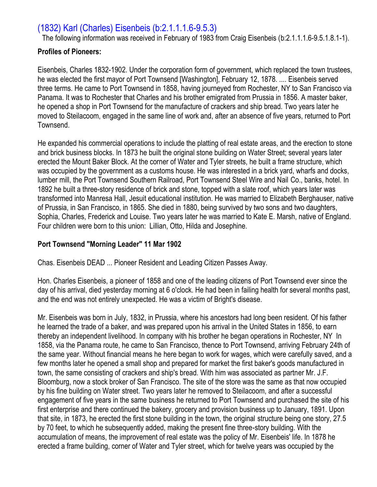# (1832) Karl (Charles) Eisenbeis (b:2.1.1.1.6-9.5.3)

The following information was received in February of 1983 from Craig Eisenbeis (b:2.1.1.1.6-9.5.1.8.1-1).

#### **Profiles of Pioneers:**

Eisenbeis, Charles 1832-1902. Under the corporation form of government, which replaced the town trustees, he was elected the first mayor of Port Townsend [Washington], February 12, 1878. .... Eisenbeis served three terms. He came to Port Townsend in 1858, having journeyed from Rochester, NY to San Francisco via Panama. It was to Rochester that Charles and his brother emigrated from Prussia in 1856. A master baker, he opened a shop in Port Townsend for the manufacture of crackers and ship bread. Two years later he moved to Steilacoom, engaged in the same line of work and, after an absence of five years, returned to Port Townsend.

He expanded his commercial operations to include the platting of real estate areas, and the erection to stone and brick business blocks. In 1873 he built the original stone building on Water Street; several years later erected the Mount Baker Block. At the corner of Water and Tyler streets, he built a frame structure, which was occupied by the government as a customs house. He was interested in a brick yard, wharfs and docks, lumber mill, the Port Townsend Southern Railroad, Port Townsend Steel Wire and Nail Co., banks, hotel. In 1892 he built a three-story residence of brick and stone, topped with a slate roof, which years later was transformed into Manresa Hall, Jesuit educational institution. He was married to Elizabeth Berghauser, native of Prussia, in San Francisco, in 1865. She died in 1880, being survived by two sons and two daughters, Sophia, Charles, Frederick and Louise. Two years later he was married to Kate E. Marsh, native of England. Four children were born to this union: Lillian, Otto, Hilda and Josephine.

### **Port Townsend "Morning Leader" 11 Mar 1902**

Chas. Eisenbeis DEAD ... Pioneer Resident and Leading Citizen Passes Away.

Hon. Charles Eisenbeis, a pioneer of 1858 and one of the leading citizens of Port Townsend ever since the day of his arrival, died yesterday morning at 6 o'clock. He had been in failing health for several months past, and the end was not entirely unexpected. He was a victim of Bright's disease.

Mr. Eisenbeis was born in July, 1832, in Prussia, where his ancestors had long been resident. Of his father he learned the trade of a baker, and was prepared upon his arrival in the United States in 1856, to earn thereby an independent livelihood. In company with his brother he began operations in Rochester, NY In 1858, via the Panama route, he came to San Francisco, thence to Port Townsend, arriving February 24th of the same year. Without financial means he here began to work for wages, which were carefully saved, and a few months later he opened a small shop and prepared for market the first baker's goods manufactured in town, the same consisting of crackers and ship's bread. With him was associated as partner Mr. J.F. Bloomburg, now a stock broker of San Francisco. The site of the store was the same as that now occupied by his fine building on Water street. Two years later he removed to Steilacoom, and after a successful engagement of five years in the same business he returned to Port Townsend and purchased the site of his first enterprise and there continued the bakery, grocery and provision business up to January, 1891. Upon that site, in 1873, he erected the first stone building in the town, the original structure being one story, 27.5 by 70 feet, to which he subsequently added, making the present fine three-story building. With the accumulation of means, the improvement of real estate was the policy of Mr. Eisenbeis' life. In 1878 he erected a frame building, corner of Water and Tyler street, which for twelve years was occupied by the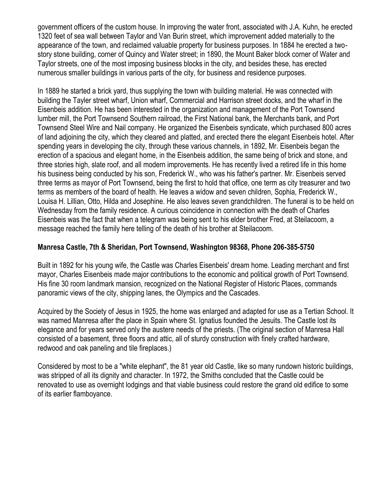government officers of the custom house. In improving the water front, associated with J.A. Kuhn, he erected 1320 feet of sea wall between Taylor and Van Burin street, which improvement added materially to the appearance of the town, and reclaimed valuable property for business purposes. In 1884 he erected a twostory stone building, corner of Quincy and Water street; in 1890, the Mount Baker block corner of Water and Taylor streets, one of the most imposing business blocks in the city, and besides these, has erected numerous smaller buildings in various parts of the city, for business and residence purposes.

In 1889 he started a brick yard, thus supplying the town with building material. He was connected with building the Tayler street wharf, Union wharf, Commercial and Harrison street docks, and the wharf in the Eisenbeis addition. He has been interested in the organization and management of the Port Townsend lumber mill, the Port Townsend Southern railroad, the First National bank, the Merchants bank, and Port Townsend Steel Wire and Nail company. He organized the Eisenbeis syndicate, which purchased 800 acres of land adjoining the city, which they cleared and platted, and erected there the elegant Eisenbeis hotel. After spending years in developing the city, through these various channels, in 1892, Mr. Eisenbeis began the erection of a spacious and elegant home, in the Eisenbeis addition, the same being of brick and stone, and three stories high, slate roof, and all modern improvements. He has recently lived a retired life in this home his business being conducted by his son, Frederick W., who was his father's partner. Mr. Eisenbeis served three terms as mayor of Port Townsend, being the first to hold that office, one term as city treasurer and two terms as members of the board of health. He leaves a widow and seven children, Sophia, Frederick W., Louisa H. Lillian, Otto, Hilda and Josephine. He also leaves seven grandchildren. The funeral is to be held on Wednesday from the family residence. A curious coincidence in connection with the death of Charles Eisenbeis was the fact that when a telegram was being sent to his elder brother Fred, at Steilacoom, a message reached the family here telling of the death of his brother at Steilacoom.

### **Manresa Castle, 7th & Sheridan, Port Townsend, Washington 98368, Phone 206-385-5750**

Built in 1892 for his young wife, the Castle was Charles Eisenbeis' dream home. Leading merchant and first mayor, Charles Eisenbeis made major contributions to the economic and political growth of Port Townsend. His fine 30 room landmark mansion, recognized on the National Register of Historic Places, commands panoramic views of the city, shipping lanes, the Olympics and the Cascades.

Acquired by the Society of Jesus in 1925, the home was enlarged and adapted for use as a Tertian School. It was named Manresa after the place in Spain where St. Ignatius founded the Jesuits. The Castle lost its elegance and for years served only the austere needs of the priests. (The original section of Manresa Hall consisted of a basement, three floors and attic, all of sturdy construction with finely crafted hardware, redwood and oak paneling and tile fireplaces.)

Considered by most to be a "white elephant", the 81 year old Castle, like so many rundown historic buildings, was stripped of all its dignity and character. In 1972, the Smiths concluded that the Castle could be renovated to use as overnight lodgings and that viable business could restore the grand old edifice to some of its earlier flamboyance.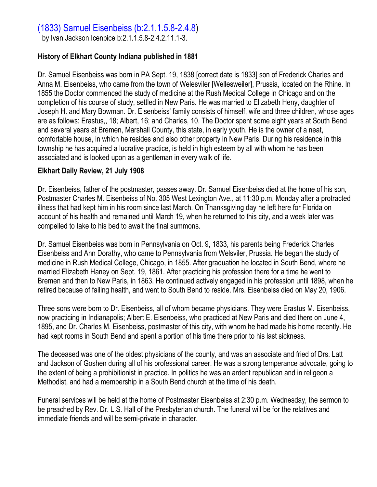# (1833) Samuel Eisenbeiss (b:2.1.1.5.8-2.4.8)

by Ivan Jackson Icenbice b:2.1.1.5.8-2.4.2.11.1-3.

#### **History of Elkhart County Indiana published in 1881**

Dr. Samuel Eisenbeiss was born in PA Sept. 19, 1838 [correct date is 1833] son of Frederick Charles and Anna M. Eisenbeiss, who came from the town of Welesviler [Wellesweiler], Prussia, located on the Rhine. In 1855 the Doctor commenced the study of medicine at the Rush Medical College in Chicago and on the completion of his course of study, settled in New Paris. He was married to Elizabeth Heny, daughter of Joseph H. and Mary Bowman. Dr. Eisenbeiss' family consists of himself, wife and three children, whose ages are as follows: Erastus,, 18; Albert, 16; and Charles, 10. The Doctor spent some eight years at South Bend and several years at Bremen, Marshall County, this state, in early youth. He is the owner of a neat, comfortable house, in which he resides and also other property in New Paris. During his residence in this township he has acquired a lucrative practice, is held in high esteem by all with whom he has been associated and is looked upon as a gentleman in every walk of life.

#### **Elkhart Daily Review, 21 July 1908**

Dr. Eisenbeiss, father of the postmaster, passes away. Dr. Samuel Eisenbeiss died at the home of his son, Postmaster Charles M. Eisenbeiss of No. 305 West Lexington Ave., at 11:30 p.m. Monday after a protracted illness that had kept him in his room since last March. On Thanksgiving day he left here for Florida on account of his health and remained until March 19, when he returned to this city, and a week later was compelled to take to his bed to await the final summons.

Dr. Samuel Eisenbeiss was born in Pennsylvania on Oct. 9, 1833, his parents being Frederick Charles Eisenbeiss and Ann Dorathy, who came to Pennsylvania from Welsviler, Prussia. He began the study of medicine in Rush Medical College, Chicago, in 1855. After graduation he located in South Bend, where he married Elizabeth Haney on Sept. 19, 1861. After practicing his profession there for a time he went to Bremen and then to New Paris, in 1863. He continued actively engaged in his profession until 1898, when he retired because of failing health, and went to South Bend to reside. Mrs. Eisenbeiss died on May 20, 1906.

Three sons were born to Dr. Eisenbeiss, all of whom became physicians. They were Erastus M. Eisenbeiss, now practicing in Indianapolis; Albert E. Eisenbeiss, who practiced at New Paris and died there on June 4, 1895, and Dr. Charles M. Eisenbeiss, postmaster of this city, with whom he had made his home recently. He had kept rooms in South Bend and spent a portion of his time there prior to his last sickness.

The deceased was one of the oldest physicians of the county, and was an associate and fried of Drs. Latt and Jackson of Goshen during all of his professional career. He was a strong temperance advocate, going to the extent of being a prohibitionist in practice. In politics he was an ardent republican and in religeon a Methodist, and had a membership in a South Bend church at the time of his death.

Funeral services will be held at the home of Postmaster Eisenbeiss at 2:30 p.m. Wednesday, the sermon to be preached by Rev. Dr. L.S. Hall of the Presbyterian church. The funeral will be for the relatives and immediate friends and will be semi-private in character.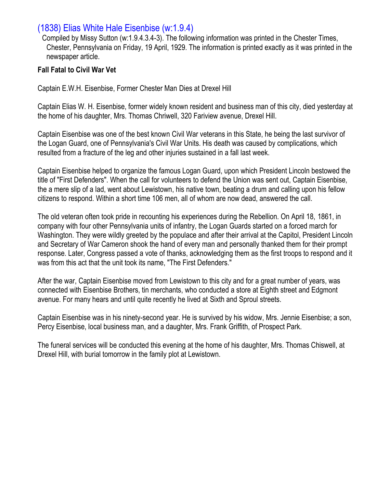### (1838) Elias White Hale Eisenbise (w:1.9.4)

Compiled by Missy Sutton (w:1.9.4.3.4-3). The following information was printed in the Chester Times, Chester, Pennsylvania on Friday, 19 April, 1929. The information is printed exactly as it was printed in the newspaper article.

#### **Fall Fatal to Civil War Vet**

Captain E.W.H. Eisenbise, Former Chester Man Dies at Drexel Hill

Captain Elias W. H. Eisenbise, former widely known resident and business man of this city, died yesterday at the home of his daughter, Mrs. Thomas Chriwell, 320 Fariview avenue, Drexel Hill.

Captain Eisenbise was one of the best known Civil War veterans in this State, he being the last survivor of the Logan Guard, one of Pennsylvania's Civil War Units. His death was caused by complications, which resulted from a fracture of the leg and other injuries sustained in a fall last week.

Captain Eisenbise helped to organize the famous Logan Guard, upon which President Lincoln bestowed the title of "First Defenders". When the call for volunteers to defend the Union was sent out, Captain Eisenbise, the a mere slip of a lad, went about Lewistown, his native town, beating a drum and calling upon his fellow citizens to respond. Within a short time 106 men, all of whom are now dead, answered the call.

The old veteran often took pride in recounting his experiences during the Rebellion. On April 18, 1861, in company with four other Pennsylvania units of infantry, the Logan Guards started on a forced march for Washington. They were wildly greeted by the populace and after their arrival at the Capitol, President Lincoln and Secretary of War Cameron shook the hand of every man and personally thanked them for their prompt response. Later, Congress passed a vote of thanks, acknowledging them as the first troops to respond and it was from this act that the unit took its name, "The First Defenders."

After the war, Captain Eisenbise moved from Lewistown to this city and for a great number of years, was connected with Eisenbise Brothers, tin merchants, who conducted a store at Eighth street and Edgmont avenue. For many hears and until quite recently he lived at Sixth and Sproul streets.

Captain Eisenbise was in his ninety-second year. He is survived by his widow, Mrs. Jennie Eisenbise; a son, Percy Eisenbise, local business man, and a daughter, Mrs. Frank Griffith, of Prospect Park.

The funeral services will be conducted this evening at the home of his daughter, Mrs. Thomas Chiswell, at Drexel Hill, with burial tomorrow in the family plot at Lewistown.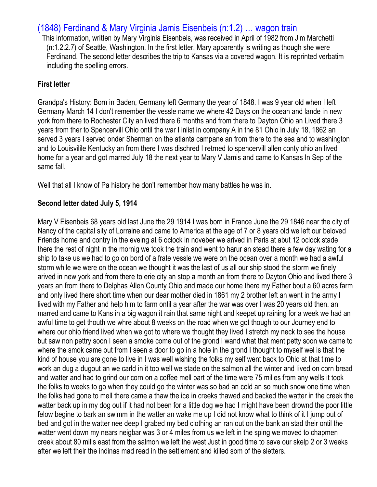# (1848) Ferdinand & Mary Virginia Jamis Eisenbeis (n:1.2) … wagon train

This information, written by Mary Virginia Eisenbeis, was received in April of 1982 from Jim Marchetti (n:1.2.2.7) of Seattle, Washington. In the first letter, Mary apparently is writing as though she were Ferdinand. The second letter describes the trip to Kansas via a covered wagon. It is reprinted verbatim including the spelling errors.

### **First letter**

Grandpa's History: Born in Baden, Germany left Germany the year of 1848. I was 9 year old when I left Germany March 14 I don't remember the vessle name we where 42 Days on the ocean and lande in new york from there to Rochester City an lived there 6 months and from there to Dayton Ohio an Lived there 3 years from ther to Spencervill Ohio ontil the war I inlist in company A in the 81 Ohio in July 18, 1862 an served 3 years I served onder Sherman on the atlanta campane an from there to the sea and to washington and to Louisvilile Kentucky an from there I was dischred I retrned to spencervill allen conty ohio an lived home for a year and got marred July 18 the next year to Mary V Jamis and came to Kansas In Sep of the same fall.

Well that all I know of Pa history he don't remember how many battles he was in.

### **Second letter dated July 5, 1914**

Mary V Eisenbeis 68 years old last June the 29 1914 I was born in France June the 29 1846 near the city of Nancy of the capital sity of Lorraine and came to America at the age of 7 or 8 years old we left our beloved Friends home and contry in the eveing at 6 oclock in noveber we arived in Paris at abut 12 oclock stade there the rest of night in the mornig we took the train and went to harur an stead there a few day wating for a ship to take us we had to go on bord of a frate vessle we were on the ocean over a month we had a awful storm while we were on the ocean we thought it was the last of us all our ship stood the storm we finely arived in new york and from there to erie city an stop a month an from there to Dayton Ohio and lived there 3 years an from there to Delphas Allen County Ohio and made our home there my Father bout a 60 acres farm and only lived there short time when our dear mother died in 1861 my 2 brother left an went in the army I lived with my Father and help him to farm ontil a year after the war was over I was 20 years old then. an marred and came to Kans in a big wagon it rain that same night and keepet up raining for a week we had an awful time to get thouth we whre about 8 weeks on the road when we got though to our Journey end to where our ohio friend lived when we got to where we thought they lived I stretch my neck to see the house but saw non pettry soon I seen a smoke come out of the grond I wand what that ment petty soon we came to where the smok came out from I seen a door to go in a hole in the grond I thought to myself wel is that the kind of house you are gone to live in I was well wishing the folks my self went back to Ohio at that time to work an dug a dugout an we carld in it too well we stade on the salmon all the winter and lived on corn bread and watter and had to grind our corn on a coffee mell part of the time were 75 milles from any wells it took the folks to weeks to go when they could go the winter was so bad an cold an so much snow one time when the folks had gone to mell there came a thaw the ice in creeks thawed and backed the watter in the creek the watter back up in my dog out if it had not been for a little dog we had I might have been drownd the poor little felow begine to bark an swimm in the watter an wake me up I did not know what to think of it I jump out of bed and got in the watter nee deep I grabed my bed clothing an ran out on the bank an stad their ontil the watter went down my nears neigbar was 3 or 4 miles from us we left in the sping we moved to chapmen creek about 80 mills east from the salmon we left the west Just in good time to save our skelp 2 or 3 weeks after we left their the indinas mad read in the settlement and killed som of the sletters.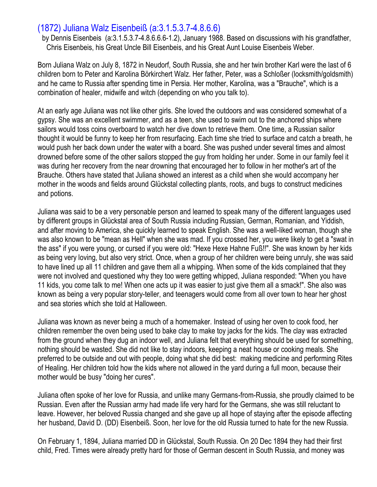### (1872) Juliana Walz Eisenbeiß (a:3.1.5.3.7-4.8.6.6)

by Dennis Eisenbeis (a:3.1.5.3.7-4.8.6.6.6-1.2), January 1988. Based on discussions with his grandfather, Chris Eisenbeis, his Great Uncle Bill Eisenbeis, and his Great Aunt Louise Eisenbeis Weber.

Born Juliana Walz on July 8, 1872 in Neudorf, South Russia, she and her twin brother Karl were the last of 6 children born to Peter and Karolina Börkirchert Walz. Her father, Peter, was a Schloßer (locksmith/goldsmith) and he came to Russia after spending time in Persia. Her mother, Karolina, was a "Brauche", which is a combination of healer, midwife and witch (depending on who you talk to).

At an early age Juliana was not like other girls. She loved the outdoors and was considered somewhat of a gypsy. She was an excellent swimmer, and as a teen, she used to swim out to the anchored ships where sailors would toss coins overboard to watch her dive down to retrieve them. One time, a Russian sailor thought it would be funny to keep her from resurfacing. Each time she tried to surface and catch a breath, he would push her back down under the water with a board. She was pushed under several times and almost drowned before some of the other sailors stopped the guy from holding her under. Some in our family feel it was during her recovery from the near drowning that encouraged her to follow in her mother's art of the Brauche. Others have stated that Juliana showed an interest as a child when she would accompany her mother in the woods and fields around Glückstal collecting plants, roots, and bugs to construct medicines and potions.

Juliana was said to be a very personable person and learned to speak many of the different languages used by different groups in Glückstal area of South Russia including Russian, German, Romanian, and Yiddish, and after moving to America, she quickly learned to speak English. She was a well-liked woman, though she was also known to be "mean as Hell" when she was mad. If you crossed her, you were likely to get a "swat in the ass" if you were young, or cursed if you were old: "Hexe Hexe Hahne Fuß!!". She was known by her kids as being very loving, but also very strict. Once, when a group of her children were being unruly, she was said to have lined up all 11 children and gave them all a whipping. When some of the kids complained that they were not involved and questioned why they too were getting whipped, Juliana responded: "When you have 11 kids, you come talk to me! When one acts up it was easier to just give them all a smack!". She also was known as being a very popular story-teller, and teenagers would come from all over town to hear her ghost and sea stories which she told at Halloween.

Juliana was known as never being a much of a homemaker. Instead of using her oven to cook food, her children remember the oven being used to bake clay to make toy jacks for the kids. The clay was extracted from the ground when they dug an indoor well, and Juliana felt that everything should be used for something, nothing should be wasted. She did not like to stay indoors, keeping a neat house or cooking meals. She preferred to be outside and out with people, doing what she did best: making medicine and performing Rites of Healing. Her children told how the kids where not allowed in the yard during a full moon, because their mother would be busy "doing her cures".

Juliana often spoke of her love for Russia, and unlike many Germans-from-Russia, she proudly claimed to be Russian. Even after the Russian army had made life very hard for the Germans, she was still reluctant to leave. However, her beloved Russia changed and she gave up all hope of staying after the episode affecting her husband, David D. (DD) Eisenbeiß. Soon, her love for the old Russia turned to hate for the new Russia.

On February 1, 1894, Juliana married DD in Glückstal, South Russia. On 20 Dec 1894 they had their first child, Fred. Times were already pretty hard for those of German descent in South Russia, and money was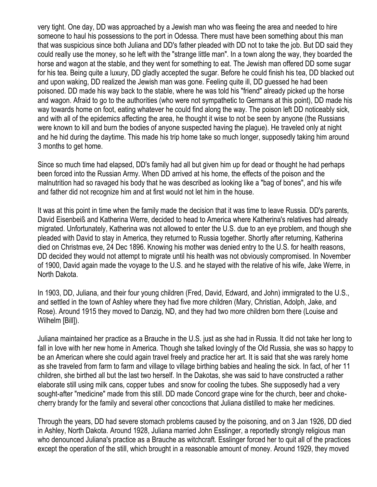very tight. One day, DD was approached by a Jewish man who was fleeing the area and needed to hire someone to haul his possessions to the port in Odessa. There must have been something about this man that was suspicious since both Juliana and DD's father pleaded with DD not to take the job. But DD said they could really use the money, so he left with the "strange little man". In a town along the way, they boarded the horse and wagon at the stable, and they went for something to eat. The Jewish man offered DD some sugar for his tea. Being quite a luxury, DD gladly accepted the sugar. Before he could finish his tea, DD blacked out and upon waking, DD realized the Jewish man was gone. Feeling quite ill, DD guessed he had been poisoned. DD made his way back to the stable, where he was told his "friend" already picked up the horse and wagon. Afraid to go to the authorities (who were not sympathetic to Germans at this point), DD made his way towards home on foot, eating whatever he could find along the way. The poison left DD noticeably sick, and with all of the epidemics affecting the area, he thought it wise to not be seen by anyone (the Russians were known to kill and burn the bodies of anyone suspected having the plague). He traveled only at night and he hid during the daytime. This made his trip home take so much longer, supposedly taking him around 3 months to get home.

Since so much time had elapsed, DD's family had all but given him up for dead or thought he had perhaps been forced into the Russian Army. When DD arrived at his home, the effects of the poison and the malnutrition had so ravaged his body that he was described as looking like a "bag of bones", and his wife and father did not recognize him and at first would not let him in the house.

It was at this point in time when the family made the decision that it was time to leave Russia. DD's parents, David Eisenbeiß and Katherina Werre, decided to head to America where Katherina's relatives had already migrated. Unfortunately, Katherina was not allowed to enter the U.S. due to an eye problem, and though she pleaded with David to stay in America, they returned to Russia together. Shortly after returning, Katherina died on Christmas eve, 24 Dec 1896. Knowing his mother was denied entry to the U.S. for health reasons, DD decided they would not attempt to migrate until his health was not obviously compromised. In November of 1900, David again made the voyage to the U.S. and he stayed with the relative of his wife, Jake Werre, in North Dakota.

In 1903, DD, Juliana, and their four young children (Fred, David, Edward, and John) immigrated to the U.S., and settled in the town of Ashley where they had five more children (Mary, Christian, Adolph, Jake, and Rose). Around 1915 they moved to Danzig, ND, and they had two more children born there (Louise and Wilhelm [Bill]).

Juliana maintained her practice as a Brauche in the U.S. just as she had in Russia. It did not take her long to fall in love with her new home in America. Though she talked lovingly of the Old Russia, she was so happy to be an American where she could again travel freely and practice her art. It is said that she was rarely home as she traveled from farm to farm and village to village birthing babies and healing the sick. In fact, of her 11 children, she birthed all but the last two herself. In the Dakotas, she was said to have constructed a rather elaborate still using milk cans, copper tubes and snow for cooling the tubes. She supposedly had a very sought-after "medicine" made from this still. DD made Concord grape wine for the church, beer and chokecherry brandy for the family and several other concoctions that Juliana distilled to make her medicines.

Through the years, DD had severe stomach problems caused by the poisoning, and on 3 Jan 1926, DD died in Ashley, North Dakota. Around 1928, Juliana married John Esslinger, a reportedly strongly religious man who denounced Juliana's practice as a Brauche as witchcraft. Esslinger forced her to quit all of the practices except the operation of the still, which brought in a reasonable amount of money. Around 1929, they moved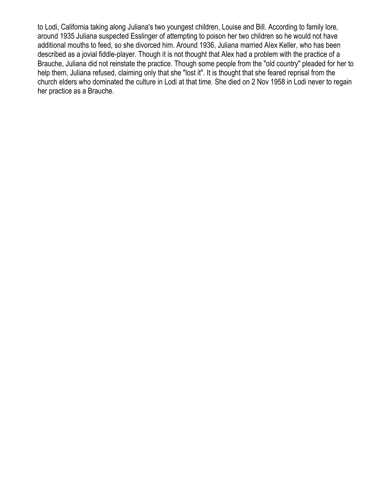to Lodi, California taking along Juliana's two youngest children, Louise and Bill. According to family lore, around 1935 Juliana suspected Esslinger of attempting to poison her two children so he would not have additional mouths to feed, so she divorced him. Around 1936, Juliana married Alex Keller, who has been described as a jovial fiddle-player. Though it is not thought that Alex had a problem with the practice of a Brauche, Juliana did not reinstate the practice. Though some people from the "old country" pleaded for her to help them, Juliana refused, claiming only that she "lost it". It is thought that she feared reprisal from the church elders who dominated the culture in Lodi at that time. She died on 2 Nov 1958 in Lodi never to regain her practice as a Brauche.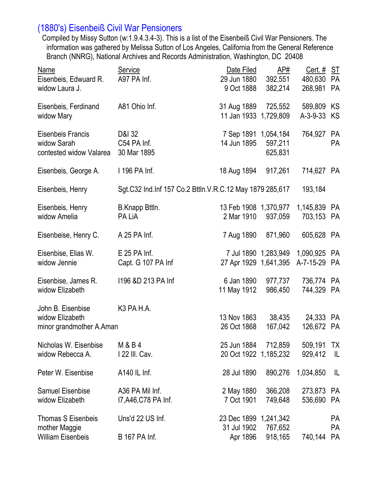# (1880's) Eisenbeiß Civil War Pensioners

Compiled by Missy Sutton (w:1.9.4.3.4-3). This is a list of the Eisenbeiß Civil War Pensioners. The information was gathered by Melissa Sutton of Los Angeles, California from the General Reference Branch (NNRG), National Archives and Records Administration, Washington, DC 20408

| Service<br>A97 PA Inf.                  | Date Filed<br>9 Oct 1888   | <u>AP#</u><br>382,214                   | <u>Cert. #</u><br>480,630<br>268,981                                                                                                                                                                                                                                                                                                | <u>ST</u><br>PA<br><b>PA</b> |
|-----------------------------------------|----------------------------|-----------------------------------------|-------------------------------------------------------------------------------------------------------------------------------------------------------------------------------------------------------------------------------------------------------------------------------------------------------------------------------------|------------------------------|
| A81 Ohio Inf.                           |                            | 725,552                                 | 589,809 KS<br>A-3-9-33                                                                                                                                                                                                                                                                                                              | KS                           |
| D&I 32<br>C54 PA Inf.<br>30 Mar 1895    | 14 Jun 1895                | 597,211<br>625,831                      | 764,927                                                                                                                                                                                                                                                                                                                             | <b>PA</b><br><b>PA</b>       |
| 1 196 PA Inf.                           |                            | 917,261                                 | 714,627 PA                                                                                                                                                                                                                                                                                                                          |                              |
|                                         |                            |                                         | 193,184                                                                                                                                                                                                                                                                                                                             |                              |
| B.Knapp Bttln.<br>PA LiA                |                            | 937,059                                 | 1,145,839 PA<br>703,153 PA                                                                                                                                                                                                                                                                                                          |                              |
| A 25 PA Inf.                            |                            | 871,960                                 | 605,628 PA                                                                                                                                                                                                                                                                                                                          |                              |
| $E$ 25 PA Inf.<br>Capt. G 107 PA Inf    |                            |                                         | 1,090,925 PA<br>A-7-15-29 PA                                                                                                                                                                                                                                                                                                        |                              |
| 1196 &D 213 PA Inf                      | 6 Jan 1890                 | 986,450                                 | 736,774 PA<br>744,329 PA                                                                                                                                                                                                                                                                                                            |                              |
| K <sub>3</sub> PA H.A.                  | 13 Nov 1863<br>26 Oct 1868 | 38,435<br>167,042                       | 24,333<br>126,672 PA                                                                                                                                                                                                                                                                                                                | <b>PA</b>                    |
| M & B 4<br>122 III. Cav.                |                            |                                         | 509,191 TX<br>929,412                                                                                                                                                                                                                                                                                                               | L                            |
| A140 IL Inf.                            | 28 Jul 1890                | 890,276                                 | 1,034,850                                                                                                                                                                                                                                                                                                                           | IL                           |
| A36 PA Mil Inf.<br>17, A46, C78 PA Inf. | 7 Oct 1901                 | 366,208<br>749,648                      | 273,873 PA<br>536,690                                                                                                                                                                                                                                                                                                               | PA                           |
| Uns'd 22 US Inf.<br>B 167 PA Inf.       | 31 Jul 1902                | 767,652<br>918,165                      | 740,144                                                                                                                                                                                                                                                                                                                             | <b>PA</b><br>PA<br><b>PA</b> |
|                                         | minor grandmother A.Aman   | 2 Mar 1910<br>11 May 1912<br>2 May 1880 | 29 Jun 1880<br>31 Aug 1889<br>11 Jan 1933 1,729,809<br>7 Sep 1891 1,054,184<br>18 Aug 1894<br>Sgt.C32 Ind.Inf 157 Co.2 Bttln.V.R.C.12 May 1879 285,617<br>13 Feb 1908 1,370,977<br>7 Aug 1890<br>7 Jul 1890 1,283,949<br>27 Apr 1929 1,641,395<br>25 Jun 1884 712,859<br>20 Oct 1922 1,185,232<br>23 Dec 1899 1,241,342<br>Apr 1896 | 392,551<br>977,737           |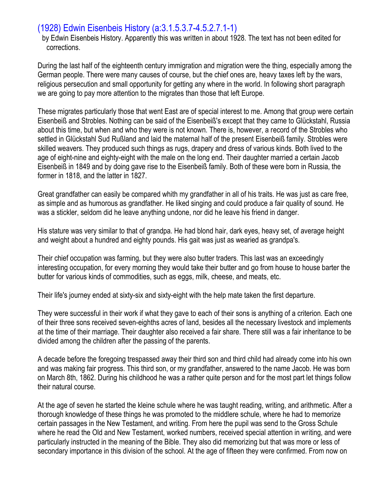### (1928) Edwin Eisenbeis History (a:3.1.5.3.7-4.5.2.7.1-1)

by Edwin Eisenbeis History. Apparently this was written in about 1928. The text has not been edited for corrections.

During the last half of the eighteenth century immigration and migration were the thing, especially among the German people. There were many causes of course, but the chief ones are, heavy taxes left by the wars, religious persecution and small opportunity for getting any where in the world. In following short paragraph we are going to pay more attention to the migrates than those that left Europe.

These migrates particularly those that went East are of special interest to me. Among that group were certain Eisenbeiß and Strobles. Nothing can be said of the Eisenbeiß's except that they came to Glückstahl, Russia about this time, but when and who they were is not known. There is, however, a record of the Strobles who settled in Glückstahl Sud Rußland and laid the maternal half of the present Eisenbeiß family. Strobles were skilled weavers. They produced such things as rugs, drapery and dress of various kinds. Both lived to the age of eight-nine and eighty-eight with the male on the long end. Their daughter married a certain Jacob Eisenbeiß in 1849 and by doing gave rise to the Eisenbeiß family. Both of these were born in Russia, the former in 1818, and the latter in 1827.

Great grandfather can easily be compared whith my grandfather in all of his traits. He was just as care free, as simple and as humorous as grandfather. He liked singing and could produce a fair quality of sound. He was a stickler, seldom did he leave anything undone, nor did he leave his friend in danger.

His stature was very similar to that of grandpa. He had blond hair, dark eyes, heavy set, of average height and weight about a hundred and eighty pounds. His gait was just as wearied as grandpa's.

Their chief occupation was farming, but they were also butter traders. This last was an exceedingly interesting occupation, for every morning they would take their butter and go from house to house barter the butter for various kinds of commodities, such as eggs, milk, cheese, and meats, etc.

Their life's journey ended at sixty-six and sixty-eight with the help mate taken the first departure.

They were successful in their work if what they gave to each of their sons is anything of a criterion. Each one of their three sons received seven-eighths acres of land, besides all the necessary livestock and implements at the time of their marriage. Their daughter also received a fair share. There still was a fair inheritance to be divided among the children after the passing of the parents.

A decade before the foregoing trespassed away their third son and third child had already come into his own and was making fair progress. This third son, or my grandfather, answered to the name Jacob. He was born on March 8th, 1862. During his childhood he was a rather quite person and for the most part let things follow their natural course.

At the age of seven he started the kleine schule where he was taught reading, writing, and arithmetic. After a thorough knowledge of these things he was promoted to the middlere schule, where he had to memorize certain passages in the New Testament, and writing. From here the pupil was send to the Gross Schule where he read the Old and New Testament, worked numbers, received special attention in writing, and were particularly instructed in the meaning of the Bible. They also did memorizing but that was more or less of secondary importance in this division of the school. At the age of fifteen they were confirmed. From now on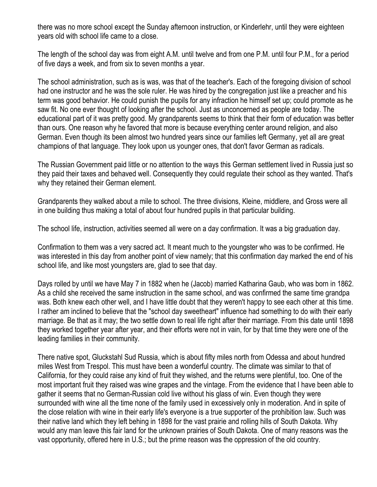there was no more school except the Sunday afternoon instruction, or Kinderlehr, until they were eighteen years old with school life came to a close.

The length of the school day was from eight A.M. until twelve and from one P.M. until four P.M., for a period of five days a week, and from six to seven months a year.

The school administration, such as is was, was that of the teacher's. Each of the foregoing division of school had one instructor and he was the sole ruler. He was hired by the congregation just like a preacher and his term was good behavior. He could punish the pupils for any infraction he himself set up; could promote as he saw fit. No one ever thought of looking after the school. Just as unconcerned as people are today. The educational part of it was pretty good. My grandparents seems to think that their form of education was better than ours. One reason why he favored that more is because everything center around religion, and also German. Even though its been almost two hundred years since our families left Germany, yet all are great champions of that language. They look upon us younger ones, that don't favor German as radicals.

The Russian Government paid little or no attention to the ways this German settlement lived in Russia just so they paid their taxes and behaved well. Consequently they could regulate their school as they wanted. That's why they retained their German element.

Grandparents they walked about a mile to school. The three divisions, Kleine, middlere, and Gross were all in one building thus making a total of about four hundred pupils in that particular building.

The school life, instruction, activities seemed all were on a day confirmation. It was a big graduation day.

Confirmation to them was a very sacred act. It meant much to the youngster who was to be confirmed. He was interested in this day from another point of view namely; that this confirmation day marked the end of his school life, and like most youngsters are, glad to see that day.

Days rolled by until we have May 7 in 1882 when he (Jacob) married Katharina Gaub, who was born in 1862. As a child she received the same instruction in the same school, and was confirmed the same time grandpa was. Both knew each other well, and I have little doubt that they weren't happy to see each other at this time. I rather am inclined to believe that the "school day sweetheart" influence had something to do with their early marriage. Be that as it may; the two settle down to real life right after their marriage. From this date until 1898 they worked together year after year, and their efforts were not in vain, for by that time they were one of the leading families in their community.

There native spot, Gluckstahl Sud Russia, which is about fifty miles north from Odessa and about hundred miles West from Trespol. This must have been a wonderful country. The climate was similar to that of California, for they could raise any kind of fruit they wished, and the returns were plentiful, too. One of the most important fruit they raised was wine grapes and the vintage. From the evidence that I have been able to gather it seems that no German-Russian cold live without his glass of win. Even though they were surrounded with wine all the time none of the family used in excessively only in moderation. And in spite of the close relation with wine in their early life's everyone is a true supporter of the prohibition law. Such was their native land which they left behing in 1898 for the vast prairie and rolling hills of South Dakota. Why would any man leave this fair land for the unknown prairies of South Dakota. One of many reasons was the vast opportunity, offered here in U.S.; but the prime reason was the oppression of the old country.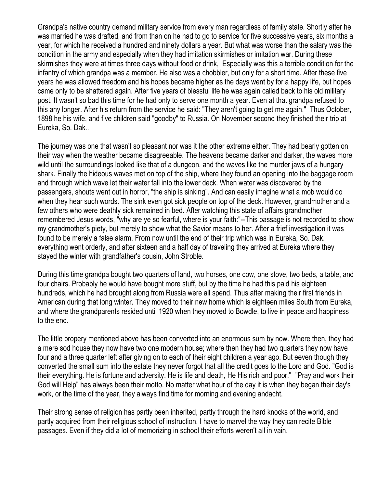Grandpa's native country demand military service from every man regardless of family state. Shortly after he was married he was drafted, and from than on he had to go to service for five successive years, six months a year, for which he received a hundred and ninety dollars a year. But what was worse than the salary was the condition in the army and especially when they had imitation skirmishes or imitation war. During these skirmishes they were at times three days without food or drink, Especially was this a terrible condition for the infantry of which grandpa was a member. He also was a chobbler, but only for a short time. After these five years he was allowed freedom and his hopes became higher as the days went by for a happy life, but hopes came only to be shattered again. After five years of blessful life he was again called back to his old military post. It wasn't so bad this time for he had only to serve one month a year. Even at that grandpa refused to this any longer. After his return from the service he said: "They aren't going to get me again." Thus October, 1898 he his wife, and five children said "goodby" to Russia. On November second they finished their trip at Eureka, So. Dak..

The journey was one that wasn't so pleasant nor was it the other extreme either. They had bearly gotten on their way when the weather became disagreeable. The heavens became darker and darker, the waves more wild until the surroundings looked like that of a dungeon, and the waves like the murder jaws of a hungary shark. Finally the hideous waves met on top of the ship, where they found an opening into the baggage room and through which wave let their water fall into the lower deck. When water was discovered by the passengers, shouts went out in horror, "the ship is sinking". And can easily imagine what a mob would do when they hear such words. The sink even got sick people on top of the deck. However, grandmother and a few others who were deathly sick remained in bed. After watching this state of affairs grandmother remembered Jesus words, "why are ye so fearful, where is your faith:"--This passage is not recorded to show my grandmother's piety, but merely to show what the Savior means to her. After a frief investigation it was found to be merely a false alarm. From now until the end of their trip which was in Eureka, So. Dak. everything went orderly, and after sixteen and a half day of traveling they arrived at Eureka where they stayed the winter with grandfather's cousin, John Stroble.

During this time grandpa bought two quarters of land, two horses, one cow, one stove, two beds, a table, and four chairs. Probably he would have bought more stuff, but by the time he had this paid his eighteen hundreds, which he had brought along from Russia were all spend. Thus after making their first friends in American during that long winter. They moved to their new home which is eighteen miles South from Eureka, and where the grandparents resided until 1920 when they moved to Bowdle, to live in peace and happiness to the end.

The little propery mentioned above has been converted into an enormous sum by now. Where then, they had a mere sod house they now have two one modern house; where then they had two quarters they now have four and a three quarter left after giving on to each of their eight children a year ago. But eeven though they converted the small sum into the estate they never forgot that all the credit goes to the Lord and God. "God is their everything. He is fortune and adversity. He is life and death, He His rich and poor." "Pray and work their God will Help" has always been their motto. No matter what hour of the day it is when they began their day's work, or the time of the year, they always find time for morning and evening andacht.

Their strong sense of religion has partly been inherited, partly through the hard knocks of the world, and partly acquired from their religious school of instruction. I have to marvel the way they can recite Bible passages. Even if they did a lot of memorizing in school their efforts weren't all in vain.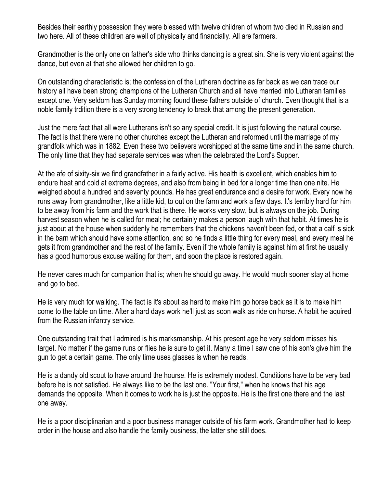Besides their earthly possession they were blessed with twelve children of whom two died in Russian and two here. All of these children are well of physically and financially. All are farmers.

Grandmother is the only one on father's side who thinks dancing is a great sin. She is very violent against the dance, but even at that she allowed her children to go.

On outstanding characteristic is; the confession of the Lutheran doctrine as far back as we can trace our history all have been strong champions of the Lutheran Church and all have married into Lutheran families except one. Very seldom has Sunday morning found these fathers outside of church. Even thought that is a noble family trdition there is a very strong tendency to break that among the present generation.

Just the mere fact that all were Lutherans isn't so any special credit. It is just following the natural course. The fact is that there were no other churches except the Lutheran and reformed until the marriage of my grandfolk which was in 1882. Even these two believers worshipped at the same time and in the same church. The only time that they had separate services was when the celebrated the Lord's Supper.

At the afe of sixity-six we find grandfather in a fairly active. His health is excellent, which enables him to endure heat and cold at extreme degrees, and also from being in bed for a longer time than one nite. He weighed about a hundred and seventy pounds. He has great endurance and a desire for work. Every now he runs away from grandmother, like a little kid, to out on the farm and work a few days. It's terribly hard for him to be away from his farm and the work that is there. He works very slow, but is always on the job. During harvest season when he is called for meal; he certainly makes a person laugh with that habit. At times he is just about at the house when suddenly he remembers that the chickens haven't been fed, or that a calf is sick in the barn which should have some attention, and so he finds a little thing for every meal, and every meal he gets it from grandmother and the rest of the family. Even if the whole family is against him at first he usually has a good humorous excuse waiting for them, and soon the place is restored again.

He never cares much for companion that is; when he should go away. He would much sooner stay at home and go to bed.

He is very much for walking. The fact is it's about as hard to make him go horse back as it is to make him come to the table on time. After a hard days work he'll just as soon walk as ride on horse. A habit he aquired from the Russian infantry service.

One outstanding trait that I admired is his marksmanship. At his present age he very seldom misses his target. No matter if the game runs or flies he is sure to get it. Many a time I saw one of his son's give him the gun to get a certain game. The only time uses glasses is when he reads.

He is a dandy old scout to have around the hourse. He is extremely modest. Conditions have to be very bad before he is not satisfied. He always like to be the last one. "Your first," when he knows that his age demands the opposite. When it comes to work he is just the opposite. He is the first one there and the last one away.

He is a poor disciplinarian and a poor business manager outside of his farm work. Grandmother had to keep order in the house and also handle the family business, the latter she still does.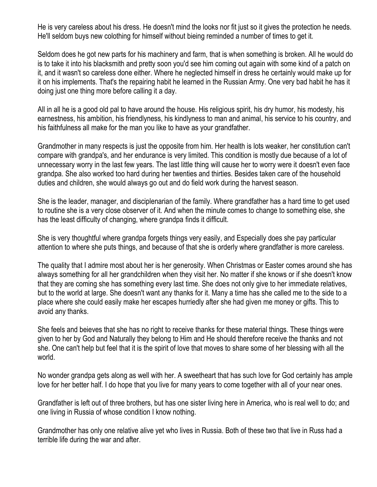He is very careless about his dress. He doesn't mind the looks nor fit just so it gives the protection he needs. He'll seldom buys new colothing for himself without bieing reminded a number of times to get it.

Seldom does he got new parts for his machinery and farm, that is when something is broken. All he would do is to take it into his blacksmith and pretty soon you'd see him coming out again with some kind of a patch on it, and it wasn't so careless done either. Where he neglected himself in dress he certainly would make up for it on his implements. That's the repairing habit he learned in the Russian Army. One very bad habit he has it doing just one thing more before calling it a day.

All in all he is a good old pal to have around the house. His religious spirit, his dry humor, his modesty, his earnestness, his ambition, his friendlyness, his kindlyness to man and animal, his service to his country, and his faithfulness all make for the man you like to have as your grandfather.

Grandmother in many respects is just the opposite from him. Her health is lots weaker, her constitution can't compare with grandpa's, and her endurance is very limited. This condition is mostly due because of a lot of unnecessary worry in the last few years. The last little thing will cause her to worry were it doesn't even face grandpa. She also worked too hard during her twenties and thirties. Besides taken care of the household duties and children, she would always go out and do field work during the harvest season.

She is the leader, manager, and disciplenarian of the family. Where grandfather has a hard time to get used to routine she is a very close observer of it. And when the minute comes to change to something else, she has the least difficulty of changing, where grandpa finds it difficult.

She is very thoughtful where grandpa forgets things very easily, and Especially does she pay particular attention to where she puts things, and because of that she is orderly where grandfather is more careless.

The quality that I admire most about her is her generosity. When Christmas or Easter comes around she has always something for all her grandchildren when they visit her. No matter if she knows or if she doesn't know that they are coming she has something every last time. She does not only give to her immediate relatives, but to the world at large. She doesn't want any thanks for it. Many a time has she called me to the side to a place where she could easily make her escapes hurriedly after she had given me money or gifts. This to avoid any thanks.

She feels and beieves that she has no right to receive thanks for these material things. These things were given to her by God and Naturally they belong to Him and He should therefore receive the thanks and not she. One can't help but feel that it is the spirit of love that moves to share some of her blessing with all the world.

No wonder grandpa gets along as well with her. A sweetheart that has such love for God certainly has ample love for her better half. I do hope that you live for many years to come together with all of your near ones.

Grandfather is left out of three brothers, but has one sister living here in America, who is real well to do; and one living in Russia of whose condition I know nothing.

Grandmother has only one relative alive yet who lives in Russia. Both of these two that live in Russ had a terrible life during the war and after.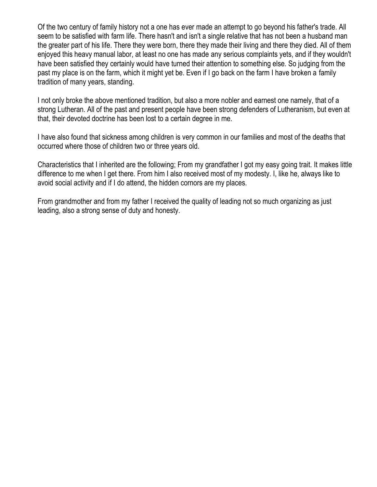Of the two century of family history not a one has ever made an attempt to go beyond his father's trade. All seem to be satisfied with farm life. There hasn't and isn't a single relative that has not been a husband man the greater part of his life. There they were born, there they made their living and there they died. All of them enjoyed this heavy manual labor, at least no one has made any serious complaints yets, and if they wouldn't have been satisfied they certainly would have turned their attention to something else. So judging from the past my place is on the farm, which it might yet be. Even if I go back on the farm I have broken a family tradition of many years, standing.

I not only broke the above mentioned tradition, but also a more nobler and earnest one namely, that of a strong Lutheran. All of the past and present people have been strong defenders of Lutheranism, but even at that, their devoted doctrine has been lost to a certain degree in me.

I have also found that sickness among children is very common in our families and most of the deaths that occurred where those of children two or three years old.

Characteristics that I inherited are the following; From my grandfather I got my easy going trait. It makes little difference to me when I get there. From him I also received most of my modesty. I, like he, always like to avoid social activity and if I do attend, the hidden cornors are my places.

From grandmother and from my father I received the quality of leading not so much organizing as just leading, also a strong sense of duty and honesty.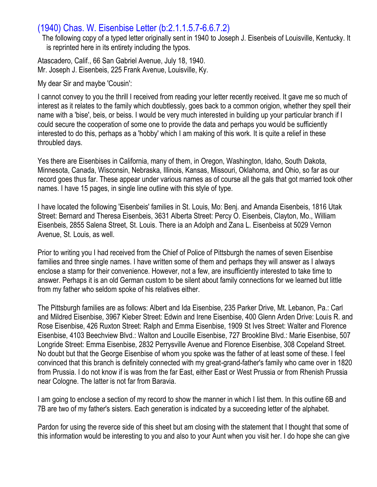## (1940) Chas. W. Eisenbise Letter (b:2.1.1.5.7-6.6.7.2)

The following copy of a typed letter originally sent in 1940 to Joseph J. Eisenbeis of Louisville, Kentucky. It is reprinted here in its entirety including the typos.

Atascadero, Calif., 66 San Gabriel Avenue, July 18, 1940. Mr. Joseph J. Eisenbeis, 225 Frank Avenue, Louisville, Ky.

My dear Sir and maybe 'Cousin':

I cannot convey to you the thrill I received from reading your letter recently received. It gave me so much of interest as it relates to the family which doubtlessly, goes back to a common origion, whether they spell their name with a 'bise', beis, or beiss. I would be very much interested in building up your particular branch if I could secure the cooperation of some one to provide the data and perhaps you would be sufficiently interested to do this, perhaps as a 'hobby' which I am making of this work. It is quite a relief in these throubled days.

Yes there are Eisenbises in California, many of them, in Oregon, Washington, Idaho, South Dakota, Minnesota, Canada, Wisconsin, Nebraska, Illinois, Kansas, Missouri, Oklahoma, and Ohio, so far as our record goes thus far. These appear under various names as of course all the gals that got married took other names. I have 15 pages, in single line outline with this style of type.

I have located the following 'Eisenbeis' families in St. Louis, Mo: Benj. and Amanda Eisenbeis, 1816 Utak Street: Bernard and Theresa Eisenbeis, 3631 Alberta Street: Percy O. Eisenbeis, Clayton, Mo., William Eisenbeis, 2855 Salena Street, St. Louis. There ia an Adolph and Zana L. Eisenbeiss at 5029 Vernon Avenue, St. Louis, as well.

Prior to writing you I had received from the Chief of Police of Pittsburgh the names of seven Eisenbise families and three single names. I have written some of them and perhaps they will answer as I always enclose a stamp for their convenience. However, not a few, are insufficiently interested to take time to answer. Perhaps it is an old German custom to be silent about family connections for we learned but little from my father who seldom spoke of his relatives either.

The Pittsburgh families are as follows: Albert and Ida Eisenbise, 235 Parker Drive, Mt. Lebanon, Pa.: Carl and Mildred Eisenbise, 3967 Kieber Street: Edwin and Irene Eisenbise, 400 Glenn Arden Drive: Louis R. and Rose Eisenbise, 426 Ruxton Street: Ralph and Emma Eisenbise, 1909 St Ives Street: Walter and Florence Eisenbise, 4103 Beechview Blvd.: Walton and Loucille Eisenbise, 727 Brookline Blvd.: Marie Eisenbise, 507 Longride Street: Emma Eisenbise, 2832 Perrysville Avenue and Florence Eisenbise, 308 Copeland Street. No doubt but that the George Eisenbise of whom you spoke was the father of at least some of these. I feel convinced that this branch is definitely connected with my great-grand-father's family who came over in 1820 from Prussia. I do not know if is was from the far East, either East or West Prussia or from Rhenish Prussia near Cologne. The latter is not far from Baravia.

I am going to enclose a section of my record to show the manner in which I list them. In this outline 6B and 7B are two of my father's sisters. Each generation is indicated by a succeeding letter of the alphabet.

Pardon for using the reverce side of this sheet but am closing with the statement that I thought that some of this information would be interesting to you and also to your Aunt when you visit her. I do hope she can give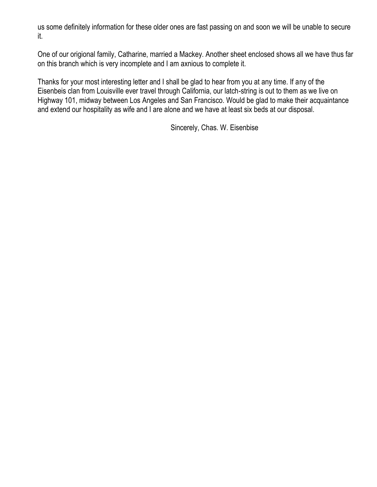us some definitely information for these older ones are fast passing on and soon we will be unable to secure it.

One of our origional family, Catharine, married a Mackey. Another sheet enclosed shows all we have thus far on this branch which is very incomplete and I am axnious to complete it.

Thanks for your most interesting letter and I shall be glad to hear from you at any time. If any of the Eisenbeis clan from Louisville ever travel through California, our latch-string is out to them as we live on Highway 101, midway between Los Angeles and San Francisco. Would be glad to make their acquaintance and extend our hospitality as wife and I are alone and we have at least six beds at our disposal.

Sincerely, Chas. W. Eisenbise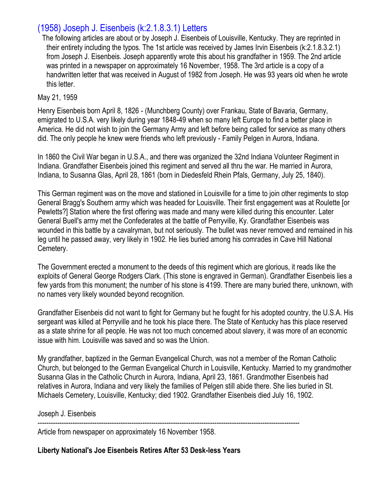# (1958) Joseph J. Eisenbeis (k:2.1.8.3.1) Letters

The following articles are about or by Joseph J. Eisenbeis of Louisville, Kentucky. They are reprinted in their entirety including the typos. The 1st article was received by James Irvin Eisenbeis (k:2.1.8.3.2.1) from Joseph J. Eisenbeis. Joseph apparently wrote this about his grandfather in 1959. The 2nd article was printed in a newspaper on approximately 16 November, 1958. The 3rd article is a copy of a handwritten letter that was received in August of 1982 from Joseph. He was 93 years old when he wrote this letter.

#### May 21, 1959

Henry Eisenbeis born April 8, 1826 - (Munchberg County) over Frankau, State of Bavaria, Germany, emigrated to U.S.A. very likely during year 1848-49 when so many left Europe to find a better place in America. He did not wish to join the Germany Army and left before being called for service as many others did. The only people he knew were friends who left previously - Family Pelgen in Aurora, Indiana.

In 1860 the Civil War began in U.S.A., and there was organized the 32nd Indiana Volunteer Regiment in Indiana. Grandfather Eisenbeis joined this regiment and served all thru the war. He married in Aurora, Indiana, to Susanna Glas, April 28, 1861 (born in Diedesfeld Rhein Pfals, Germany, July 25, 1840).

This German regiment was on the move and stationed in Louisville for a time to join other regiments to stop General Bragg's Southern army which was headed for Louisville. Their first engagement was at Roulette [or Pewletts?] Station where the first offering was made and many were killed during this encounter. Later General Buell's army met the Confederates at the battle of Perryville, Ky. Grandfather Eisenbeis was wounded in this battle by a cavalryman, but not seriously. The bullet was never removed and remained in his leg until he passed away, very likely in 1902. He lies buried among his comrades in Cave Hill National Cemetery.

The Government erected a monument to the deeds of this regiment which are glorious, it reads like the exploits of General George Rodgers Clark. (This stone is engraved in German). Grandfather Eisenbeis lies a few yards from this monument; the number of his stone is 4199. There are many buried there, unknown, with no names very likely wounded beyond recognition.

Grandfather Eisenbeis did not want to fight for Germany but he fought for his adopted country, the U.S.A. His sergeant was killed at Perryville and he took his place there. The State of Kentucky has this place reserved as a state shrine for all people. He was not too much concerned about slavery, it was more of an economic issue with him. Louisville was saved and so was the Union.

My grandfather, baptized in the German Evangelical Church, was not a member of the Roman Catholic Church, but belonged to the German Evangelical Church in Louisville, Kentucky. Married to my grandmother Susanna Glas in the Catholic Church in Aurora, Indiana, April 23, 1861. Grandmother Eisenbeis had relatives in Aurora, Indiana and very likely the families of Pelgen still abide there. She lies buried in St. Michaels Cemetery, Louisville, Kentucky; died 1902. Grandfather Eisenbeis died July 16, 1902.

Joseph J. Eisenbeis

------------------------------------------------------------------------------------------------------------------------

Article from newspaper on approximately 16 November 1958.

**Liberty National's Joe Eisenbeis Retires After 53 Desk-less Years**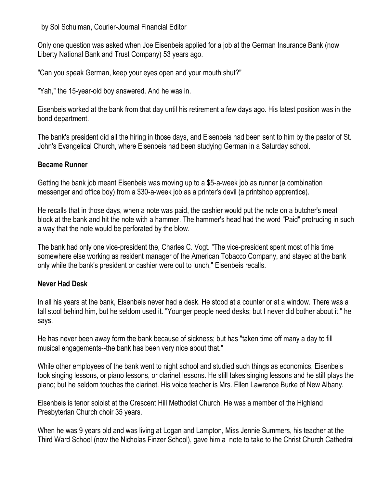by Sol Schulman, Courier-Journal Financial Editor

Only one question was asked when Joe Eisenbeis applied for a job at the German Insurance Bank (now Liberty National Bank and Trust Company) 53 years ago.

"Can you speak German, keep your eyes open and your mouth shut?"

"Yah," the 15-year-old boy answered. And he was in.

Eisenbeis worked at the bank from that day until his retirement a few days ago. His latest position was in the bond department.

The bank's president did all the hiring in those days, and Eisenbeis had been sent to him by the pastor of St. John's Evangelical Church, where Eisenbeis had been studying German in a Saturday school.

#### **Became Runner**

Getting the bank job meant Eisenbeis was moving up to a \$5-a-week job as runner (a combination messenger and office boy) from a \$30-a-week job as a printer's devil (a printshop apprentice).

He recalls that in those days, when a note was paid, the cashier would put the note on a butcher's meat block at the bank and hit the note with a hammer. The hammer's head had the word "Paid" protruding in such a way that the note would be perforated by the blow.

The bank had only one vice-president the, Charles C. Vogt. "The vice-president spent most of his time somewhere else working as resident manager of the American Tobacco Company, and stayed at the bank only while the bank's president or cashier were out to lunch," Eisenbeis recalls.

### **Never Had Desk**

In all his years at the bank, Eisenbeis never had a desk. He stood at a counter or at a window. There was a tall stool behind him, but he seldom used it. "Younger people need desks; but I never did bother about it," he says.

He has never been away form the bank because of sickness; but has "taken time off many a day to fill musical engagements--the bank has been very nice about that."

While other employees of the bank went to night school and studied such things as economics, Eisenbeis took singing lessons, or piano lessons, or clarinet lessons. He still takes singing lessons and he still plays the piano; but he seldom touches the clarinet. His voice teacher is Mrs. Ellen Lawrence Burke of New Albany.

Eisenbeis is tenor soloist at the Crescent Hill Methodist Church. He was a member of the Highland Presbyterian Church choir 35 years.

When he was 9 years old and was living at Logan and Lampton, Miss Jennie Summers, his teacher at the Third Ward School (now the Nicholas Finzer School), gave him a note to take to the Christ Church Cathedral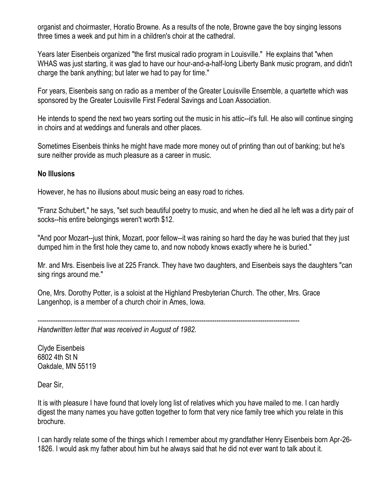organist and choirmaster, Horatio Browne. As a results of the note, Browne gave the boy singing lessons three times a week and put him in a children's choir at the cathedral.

Years later Eisenbeis organized "the first musical radio program in Louisville." He explains that "when WHAS was just starting, it was glad to have our hour-and-a-half-long Liberty Bank music program, and didn't charge the bank anything; but later we had to pay for time."

For years, Eisenbeis sang on radio as a member of the Greater Louisville Ensemble, a quartette which was sponsored by the Greater Louisville First Federal Savings and Loan Association.

He intends to spend the next two years sorting out the music in his attic--it's full. He also will continue singing in choirs and at weddings and funerals and other places.

Sometimes Eisenbeis thinks he might have made more money out of printing than out of banking; but he's sure neither provide as much pleasure as a career in music.

#### **No Illusions**

However, he has no illusions about music being an easy road to riches.

"Franz Schubert," he says, "set such beautiful poetry to music, and when he died all he left was a dirty pair of socks--his entire belongings weren't worth \$12.

"And poor Mozart--just think, Mozart, poor fellow--it was raining so hard the day he was buried that they just dumped him in the first hole they came to, and now nobody knows exactly where he is buried."

Mr. and Mrs. Eisenbeis live at 225 Franck. They have two daughters, and Eisenbeis says the daughters "can sing rings around me."

One, Mrs. Dorothy Potter, is a soloist at the Highland Presbyterian Church. The other, Mrs. Grace Langenhop, is a member of a church choir in Ames, Iowa.

------------------------------------------------------------------------------------------------------------------------

*Handwritten letter that was received in August of 1982.*

Clyde Eisenbeis 6802 4th St N Oakdale, MN 55119

Dear Sir,

It is with pleasure I have found that lovely long list of relatives which you have mailed to me. I can hardly digest the many names you have gotten together to form that very nice family tree which you relate in this brochure.

I can hardly relate some of the things which I remember about my grandfather Henry Eisenbeis born Apr-26- 1826. I would ask my father about him but he always said that he did not ever want to talk about it.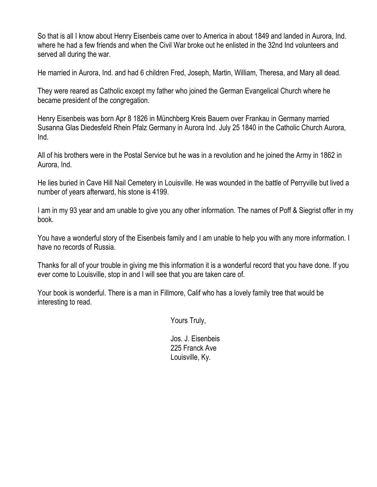So that is all I know about Henry Eisenbeis came over to America in about 1849 and landed in Aurora, Ind. where he had a few friends and when the Civil War broke out he enlisted in the 32nd Ind volunteers and served all during the war.

He married in Aurora, Ind. and had 6 children Fred, Joseph, Martin, William, Theresa, and Mary all dead.

They were reared as Catholic except my father who joined the German Evangelical Church where he became president of the congregation.

Henry Eisenbeis was born Apr 8 1826 in Münchberg Kreis Bauern over Frankau in Germany married Susanna Glas Diedesfeld Rhein Pfalz Germany in Aurora Ind. July 25 1840 in the Catholic Church Aurora, Ind.

All of his brothers were in the Postal Service but he was in a revolution and he joined the Army in 1862 in Aurora, Ind.

He lies buried in Cave Hill Nail Cemetery in Louisville. He was wounded in the battle of Perryville but lived a number of years afterward, his stone is 4199.

I am in my 93 year and am unable to give you any other information. The names of Poff & Siegrist offer in my book.

You have a wonderful story of the Eisenbeis family and I am unable to help you with any more information. I have no records of Russia.

Thanks for all of your trouble in giving me this information it is a wonderful record that you have done. If you ever come to Louisville, stop in and I will see that you are taken care of.

Your book is wonderful. There is a man in Fillmore, Calif who has a lovely family tree that would be interesting to read.

Yours Truly,

Jos. J. Eisenbeis 225 Franck Ave Louisville, Ky.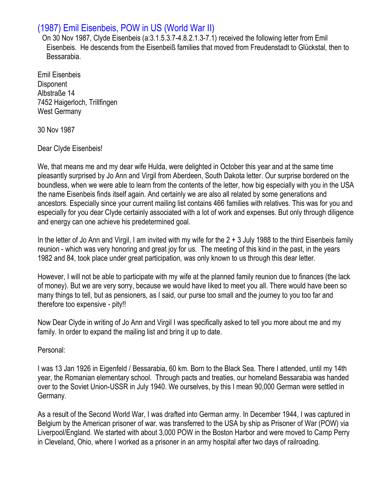# (1987) Emil Eisenbeis, POW in US (World War II)

On 30 Nov 1987, Clyde Eisenbeis (a:3.1.5.3.7-4.8.2.1.3-7.1) received the following letter from Emil Eisenbeis. He descends from the Eisenbeiß families that moved from Freudenstadt to Glückstal, then to Bessarabia.

Emil Eisenbeis Disponent Albstraße 14 7452 Haigerloch, Trillfingen West Germany

30 Nov 1987

#### Dear Clyde Eisenbeis!

We, that means me and my dear wife Hulda, were delighted in October this year and at the same time pleasantly surprised by Jo Ann and Virgil from Aberdeen, South Dakota letter. Our surprise bordered on the boundless, when we were able to learn from the contents of the letter, how big especially with you in the USA the name Eisenbeis finds itself again. And certainly we are also all related by some generations and ancestors. Especially since your current mailing list contains 466 families with relatives. This was for you and especially for you dear Clyde certainly associated with a lot of work and expenses. But only through diligence and energy can one achieve his predetermined goal.

In the letter of Jo Ann and Virgil, I am invited with my wife for the 2 + 3 July 1988 to the third Eisenbeis family reunion - which was very honoring and great joy for us. The meeting of this kind in the past, in the years 1982 and 84, took place under great participation, was only known to us through this dear letter.

However, I will not be able to participate with my wife at the planned family reunion due to finances (the lack of money). But we are very sorry, because we would have liked to meet you all. There would have been so many things to tell, but as pensioners, as I said, our purse too small and the journey to you too far and therefore too expensive - pity!!

Now Dear Clyde in writing of Jo Ann and Virgil I was specifically asked to tell you more about me and my family. In order to expand the mailing list and bring it up to date.

Personal:

I was 13 Jan 1926 in Eigenfeld / Bessarabia, 60 km. Born to the Black Sea. There I attended, until my 14th year, the Romanian elementary school. Through pacts and treaties, our homeland Bessarabia was handed over to the Soviet Union-USSR in July 1940. We ourselves, by this I mean 90,000 German were settled in Germany.

As a result of the Second World War, I was drafted into German army. In December 1944, I was captured in Belgium by the American prisoner of war. was transferred to the USA by ship as Prisoner of War (POW) via Liverpool/England. We started with about 3,000 POW in the Boston Harbor and were moved to Camp Perry in Cleveland, Ohio, where I worked as a prisoner in an army hospital after two days of railroading.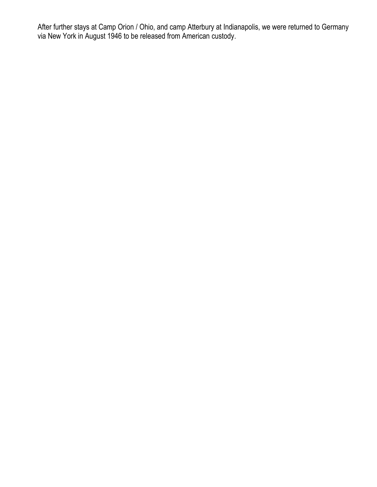After further stays at Camp Orion / Ohio, and camp Atterbury at Indianapolis, we were returned to Germany via New York in August 1946 to be released from American custody.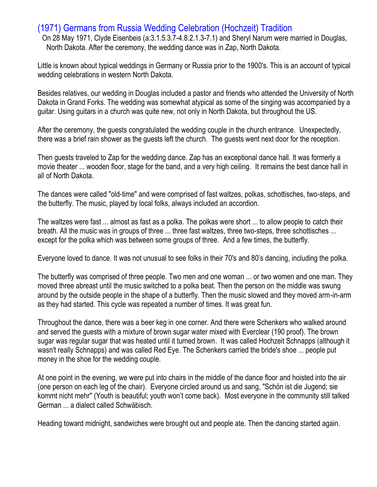## (1971) Germans from Russia Wedding Celebration (Hochzeit) Tradition

On 28 May 1971, Clyde Eisenbeis (a:3.1.5.3.7-4.8.2.1.3-7.1) and Sheryl Narum were married in Douglas, North Dakota. After the ceremony, the wedding dance was in Zap, North Dakota.

Little is known about typical weddings in Germany or Russia prior to the 1900's. This is an account of typical wedding celebrations in western North Dakota.

Besides relatives, our wedding in Douglas included a pastor and friends who attended the University of North Dakota in Grand Forks. The wedding was somewhat atypical as some of the singing was accompanied by a guitar. Using guitars in a church was quite new, not only in North Dakota, but throughout the US.

After the ceremony, the guests congratulated the wedding couple in the church entrance. Unexpectedly, there was a brief rain shower as the guests left the church. The guests went next door for the reception.

Then guests traveled to Zap for the wedding dance. Zap has an exceptional dance hall. It was formerly a movie theater ... wooden floor, stage for the band, and a very high ceiling. It remains the best dance hall in all of North Dakota.

The dances were called "old-time" and were comprised of fast waltzes, polkas, schottisches, two-steps, and the butterfly. The music, played by local folks, always included an accordion.

The waltzes were fast ... almost as fast as a polka. The polkas were short ... to allow people to catch their breath. All the music was in groups of three ... three fast waltzes, three two-steps, three schottisches ... except for the polka which was between some groups of three. And a few times, the butterfly.

Everyone loved to dance. It was not unusual to see folks in their 70's and 80's dancing, including the polka.

The butterfly was comprised of three people. Two men and one woman ... or two women and one man. They moved three abreast until the music switched to a polka beat. Then the person on the middle was swung around by the outside people in the shape of a butterfly. Then the music slowed and they moved arm-in-arm as they had started. This cycle was repeated a number of times. It was great fun.

Throughout the dance, there was a beer keg in one corner. And there were Schenkers who walked around and served the guests with a mixture of brown sugar water mixed with Everclear (190 proof). The brown sugar was regular sugar that was heated until it turned brown. It was called Hochzeit Schnapps (although it wasn't really Schnapps) and was called Red Eye. The Schenkers carried the bride's shoe ... people put money in the shoe for the wedding couple.

At one point in the evening, we were put into chairs in the middle of the dance floor and hoisted into the air (one person on each leg of the chair). Everyone circled around us and sang, "Schön ist die Jugend; sie kommt nicht mehr" (Youth is beautiful; youth won't come back). Most everyone in the community still talked German ... a dialect called Schwäbisch.

Heading toward midnight, sandwiches were brought out and people ate. Then the dancing started again.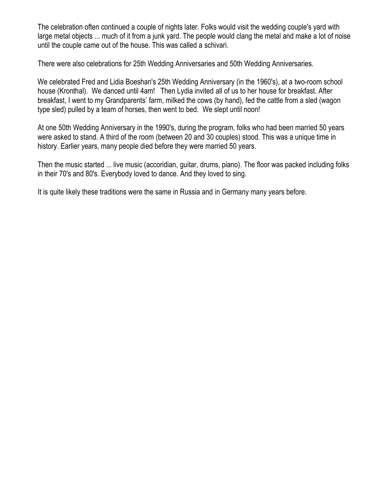The celebration often continued a couple of nights later. Folks would visit the wedding couple's yard with large metal objects ... much of it from a junk yard. The people would clang the metal and make a lot of noise until the couple came out of the house. This was called a schivari.

There were also celebrations for 25th Wedding Anniversaries and 50th Wedding Anniversaries.

We celebrated Fred and Lidia Boeshan's 25th Wedding Anniversary (in the 1960's), at a two-room school house (Kronthal). We danced until 4am! Then Lydia invited all of us to her house for breakfast. After breakfast, I went to my Grandparents' farm, milked the cows (by hand), fed the cattle from a sled (wagon type sled) pulled by a team of horses, then went to bed. We slept until noon!

At one 50th Wedding Anniversary in the 1990's, during the program, folks who had been married 50 years were asked to stand. A third of the room (between 20 and 30 couples) stood. This was a unique time in history. Earlier years, many people died before they were married 50 years.

Then the music started ... live music (accoridian, guitar, drums, piano). The floor was packed including folks in their 70's and 80's. Everybody loved to dance. And they loved to sing.

It is quite likely these traditions were the same in Russia and in Germany many years before.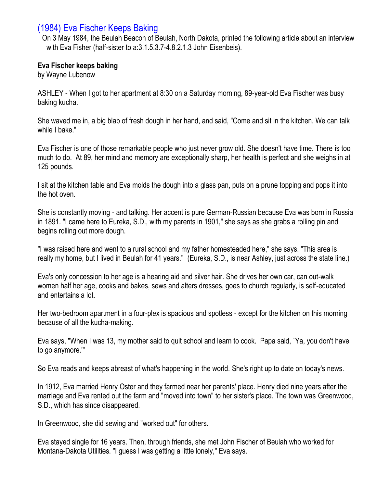## (1984) Eva Fischer Keeps Baking

On 3 May 1984, the Beulah Beacon of Beulah, North Dakota, printed the following article about an interview with Eva Fisher (half-sister to a:3.1.5.3.7-4.8.2.1.3 John Eisenbeis).

#### **Eva Fischer keeps baking**

by Wayne Lubenow

ASHLEY - When I got to her apartment at 8:30 on a Saturday morning, 89-year-old Eva Fischer was busy baking kucha.

She waved me in, a big blab of fresh dough in her hand, and said, "Come and sit in the kitchen. We can talk while I bake."

Eva Fischer is one of those remarkable people who just never grow old. She doesn't have time. There is too much to do. At 89, her mind and memory are exceptionally sharp, her health is perfect and she weighs in at 125 pounds.

I sit at the kitchen table and Eva molds the dough into a glass pan, puts on a prune topping and pops it into the hot oven.

She is constantly moving - and talking. Her accent is pure German-Russian because Eva was born in Russia in 1891. "I came here to Eureka, S.D., with my parents in 1901," she says as she grabs a rolling pin and begins rolling out more dough.

"I was raised here and went to a rural school and my father homesteaded here," she says. "This area is really my home, but I lived in Beulah for 41 years." (Eureka, S.D., is near Ashley, just across the state line.)

Eva's only concession to her age is a hearing aid and silver hair. She drives her own car, can out-walk women half her age, cooks and bakes, sews and alters dresses, goes to church regularly, is self-educated and entertains a lot.

Her two-bedroom apartment in a four-plex is spacious and spotless - except for the kitchen on this morning because of all the kucha-making.

Eva says, "When I was 13, my mother said to quit school and learn to cook. Papa said, `Ya, you don't have to go anymore.'"

So Eva reads and keeps abreast of what's happening in the world. She's right up to date on today's news.

In 1912, Eva married Henry Oster and they farmed near her parents' place. Henry died nine years after the marriage and Eva rented out the farm and "moved into town" to her sister's place. The town was Greenwood, S.D., which has since disappeared.

In Greenwood, she did sewing and "worked out" for others.

Eva stayed single for 16 years. Then, through friends, she met John Fischer of Beulah who worked for Montana-Dakota Utilities. "I guess I was getting a little lonely," Eva says.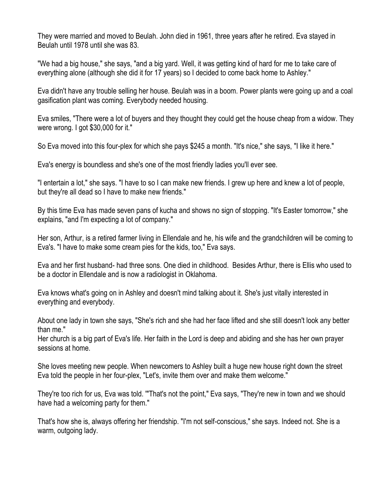They were married and moved to Beulah. John died in 1961, three years after he retired. Eva stayed in Beulah until 1978 until she was 83.

"We had a big house," she says, "and a big yard. Well, it was getting kind of hard for me to take care of everything alone (although she did it for 17 years) so I decided to come back home to Ashley."

Eva didn't have any trouble selling her house. Beulah was in a boom. Power plants were going up and a coal gasification plant was coming. Everybody needed housing.

Eva smiles, "There were a lot of buyers and they thought they could get the house cheap from a widow. They were wrong. I got \$30,000 for it."

So Eva moved into this four-plex for which she pays \$245 a month. "It's nice," she says, "I like it here."

Eva's energy is boundless and she's one of the most friendly ladies you'll ever see.

"I entertain a lot," she says. "I have to so I can make new friends. I grew up here and knew a lot of people, but they're all dead so I have to make new friends."

By this time Eva has made seven pans of kucha and shows no sign of stopping. "It's Easter tomorrow," she explains, "and I'm expecting a lot of company."

Her son, Arthur, is a retired farmer living in Ellendale and he, his wife and the grandchildren will be coming to Eva's. "I have to make some cream pies for the kids, too," Eva says.

Eva and her first husband- had three sons. One died in childhood. Besides Arthur, there is Ellis who used to be a doctor in Ellendale and is now a radiologist in Oklahoma.

Eva knows what's going on in Ashley and doesn't mind talking about it. She's just vitally interested in everything and everybody.

About one lady in town she says, "She's rich and she had her face lifted and she still doesn't look any better than me."

Her church is a big part of Eva's life. Her faith in the Lord is deep and abiding and she has her own prayer sessions at home.

She loves meeting new people. When newcomers to Ashley built a huge new house right down the street Eva told the people in her four-plex, "Let's, invite them over and make them welcome."

They're too rich for us, Eva was told. '"That's not the point," Eva says, "They're new in town and we should have had a welcoming party for them."

That's how she is, always offering her friendship. "I'm not self-conscious," she says. Indeed not. She is a warm, outgoing lady.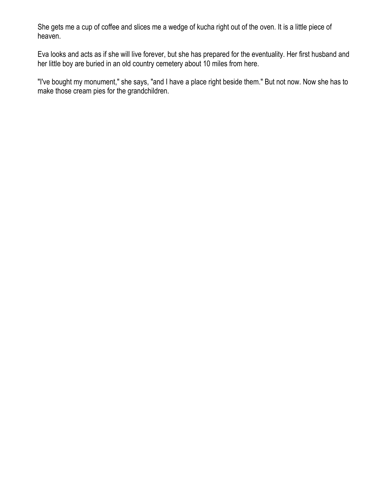She gets me a cup of coffee and slices me a wedge of kucha right out of the oven. It is a little piece of heaven.

Eva looks and acts as if she will live forever, but she has prepared for the eventuality. Her first husband and her little boy are buried in an old country cemetery about 10 miles from here.

"I've bought my monument," she says, "and I have a place right beside them." But not now. Now she has to make those cream pies for the grandchildren.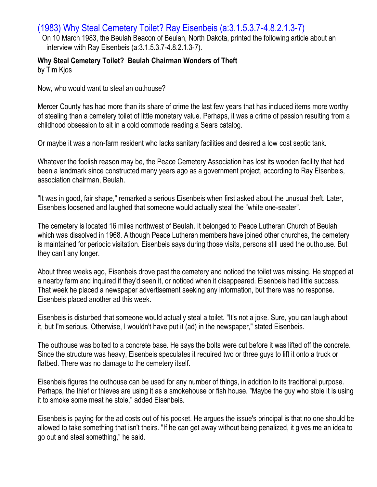## (1983) Why Steal Cemetery Toilet? Ray Eisenbeis (a:3.1.5.3.7-4.8.2.1.3-7)

On 10 March 1983, the Beulah Beacon of Beulah, North Dakota, printed the following article about an interview with Ray Eisenbeis (a:3.1.5.3.7-4.8.2.1.3-7).

# **Why Steal Cemetery Toilet? Beulah Chairman Wonders of Theft**

by Tim Kjos

Now, who would want to steal an outhouse?

Mercer County has had more than its share of crime the last few years that has included items more worthy of stealing than a cemetery toilet of little monetary value. Perhaps, it was a crime of passion resulting from a childhood obsession to sit in a cold commode reading a Sears catalog.

Or maybe it was a non-farm resident who lacks sanitary facilities and desired a low cost septic tank.

Whatever the foolish reason may be, the Peace Cemetery Association has lost its wooden facility that had been a landmark since constructed many years ago as a government project, according to Ray Eisenbeis, association chairman, Beulah.

"It was in good, fair shape," remarked a serious Eisenbeis when first asked about the unusual theft. Later, Eisenbeis loosened and laughed that someone would actually steal the "white one-seater".

The cemetery is located 16 miles northwest of Beulah. It belonged to Peace Lutheran Church of Beulah which was dissolved in 1968. Although Peace Lutheran members have joined other churches, the cemetery is maintained for periodic visitation. Eisenbeis says during those visits, persons still used the outhouse. But they can't any longer.

About three weeks ago, Eisenbeis drove past the cemetery and noticed the toilet was missing. He stopped at a nearby farm and inquired if they'd seen it, or noticed when it disappeared. Eisenbeis had little success. That week he placed a newspaper advertisement seeking any information, but there was no response. Eisenbeis placed another ad this week.

Eisenbeis is disturbed that someone would actually steal a toilet. "It's not a joke. Sure, you can laugh about it, but I'm serious. Otherwise, I wouldn't have put it (ad) in the newspaper," stated Eisenbeis.

The outhouse was bolted to a concrete base. He says the bolts were cut before it was lifted off the concrete. Since the structure was heavy, Eisenbeis speculates it required two or three guys to lift it onto a truck or flatbed. There was no damage to the cemetery itself.

Eisenbeis figures the outhouse can be used for any number of things, in addition to its traditional purpose. Perhaps, the thief or thieves are using it as a smokehouse or fish house. "Maybe the guy who stole it is using it to smoke some meat he stole," added Eisenbeis.

Eisenbeis is paying for the ad costs out of his pocket. He argues the issue's principal is that no one should be allowed to take something that isn't theirs. "If he can get away without being penalized, it gives me an idea to go out and steal something," he said.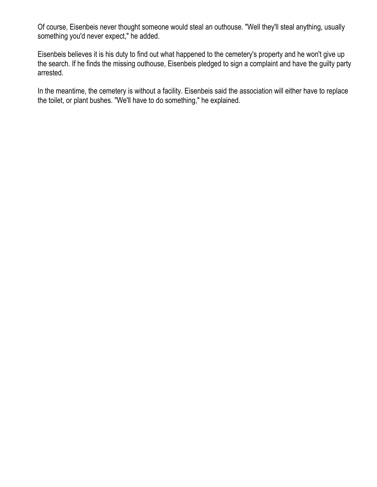Of course, Eisenbeis never thought someone would steal an outhouse. "Well they'll steal anything, usually something you'd never expect," he added.

Eisenbeis believes it is his duty to find out what happened to the cemetery's property and he won't give up the search. If he finds the missing outhouse, Eisenbeis pledged to sign a complaint and have the guilty party arrested.

In the meantime, the cemetery is without a facility. Eisenbeis said the association will either have to replace the toilet, or plant bushes. "We'll have to do something," he explained.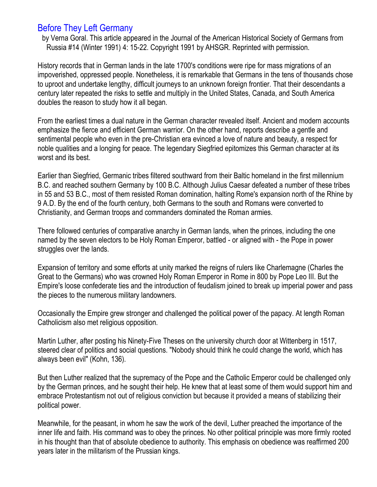## Before They Left Germany

by Verna Goral. This article appeared in the Journal of the American Historical Society of Germans from Russia #14 (Winter 1991) 4: 15-22. Copyright 1991 by AHSGR. Reprinted with permission.

History records that in German lands in the late 1700's conditions were ripe for mass migrations of an impoverished, oppressed people. Nonetheless, it is remarkable that Germans in the tens of thousands chose to uproot and undertake lengthy, difficult journeys to an unknown foreign frontier. That their descendants a century later repeated the risks to settle and multiply in the United States, Canada, and South America doubles the reason to study how it all began.

From the earliest times a dual nature in the German character revealed itself. Ancient and modern accounts emphasize the fierce and efficient German warrior. On the other hand, reports describe a gentle and sentimental people who even in the pre-Christian era evinced a love of nature and beauty, a respect for noble qualities and a longing for peace. The legendary Siegfried epitomizes this German character at its worst and its best.

Earlier than Siegfried, Germanic tribes filtered southward from their Baltic homeland in the first millennium B.C. and reached southern Germany by 100 B.C. Although Julius Caesar defeated a number of these tribes in 55 and 53 B.C., most of them resisted Roman domination, halting Rome's expansion north of the Rhine by 9 A.D. By the end of the fourth century, both Germans to the south and Romans were converted to Christianity, and German troops and commanders dominated the Roman armies.

There followed centuries of comparative anarchy in German lands, when the princes, including the one named by the seven electors to be Holy Roman Emperor, battled - or aligned with - the Pope in power struggles over the lands.

Expansion of territory and some efforts at unity marked the reigns of rulers like Charlemagne (Charles the Great to the Germans) who was crowned Holy Roman Emperor in Rome in 800 by Pope Leo III. But the Empire's loose confederate ties and the introduction of feudalism joined to break up imperial power and pass the pieces to the numerous military landowners.

Occasionally the Empire grew stronger and challenged the political power of the papacy. At length Roman Catholicism also met religious opposition.

Martin Luther, after posting his Ninety-Five Theses on the university church door at Wittenberg in 1517, steered clear of politics and social questions. "Nobody should think he could change the world, which has always been evil" (Kohn, 136).

But then Luther realized that the supremacy of the Pope and the Catholic Emperor could be challenged only by the German princes, and he sought their help. He knew that at least some of them would support him and embrace Protestantism not out of religious conviction but because it provided a means of stabilizing their political power.

Meanwhile, for the peasant, in whom he saw the work of the devil, Luther preached the importance of the inner life and faith. His command was to obey the princes. No other political principle was more firmly rooted in his thought than that of absolute obedience to authority. This emphasis on obedience was reaffirmed 200 years later in the militarism of the Prussian kings.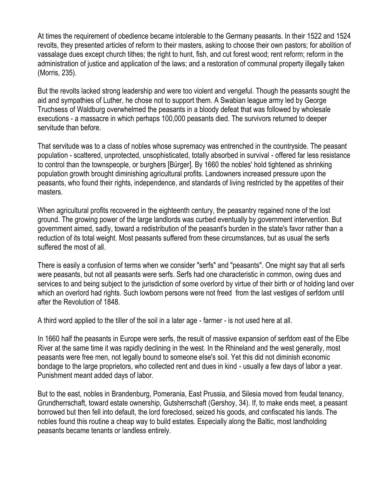At times the requirement of obedience became intolerable to the Germany peasants. In their 1522 and 1524 revolts, they presented articles of reform to their masters, asking to choose their own pastors; for abolition of vassalage dues except church tithes; the right to hunt, fish, and cut forest wood; rent reform; reform in the administration of justice and application of the laws; and a restoration of communal property illegally taken (Morris, 235).

But the revolts lacked strong leadership and were too violent and vengeful. Though the peasants sought the aid and sympathies of Luther, he chose not to support them. A Swabian league army led by George Truchsess of Waldburg overwhelmed the peasants in a bloody defeat that was followed by wholesale executions - a massacre in which perhaps 100,000 peasants died. The survivors returned to deeper servitude than before.

That servitude was to a class of nobles whose supremacy was entrenched in the countryside. The peasant population - scattered, unprotected, unsophisticated, totally absorbed in survival - offered far less resistance to control than the townspeople, or burghers [Bürger]. By 1660 the nobles' hold tightened as shrinking population growth brought diminishing agricultural profits. Landowners increased pressure upon the peasants, who found their rights, independence, and standards of living restricted by the appetites of their masters.

When agricultural profits recovered in the eighteenth century, the peasantry regained none of the lost ground. The growing power of the large landlords was curbed eventually by government intervention. But government aimed, sadly, toward a redistribution of the peasant's burden in the state's favor rather than a reduction of its total weight. Most peasants suffered from these circumstances, but as usual the serfs suffered the most of all.

There is easily a confusion of terms when we consider "serfs" and "peasants". One might say that all serfs were peasants, but not all peasants were serfs. Serfs had one characteristic in common, owing dues and services to and being subject to the jurisdiction of some overlord by virtue of their birth or of holding land over which an overlord had rights. Such lowborn persons were not freed from the last vestiges of serfdom until after the Revolution of 1848.

A third word applied to the tiller of the soil in a later age - farmer - is not used here at all.

In 1660 half the peasants in Europe were serfs, the result of massive expansion of serfdom east of the Elbe River at the same time it was rapidly declining in the west. In the Rhineland and the west generally, most peasants were free men, not legally bound to someone else's soil. Yet this did not diminish economic bondage to the large proprietors, who collected rent and dues in kind - usually a few days of labor a year. Punishment meant added days of labor.

But to the east, nobles in Brandenburg, Pomerania, East Prussia, and Silesia moved from feudal tenancy, Grundherrschaft, toward estate ownership, Gutsherrschaft (Gershoy, 34). If, to make ends meet, a peasant borrowed but then fell into default, the lord foreclosed, seized his goods, and confiscated his lands. The nobles found this routine a cheap way to build estates. Especially along the Baltic, most landholding peasants became tenants or landless entirely.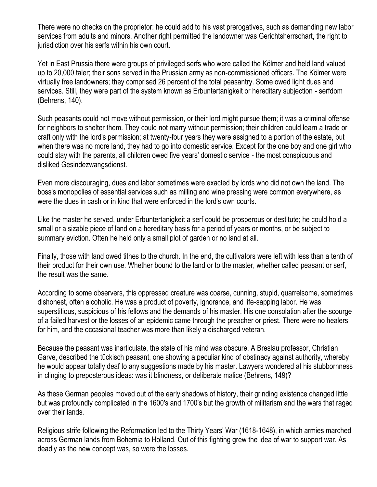There were no checks on the proprietor: he could add to his vast prerogatives, such as demanding new labor services from adults and minors. Another right permitted the landowner was Gerichtsherrschart, the right to jurisdiction over his serfs within his own court.

Yet in East Prussia there were groups of privileged serfs who were called the Kölmer and held land valued up to 20,000 taler; their sons served in the Prussian army as non-commissioned officers. The Kölmer were virtually free landowners; they comprised 26 percent of the total peasantry. Some owed light dues and services. Still, they were part of the system known as Erbuntertanigkeit or hereditary subjection - serfdom (Behrens, 140).

Such peasants could not move without permission, or their lord might pursue them; it was a criminal offense for neighbors to shelter them. They could not marry without permission; their children could learn a trade or craft only with the lord's permission; at twenty-four years they were assigned to a portion of the estate, but when there was no more land, they had to go into domestic service. Except for the one boy and one girl who could stay with the parents, all children owed five years' domestic service - the most conspicuous and disliked Gesindezwangsdienst.

Even more discouraging, dues and labor sometimes were exacted by lords who did not own the land. The boss's monopolies of essential services such as milling and wine pressing were common everywhere, as were the dues in cash or in kind that were enforced in the lord's own courts.

Like the master he served, under Erbuntertanigkeit a serf could be prosperous or destitute; he could hold a small or a sizable piece of land on a hereditary basis for a period of years or months, or be subject to summary eviction. Often he held only a small plot of garden or no land at all.

Finally, those with land owed tithes to the church. In the end, the cultivators were left with less than a tenth of their product for their own use. Whether bound to the land or to the master, whether called peasant or serf, the result was the same.

According to some observers, this oppressed creature was coarse, cunning, stupid, quarrelsome, sometimes dishonest, often alcoholic. He was a product of poverty, ignorance, and life-sapping labor. He was superstitious, suspicious of his fellows and the demands of his master. His one consolation after the scourge of a failed harvest or the losses of an epidemic came through the preacher or priest. There were no healers for him, and the occasional teacher was more than likely a discharged veteran.

Because the peasant was inarticulate, the state of his mind was obscure. A Breslau professor, Christian Garve, described the tückisch peasant, one showing a peculiar kind of obstinacy against authority, whereby he would appear totally deaf to any suggestions made by his master. Lawyers wondered at his stubbornness in clinging to preposterous ideas: was it blindness, or deliberate malice (Behrens, 149)?

As these German peoples moved out of the early shadows of history, their grinding existence changed little but was profoundly complicated in the 1600's and 1700's but the growth of militarism and the wars that raged over their lands.

Religious strife following the Reformation led to the Thirty Years' War (1618-1648), in which armies marched across German lands from Bohemia to Holland. Out of this fighting grew the idea of war to support war. As deadly as the new concept was, so were the losses.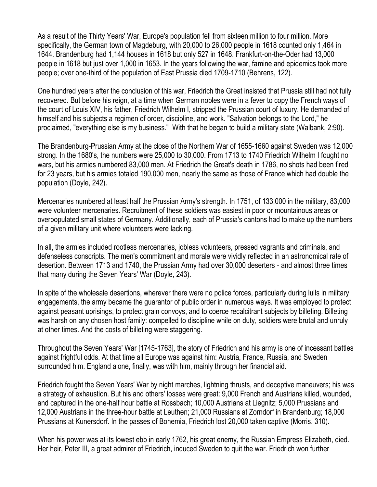As a result of the Thirty Years' War, Europe's population fell from sixteen million to four million. More specifically, the German town of Magdeburg, with 20,000 to 26,000 people in 1618 counted only 1,464 in 1644. Brandenburg had 1,144 houses in 1618 but only 527 in 1648. Frankfurt-on-the-Oder had 13,000 people in 1618 but just over 1,000 in 1653. In the years following the war, famine and epidemics took more people; over one-third of the population of East Prussia died 1709-1710 (Behrens, 122).

One hundred years after the conclusion of this war, Friedrich the Great insisted that Prussia still had not fully recovered. But before his reign, at a time when German nobles were in a fever to copy the French ways of the court of Louis XIV, his father, Friedrich Wilhelm I, stripped the Prussian court of luxury. He demanded of himself and his subjects a regimen of order, discipline, and work. "Salvation belongs to the Lord," he proclaimed, "everything else is my business." With that he began to build a military state (Walbank, 2:90).

The Brandenburg-Prussian Army at the close of the Northern War of 1655-1660 against Sweden was 12,000 strong. In the 1680's, the numbers were 25,000 to 30,000. From 1713 to 1740 Friedrich Wilhelm I fought no wars, but his armies numbered 83,000 men. At Friedrich the Great's death in 1786, no shots had been fired for 23 years, but his armies totaled 190,000 men, nearly the same as those of France which had double the population (Doyle, 242).

Mercenaries numbered at least half the Prussian Army's strength. In 1751, of 133,000 in the military, 83,000 were volunteer mercenaries. Recruitment of these soldiers was easiest in poor or mountainous areas or overpopulated small states of Germany. Additionally, each of Prussia's cantons had to make up the numbers of a given military unit where volunteers were lacking.

In all, the armies included rootless mercenaries, jobless volunteers, pressed vagrants and criminals, and defenseless conscripts. The men's commitment and morale were vividly reflected in an astronomical rate of desertion. Between 1713 and 1740, the Prussian Army had over 30,000 deserters - and almost three times that many during the Seven Years' War (Doyle, 243).

In spite of the wholesale desertions, wherever there were no police forces, particularly during lulls in military engagements, the army became the guarantor of public order in numerous ways. It was employed to protect against peasant uprisings, to protect grain convoys, and to coerce recalcitrant subjects by billeting. Billeting was harsh on any chosen host family: compelled to discipline while on duty, soldiers were brutal and unruly at other times. And the costs of billeting were staggering.

Throughout the Seven Years' War [1745-1763], the story of Friedrich and his army is one of incessant battles against frightful odds. At that time all Europe was against him: Austria, France, Russia, and Sweden surrounded him. England alone, finally, was with him, mainly through her financial aid.

Friedrich fought the Seven Years' War by night marches, lightning thrusts, and deceptive maneuvers; his was a strategy of exhaustion. But his and others' losses were great: 9,000 French and Austrians killed, wounded, and captured in the one-half hour battle at Rossbach; 10,000 Austrians at Liegnitz; 5,000 Prussians and 12,000 Austrians in the three-hour battle at Leuthen; 21,000 Russians at Zorndorf in Brandenburg; 18,000 Prussians at Kunersdorf. In the passes of Bohemia, Friedrich lost 20,000 taken captive (Morris, 310).

When his power was at its lowest ebb in early 1762, his great enemy, the Russian Empress Elizabeth, died. Her heir, Peter III, a great admirer of Friedrich, induced Sweden to quit the war. Friedrich won further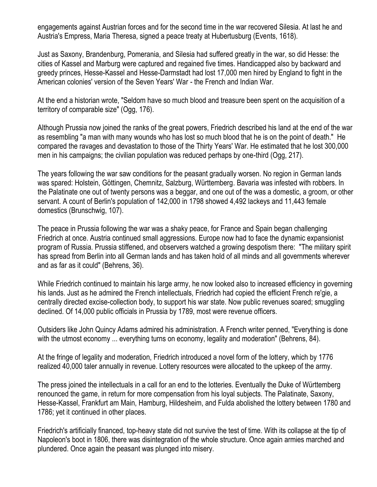engagements against Austrian forces and for the second time in the war recovered Silesia. At last he and Austria's Empress, Maria Theresa, signed a peace treaty at Hubertusburg (Events, 1618).

Just as Saxony, Brandenburg, Pomerania, and Silesia had suffered greatly in the war, so did Hesse: the cities of Kassel and Marburg were captured and regained five times. Handicapped also by backward and greedy princes, Hesse-Kassel and Hesse-Darmstadt had lost 17,000 men hired by England to fight in the American colonies' version of the Seven Years' War - the French and Indian War.

At the end a historian wrote, "Seldom have so much blood and treasure been spent on the acquisition of a territory of comparable size" (Ogg, 176).

Although Prussia now joined the ranks of the great powers, Friedrich described his land at the end of the war as resembling "a man with many wounds who has lost so much blood that he is on the point of death." He compared the ravages and devastation to those of the Thirty Years' War. He estimated that he lost 300,000 men in his campaigns; the civilian population was reduced perhaps by one-third (Ogg, 217).

The years following the war saw conditions for the peasant gradually worsen. No region in German lands was spared: Holstein, Göttingen, Chemnitz, Salzburg, Württemberg. Bavaria was infested with robbers. In the Palatinate one out of twenty persons was a beggar, and one out of the was a domestic, a groom, or other servant. A count of Berlin's population of 142,000 in 1798 showed 4,492 lackeys and 11,443 female domestics (Brunschwig, 107).

The peace in Prussia following the war was a shaky peace, for France and Spain began challenging Friedrich at once. Austria continued small aggressions. Europe now had to face the dynamic expansionist program of Russia. Prussia stiffened, and observers watched a growing despotism there: "The military spirit has spread from Berlin into all German lands and has taken hold of all minds and all governments wherever and as far as it could" (Behrens, 36).

While Friedrich continued to maintain his large army, he now looked also to increased efficiency in governing his lands. Just as he admired the French intellectuals, Friedrich had copied the efficient French re'gie, a centrally directed excise-collection body, to support his war state. Now public revenues soared; smuggling declined. Of 14,000 public officials in Prussia by 1789, most were revenue officers.

Outsiders like John Quincy Adams admired his administration. A French writer penned, "Everything is done with the utmost economy ... everything turns on economy, legality and moderation" (Behrens, 84).

At the fringe of legality and moderation, Friedrich introduced a novel form of the lottery, which by 1776 realized 40,000 taler annually in revenue. Lottery resources were allocated to the upkeep of the army.

The press joined the intellectuals in a call for an end to the lotteries. Eventually the Duke of Württemberg renounced the game, in return for more compensation from his loyal subjects. The Palatinate, Saxony, Hesse-Kassel, Frankfurt am Main, Hamburg, Hildesheim, and Fulda abolished the lottery between 1780 and 1786; yet it continued in other places.

Friedrich's artificially financed, top-heavy state did not survive the test of time. With its collapse at the tip of Napoleon's boot in 1806, there was disintegration of the whole structure. Once again armies marched and plundered. Once again the peasant was plunged into misery.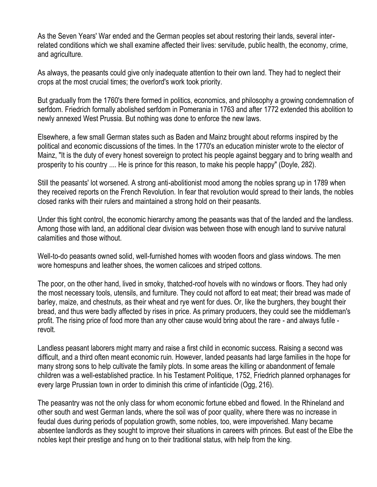As the Seven Years' War ended and the German peoples set about restoring their lands, several interrelated conditions which we shall examine affected their lives: servitude, public health, the economy, crime, and agriculture.

As always, the peasants could give only inadequate attention to their own land. They had to neglect their crops at the most crucial times; the overlord's work took priority.

But gradually from the 1760's there formed in politics, economics, and philosophy a growing condemnation of serfdom. Friedrich formally abolished serfdom in Pomerania in 1763 and after 1772 extended this abolition to newly annexed West Prussia. But nothing was done to enforce the new laws.

Elsewhere, a few small German states such as Baden and Mainz brought about reforms inspired by the political and economic discussions of the times. In the 1770's an education minister wrote to the elector of Mainz, "It is the duty of every honest sovereign to protect his people against beggary and to bring wealth and prosperity to his country .... He is prince for this reason, to make his people happy" (Doyle, 282).

Still the peasants' lot worsened. A strong anti-abolitionist mood among the nobles sprang up in 1789 when they received reports on the French Revolution. In fear that revolution would spread to their lands, the nobles closed ranks with their rulers and maintained a strong hold on their peasants.

Under this tight control, the economic hierarchy among the peasants was that of the landed and the landless. Among those with land, an additional clear division was between those with enough land to survive natural calamities and those without.

Well-to-do peasants owned solid, well-furnished homes with wooden floors and glass windows. The men wore homespuns and leather shoes, the women calicoes and striped cottons.

The poor, on the other hand, lived in smoky, thatched-roof hovels with no windows or floors. They had only the most necessary tools, utensils, and furniture. They could not afford to eat meat; their bread was made of barley, maize, and chestnuts, as their wheat and rye went for dues. Or, like the burghers, they bought their bread, and thus were badly affected by rises in price. As primary producers, they could see the middleman's profit. The rising price of food more than any other cause would bring about the rare - and always futile revolt.

Landless peasant laborers might marry and raise a first child in economic success. Raising a second was difficult, and a third often meant economic ruin. However, landed peasants had large families in the hope for many strong sons to help cultivate the family plots. In some areas the killing or abandonment of female children was a well-established practice. In his Testament Politique, 1752, Friedrich planned orphanages for every large Prussian town in order to diminish this crime of infanticide (Ogg, 216).

The peasantry was not the only class for whom economic fortune ebbed and flowed. In the Rhineland and other south and west German lands, where the soil was of poor quality, where there was no increase in feudal dues during periods of population growth, some nobles, too, were impoverished. Many became absentee landlords as they sought to improve their situations in careers with princes. But east of the Elbe the nobles kept their prestige and hung on to their traditional status, with help from the king.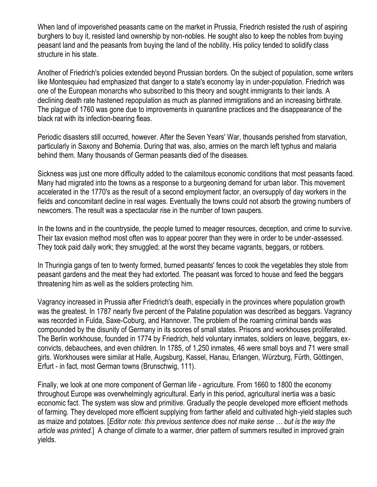When land of impoverished peasants came on the market in Prussia, Friedrich resisted the rush of aspiring burghers to buy it, resisted land ownership by non-nobles. He sought also to keep the nobles from buying peasant land and the peasants from buying the land of the nobility. His policy tended to solidify class structure in his state.

Another of Friedrich's policies extended beyond Prussian borders. On the subject of population, some writers like Montesquieu had emphasized that danger to a state's economy lay in under-population. Friedrich was one of the European monarchs who subscribed to this theory and sought immigrants to their lands. A declining death rate hastened repopulation as much as planned immigrations and an increasing birthrate. The plague of 1760 was gone due to improvements in quarantine practices and the disappearance of the black rat with its infection-bearing fleas.

Periodic disasters still occurred, however. After the Seven Years' War, thousands perished from starvation, particularly in Saxony and Bohemia. During that was, also, armies on the march left typhus and malaria behind them. Many thousands of German peasants died of the diseases.

Sickness was just one more difficulty added to the calamitous economic conditions that most peasants faced. Many had migrated into the towns as a response to a burgeoning demand for urban labor. This movement accelerated in the 1770's as the result of a second employment factor, an oversupply of day workers in the fields and concomitant decline in real wages. Eventually the towns could not absorb the growing numbers of newcomers. The result was a spectacular rise in the number of town paupers.

In the towns and in the countryside, the people turned to meager resources, deception, and crime to survive. Their tax evasion method most often was to appear poorer than they were in order to be under-assessed. They took paid daily work; they smuggled; at the worst they became vagrants, beggars, or robbers.

In Thuringia gangs of ten to twenty formed, burned peasants' fences to cook the vegetables they stole from peasant gardens and the meat they had extorted. The peasant was forced to house and feed the beggars threatening him as well as the soldiers protecting him.

Vagrancy increased in Prussia after Friedrich's death, especially in the provinces where population growth was the greatest. In 1787 nearly five percent of the Palatine population was described as beggars. Vagrancy was recorded in Fulda, Saxe-Coburg, and Hannover. The problem of the roaming criminal bands was compounded by the disunity of Germany in its scores of small states. Prisons and workhouses proliferated. The Berlin workhouse, founded in 1774 by Friedrich, held voluntary inmates, soldiers on leave, beggars, exconvicts, debauchees, and even children. In 1785, of 1,250 inmates, 46 were small boys and 71 were small girls. Workhouses were similar at Halle, Augsburg, Kassel, Hanau, Erlangen, Würzburg, Fürth, Göttingen, Erfurt - in fact, most German towns (Brunschwig, 111).

Finally, we look at one more component of German life - agriculture. From 1660 to 1800 the economy throughout Europe was overwhelmingly agricultural. Early in this period, agricultural inertia was a basic economic fact. The system was slow and primitive. Gradually the people developed more efficient methods of farming. They developed more efficient supplying from farther afield and cultivated high-yield staples such as maize and potatoes. [*Editor note: this previous sentence does not make sense … but is the way the article was printed.*] A change of climate to a warmer, drier pattern of summers resulted in improved grain yields.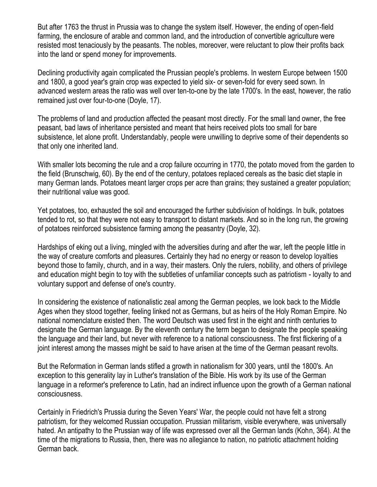But after 1763 the thrust in Prussia was to change the system itself. However, the ending of open-field farming, the enclosure of arable and common land, and the introduction of convertible agriculture were resisted most tenaciously by the peasants. The nobles, moreover, were reluctant to plow their profits back into the land or spend money for improvements.

Declining productivity again complicated the Prussian people's problems. In western Europe between 1500 and 1800, a good year's grain crop was expected to yield six- or seven-fold for every seed sown. In advanced western areas the ratio was well over ten-to-one by the late 1700's. In the east, however, the ratio remained just over four-to-one (Doyle, 17).

The problems of land and production affected the peasant most directly. For the small land owner, the free peasant, bad laws of inheritance persisted and meant that heirs received plots too small for bare subsistence, let alone profit. Understandably, people were unwilling to deprive some of their dependents so that only one inherited land.

With smaller lots becoming the rule and a crop failure occurring in 1770, the potato moved from the garden to the field (Brunschwig, 60). By the end of the century, potatoes replaced cereals as the basic diet staple in many German lands. Potatoes meant larger crops per acre than grains; they sustained a greater population; their nutritional value was good.

Yet potatoes, too, exhausted the soil and encouraged the further subdivision of holdings. In bulk, potatoes tended to rot, so that they were not easy to transport to distant markets. And so in the long run, the growing of potatoes reinforced subsistence farming among the peasantry (Doyle, 32).

Hardships of eking out a living, mingled with the adversities during and after the war, left the people little in the way of creature comforts and pleasures. Certainly they had no energy or reason to develop loyalties beyond those to family, church, and in a way, their masters. Only the rulers, nobility, and others of privilege and education might begin to toy with the subtleties of unfamiliar concepts such as patriotism - loyalty to and voluntary support and defense of one's country.

In considering the existence of nationalistic zeal among the German peoples, we look back to the Middle Ages when they stood together, feeling linked not as Germans, but as heirs of the Holy Roman Empire. No national nomenclature existed then. The word Deutsch was used first in the eight and ninth centuries to designate the German language. By the eleventh century the term began to designate the people speaking the language and their land, but never with reference to a national consciousness. The first flickering of a joint interest among the masses might be said to have arisen at the time of the German peasant revolts.

But the Reformation in German lands stifled a growth in nationalism for 300 years, until the 1800's. An exception to this generality lay in Luther's translation of the Bible. His work by its use of the German language in a reformer's preference to Latin, had an indirect influence upon the growth of a German national consciousness.

Certainly in Friedrich's Prussia during the Seven Years' War, the people could not have felt a strong patriotism, for they welcomed Russian occupation. Prussian militarism, visible everywhere, was universally hated. An antipathy to the Prussian way of life was expressed over all the German lands (Kohn, 364). At the time of the migrations to Russia, then, there was no allegiance to nation, no patriotic attachment holding German back.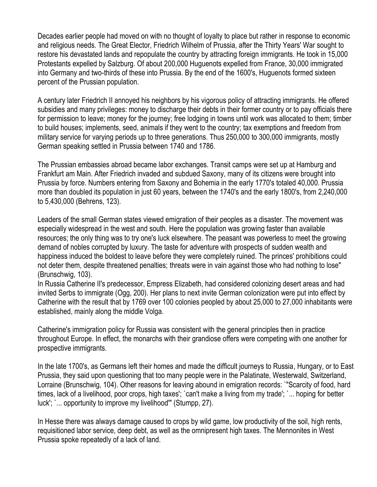Decades earlier people had moved on with no thought of loyalty to place but rather in response to economic and religious needs. The Great Elector, Friedrich Wilhelm of Prussia, after the Thirty Years' War sought to restore his devastated lands and repopulate the country by attracting foreign immigrants. He took in 15,000 Protestants expelled by Salzburg. Of about 200,000 Huguenots expelled from France, 30,000 immigrated into Germany and two-thirds of these into Prussia. By the end of the 1600's, Huguenots formed sixteen percent of the Prussian population.

A century later Friedrich II annoyed his neighbors by his vigorous policy of attracting immigrants. He offered subsidies and many privileges: money to discharge their debts in their former country or to pay officials there for permission to leave; money for the journey; free lodging in towns until work was allocated to them; timber to build houses; implements, seed, animals if they went to the country; tax exemptions and freedom from military service for varying periods up to three generations. Thus 250,000 to 300,000 immigrants, mostly German speaking settled in Prussia between 1740 and 1786.

The Prussian embassies abroad became labor exchanges. Transit camps were set up at Hamburg and Frankfurt am Main. After Friedrich invaded and subdued Saxony, many of its citizens were brought into Prussia by force. Numbers entering from Saxony and Bohemia in the early 1770's totaled 40,000. Prussia more than doubled its population in just 60 years, between the 1740's and the early 1800's, from 2,240,000 to 5,430,000 (Behrens, 123).

Leaders of the small German states viewed emigration of their peoples as a disaster. The movement was especially widespread in the west and south. Here the population was growing faster than available resources; the only thing was to try one's luck elsewhere. The peasant was powerless to meet the growing demand of nobles corrupted by luxury. The taste for adventure with prospects of sudden wealth and happiness induced the boldest to leave before they were completely ruined. The princes' prohibitions could not deter them, despite threatened penalties; threats were in vain against those who had nothing to lose" (Brunschwig, 103).

In Russia Catherine II's predecessor, Empress Elizabeth, had considered colonizing desert areas and had invited Serbs to immigrate (Ogg, 200). Her plans to next invite German colonization were put into effect by Catherine with the result that by 1769 over 100 colonies peopled by about 25,000 to 27,000 inhabitants were established, mainly along the middle Volga.

Catherine's immigration policy for Russia was consistent with the general principles then in practice throughout Europe. In effect, the monarchs with their grandiose offers were competing with one another for prospective immigrants.

In the late 1700's, as Germans left their homes and made the difficult journeys to Russia, Hungary, or to East Prussia, they said upon questioning that too many people were in the Palatinate, Westerwald, Switzerland, Lorraine (Brunschwig, 104). Other reasons for leaving abound in emigration records: `"Scarcity of food, hard times, lack of a livelihood, poor crops, high taxes'; `can't make a living from my trade'; `... hoping for better luck'; `... opportunity to improve my livelihood'" (Stumpp, 27).

In Hesse there was always damage caused to crops by wild game, low productivity of the soil, high rents, requisitioned labor service, deep debt, as well as the omnipresent high taxes. The Mennonites in West Prussia spoke repeatedly of a lack of land.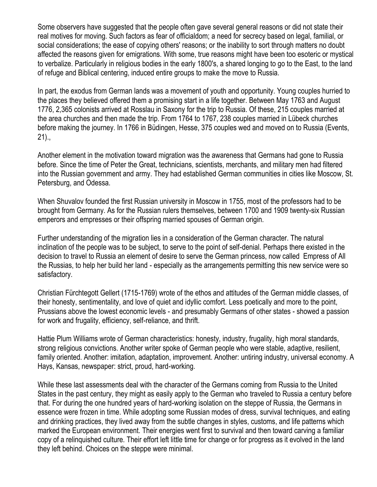Some observers have suggested that the people often gave several general reasons or did not state their real motives for moving. Such factors as fear of officialdom; a need for secrecy based on legal, familial, or social considerations; the ease of copying others' reasons; or the inability to sort through matters no doubt affected the reasons given for emigrations. With some, true reasons might have been too esoteric or mystical to verbalize. Particularly in religious bodies in the early 1800's, a shared longing to go to the East, to the land of refuge and Biblical centering, induced entire groups to make the move to Russia.

In part, the exodus from German lands was a movement of youth and opportunity. Young couples hurried to the places they believed offered them a promising start in a life together. Between May 1763 and August 1776, 2,365 colonists arrived at Rosslau in Saxony for the trip to Russia. Of these, 215 couples married at the area churches and then made the trip. From 1764 to 1767, 238 couples married in Lübeck churches before making the journey. In 1766 in Büdingen, Hesse, 375 couples wed and moved on to Russia (Events, 21).,

Another element in the motivation toward migration was the awareness that Germans had gone to Russia before. Since the time of Peter the Great, technicians, scientists, merchants, and military men had filtered into the Russian government and army. They had established German communities in cities like Moscow, St. Petersburg, and Odessa.

When Shuvalov founded the first Russian university in Moscow in 1755, most of the professors had to be brought from Germany. As for the Russian rulers themselves, between 1700 and 1909 twenty-six Russian emperors and empresses or their offspring married spouses of German origin.

Further understanding of the migration lies in a consideration of the German character. The natural inclination of the people was to be subject, to serve to the point of self-denial. Perhaps there existed in the decision to travel to Russia an element of desire to serve the German princess, now called Empress of All the Russias, to help her build her land - especially as the arrangements permitting this new service were so satisfactory.

Christian Fürchtegott Gellert (1715-1769) wrote of the ethos and attitudes of the German middle classes, of their honesty, sentimentality, and love of quiet and idyllic comfort. Less poetically and more to the point, Prussians above the lowest economic levels - and presumably Germans of other states - showed a passion for work and frugality, efficiency, self-reliance, and thrift.

Hattie Plum Williams wrote of German characteristics: honesty, industry, frugality, high moral standards, strong religious convictions. Another writer spoke of German people who were stable, adaptive, resilient, family oriented. Another: imitation, adaptation, improvement. Another: untiring industry, universal economy. A Hays, Kansas, newspaper: strict, proud, hard-working.

While these last assessments deal with the character of the Germans coming from Russia to the United States in the past century, they might as easily apply to the German who traveled to Russia a century before that. For during the one hundred years of hard-working isolation on the steppe of Russia, the Germans in essence were frozen in time. While adopting some Russian modes of dress, survival techniques, and eating and drinking practices, they lived away from the subtle changes in styles, customs, and life patterns which marked the European environment. Their energies went first to survival and then toward carving a familiar copy of a relinquished culture. Their effort left little time for change or for progress as it evolved in the land they left behind. Choices on the steppe were minimal.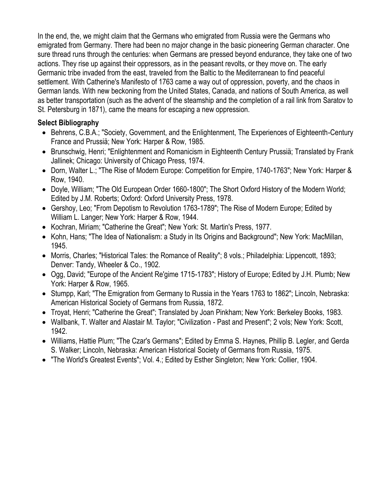In the end, the, we might claim that the Germans who emigrated from Russia were the Germans who emigrated from Germany. There had been no major change in the basic pioneering German character. One sure thread runs through the centuries: when Germans are pressed beyond endurance, they take one of two actions. They rise up against their oppressors, as in the peasant revolts, or they move on. The early Germanic tribe invaded from the east, traveled from the Baltic to the Mediterranean to find peaceful settlement. With Catherine's Manifesto of 1763 came a way out of oppression, poverty, and the chaos in German lands. With new beckoning from the United States, Canada, and nations of South America, as well as better transportation (such as the advent of the steamship and the completion of a rail link from Saratov to St. Petersburg in 1871), came the means for escaping a new oppression.

### **Select Bibliography**

- Behrens, C.B.A.; "Society, Government, and the Enlightenment, The Experiences of Eighteenth-Century France and Prussiä; New York: Harper & Row, 1985.
- Brunschwig, Henri; "Enlightenment and Romanicism in Eighteenth Century Prussiä; Translated by Frank Jallinek; Chicago: University of Chicago Press, 1974.
- Dorn, Walter L.; "The Rise of Modern Europe: Competition for Empire, 1740-1763"; New York: Harper & Row, 1940.
- Doyle, William; "The Old European Order 1660-1800"; The Short Oxford History of the Modern World; Edited by J.M. Roberts; Oxford: Oxford University Press, 1978.
- Gershoy, Leo; "From Depotism to Revolution 1763-1789"; The Rise of Modern Europe; Edited by William L. Langer; New York: Harper & Row, 1944.
- Kochran, Miriam; "Catherine the Great"; New York: St. Martin's Press, 1977.
- Kohn, Hans; "The Idea of Nationalism: a Study in Its Origins and Background"; New York: MacMillan, 1945.
- Morris, Charles; "Historical Tales: the Romance of Reality"; 8 vols.; Philadelphia: Lippencott, 1893; Denver: Tandy, Wheeler & Co., 1902.
- Ogg, David; "Europe of the Ancient Re'gime 1715-1783"; History of Europe; Edited by J.H. Plumb; New York: Harper & Row, 1965.
- Stumpp, Karl; "The Emigration from Germany to Russia in the Years 1763 to 1862"; Lincoln, Nebraska: American Historical Society of Germans from Russia, 1872.
- Troyat, Henri; "Catherine the Great"; Translated by Joan Pinkham; New York: Berkeley Books, 1983.
- Wallbank, T. Walter and Alastair M. Taylor; "Civilization Past and Present"; 2 vols; New York: Scott, 1942.
- Williams, Hattie Plum; "The Czar's Germans"; Edited by Emma S. Haynes, Phillip B. Legler, and Gerda S. Walker; Lincoln, Nebraska: American Historical Society of Germans from Russia, 1975.
- "The World's Greatest Events"; Vol. 4.; Edited by Esther Singleton; New York: Collier, 1904.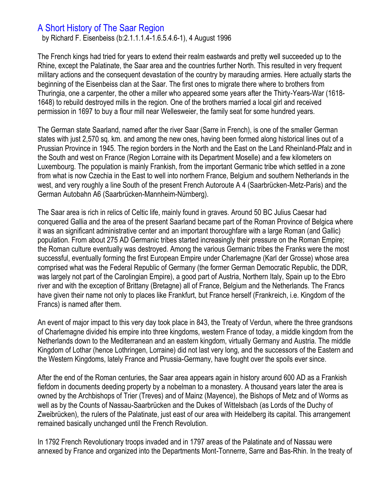## A Short History of The Saar Region

by Richard F. Eisenbeiss (b:2.1.1.1.4-1.6.5.4.6-1), 4 August 1996

The French kings had tried for years to extend their realm eastwards and pretty well succeeded up to the Rhine, except the Palatinate, the Saar area and the countries further North. This resulted in very frequent military actions and the consequent devastation of the country by marauding armies. Here actually starts the beginning of the Eisenbeiss clan at the Saar. The first ones to migrate there where to brothers from Thuringia, one a carpenter, the other a miller who appeared some years after the Thirty-Years-War (1618- 1648) to rebuild destroyed mills in the region. One of the brothers married a local girl and received permission in 1697 to buy a flour mill near Wellesweier, the family seat for some hundred years.

The German state Saarland, named after the river Saar (Sarre in French), is one of the smaller German states with just 2,570 sq. km. and among the new ones, having been formed along historical lines out of a Prussian Province in 1945. The region borders in the North and the East on the Land Rheinland-Pfalz and in the South and west on France (Region Lorraine with its Department Moselle) and a few kilometers on Luxembourg. The population is mainly Frankish, from the important Germanic tribe which settled in a zone from what is now Czechia in the East to well into northern France, Belgium and southern Netherlands in the west, and very roughly a line South of the present French Autoroute A 4 (Saarbrücken-Metz-Paris) and the German Autobahn A6 (Saarbrücken-Mannheim-Nürnberg).

The Saar area is rich in relics of Celtic life, mainly found in graves. Around 50 BC Julius Caesar had conquered Gallia and the area of the present Saarland became part of the Roman Province of Belgica where it was an significant administrative center and an important thoroughfare with a large Roman (and Gallic) population. From about 275 AD Germanic tribes started increasingly their pressure on the Roman Empire; the Roman culture eventually was destroyed. Among the various Germanic tribes the Franks were the most successful, eventually forming the first European Empire under Charlemagne (Karl der Grosse) whose area comprised what was the Federal Republic of Germany (the former German Democratic Republic, the DDR, was largely not part of the Carolingian Empire), a good part of Austria, Northern Italy, Spain up to the Ebro river and with the exception of Brittany (Bretagne) all of France, Belgium and the Netherlands. The Francs have given their name not only to places like Frankfurt, but France herself (Frankreich, i.e. Kingdom of the Francs) is named after them.

An event of major impact to this very day took place in 843, the Treaty of Verdun, where the three grandsons of Charlemagne divided his empire into three kingdoms, western France of today, a middle kingdom from the Netherlands down to the Mediterranean and an eastern kingdom, virtually Germany and Austria. The middle Kingdom of Lothar (hence Lothringen, Lorraine) did not last very long, and the successors of the Eastern and the Western Kingdoms, lately France and Prussia-Germany, have fought over the spoils ever since.

After the end of the Roman centuries, the Saar area appears again in history around 600 AD as a Frankish fiefdom in documents deeding property by a nobelman to a monastery. A thousand years later the area is owned by the Archbishops of Trier (Treves) and of Mainz (Mayence), the Bishops of Metz and of Worms as well as by the Counts of Nassau-Saarbrücken and the Dukes of Wittelsbach (as Lords of the Duchy of Zweibrücken), the rulers of the Palatinate, just east of our area with Heidelberg its capital. This arrangement remained basically unchanged until the French Revolution.

In 1792 French Revolutionary troops invaded and in 1797 areas of the Palatinate and of Nassau were annexed by France and organized into the Departments Mont-Tonnerre, Sarre and Bas-Rhin. In the treaty of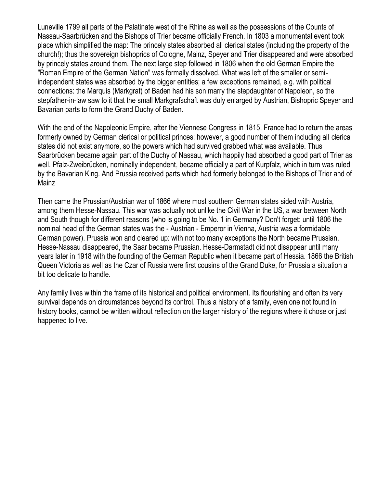Luneville 1799 all parts of the Palatinate west of the Rhine as well as the possessions of the Counts of Nassau-Saarbrücken and the Bishops of Trier became officially French. In 1803 a monumental event took place which simplified the map: The princely states absorbed all clerical states (including the property of the church!); thus the sovereign bishoprics of Cologne, Mainz, Speyer and Trier disappeared and were absorbed by princely states around them. The next large step followed in 1806 when the old German Empire the "Roman Empire of the German Nation" was formally dissolved. What was left of the smaller or semiindependent states was absorbed by the bigger entities; a few exceptions remained, e.g. with political connections: the Marquis (Markgraf) of Baden had his son marry the stepdaughter of Napoleon, so the stepfather-in-law saw to it that the small Markgrafschaft was duly enlarged by Austrian, Bishopric Speyer and Bavarian parts to form the Grand Duchy of Baden.

With the end of the Napoleonic Empire, after the Viennese Congress in 1815, France had to return the areas formerly owned by German clerical or political princes; however, a good number of them including all clerical states did not exist anymore, so the powers which had survived grabbed what was available. Thus Saarbrücken became again part of the Duchy of Nassau, which happily had absorbed a good part of Trier as well. Pfalz-Zweibrücken, nominally independent, became officially a part of Kurpfalz, which in turn was ruled by the Bavarian King. And Prussia received parts which had formerly belonged to the Bishops of Trier and of Mainz

Then came the Prussian/Austrian war of 1866 where most southern German states sided with Austria, among them Hesse-Nassau. This war was actually not unlike the Civil War in the US, a war between North and South though for different reasons (who is going to be No. 1 in Germany? Don't forget: until 1806 the nominal head of the German states was the - Austrian - Emperor in Vienna, Austria was a formidable German power). Prussia won and cleared up: with not too many exceptions the North became Prussian. Hesse-Nassau disappeared, the Saar became Prussian. Hesse-Darmstadt did not disappear until many years later in 1918 with the founding of the German Republic when it became part of Hessia. 1866 the British Queen Victoria as well as the Czar of Russia were first cousins of the Grand Duke, for Prussia a situation a bit too delicate to handle.

Any family lives within the frame of its historical and political environment. Its flourishing and often its very survival depends on circumstances beyond its control. Thus a history of a family, even one not found in history books, cannot be written without reflection on the larger history of the regions where it chose or just happened to live.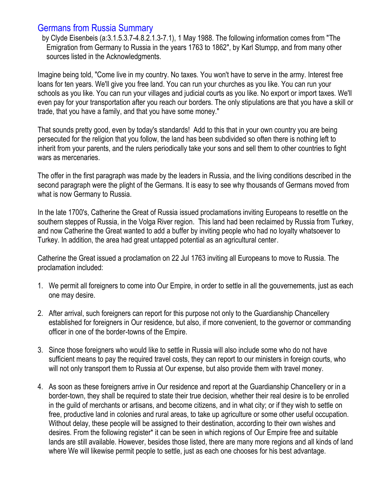## Germans from Russia Summary

by Clyde Eisenbeis (a:3.1.5.3.7-4.8.2.1.3-7.1), 1 May 1988. The following information comes from "The Emigration from Germany to Russia in the years 1763 to 1862", by Karl Stumpp, and from many other sources listed in the Acknowledgments.

Imagine being told, "Come live in my country. No taxes. You won't have to serve in the army. Interest free loans for ten years. We'll give you free land. You can run your churches as you like. You can run your schools as you like. You can run your villages and judicial courts as you like. No export or import taxes. We'll even pay for your transportation after you reach our borders. The only stipulations are that you have a skill or trade, that you have a family, and that you have some money."

That sounds pretty good, even by today's standards! Add to this that in your own country you are being persecuted for the religion that you follow, the land has been subdivided so often there is nothing left to inherit from your parents, and the rulers periodically take your sons and sell them to other countries to fight wars as mercenaries.

The offer in the first paragraph was made by the leaders in Russia, and the living conditions described in the second paragraph were the plight of the Germans. It is easy to see why thousands of Germans moved from what is now Germany to Russia.

In the late 1700's, Catherine the Great of Russia issued proclamations inviting Europeans to resettle on the southern steppes of Russia, in the Volga River region. This land had been reclaimed by Russia from Turkey, and now Catherine the Great wanted to add a buffer by inviting people who had no loyalty whatsoever to Turkey. In addition, the area had great untapped potential as an agricultural center.

Catherine the Great issued a proclamation on 22 Jul 1763 inviting all Europeans to move to Russia. The proclamation included:

- 1. We permit all foreigners to come into Our Empire, in order to settle in all the gouvernements, just as each one may desire.
- 2. After arrival, such foreigners can report for this purpose not only to the Guardianship Chancellery established for foreigners in Our residence, but also, if more convenient, to the governor or commanding officer in one of the border-towns of the Empire.
- 3. Since those foreigners who would like to settle in Russia will also include some who do not have sufficient means to pay the required travel costs, they can report to our ministers in foreign courts, who will not only transport them to Russia at Our expense, but also provide them with travel money.
- 4. As soon as these foreigners arrive in Our residence and report at the Guardianship Chancellery or in a border-town, they shall be required to state their true decision, whether their real desire is to be enrolled in the guild of merchants or artisans, and become citizens, and in what city; or if they wish to settle on free, productive land in colonies and rural areas, to take up agriculture or some other useful occupation. Without delay, these people will be assigned to their destination, according to their own wishes and desires. From the following register\* it can be seen in which regions of Our Empire free and suitable lands are still available. However, besides those listed, there are many more regions and all kinds of land where We will likewise permit people to settle, just as each one chooses for his best advantage.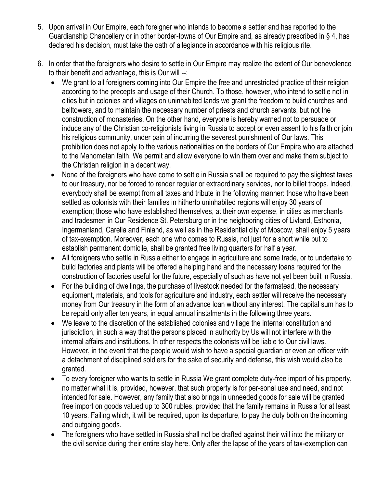- 5. Upon arrival in Our Empire, each foreigner who intends to become a settler and has reported to the Guardianship Chancellery or in other border-towns of Our Empire and, as already prescribed in § 4, has declared his decision, must take the oath of allegiance in accordance with his religious rite.
- 6. In order that the foreigners who desire to settle in Our Empire may realize the extent of Our benevolence to their benefit and advantage, this is Our will --:
	- We grant to all foreigners coming into Our Empire the free and unrestricted practice of their religion according to the precepts and usage of their Church. To those, however, who intend to settle not in cities but in colonies and villages on uninhabited lands we grant the freedom to build churches and belltowers, and to maintain the necessary number of priests and church servants, but not the construction of monasteries. On the other hand, everyone is hereby warned not to persuade or induce any of the Christian co-religionists living in Russia to accept or even assent to his faith or join his religious community, under pain of incurring the severest punishment of Our laws. This prohibition does not apply to the various nationalities on the borders of Our Empire who are attached to the Mahometan faith. We permit and allow everyone to win them over and make them subject to the Christian religion in a decent way.
	- None of the foreigners who have come to settle in Russia shall be required to pay the slightest taxes to our treasury, nor be forced to render regular or extraordinary services, nor to billet troops. Indeed, everybody shall be exempt from all taxes and tribute in the following manner: those who have been settled as colonists with their families in hitherto uninhabited regions will enjoy 30 years of exemption; those who have established themselves, at their own expense, in cities as merchants and tradesmen in Our Residence St. Petersburg or in the neighboring cities of Livland, Esthonia, Ingermanland, Carelia and Finland, as well as in the Residential city of Moscow, shall enjoy 5 years of tax-exemption. Moreover, each one who comes to Russia, not just for a short while but to establish permanent domicile, shall be granted free living quarters for half a year.
	- All foreigners who settle in Russia either to engage in agriculture and some trade, or to undertake to build factories and plants will be offered a helping hand and the necessary loans required for the construction of factories useful for the future, especially of such as have not yet been built in Russia.
	- For the building of dwellings, the purchase of livestock needed for the farmstead, the necessary equipment, materials, and tools for agriculture and industry, each settler will receive the necessary money from Our treasury in the form of an advance loan without any interest. The capital sum has to be repaid only after ten years, in equal annual instalments in the following three years.
	- We leave to the discretion of the established colonies and village the internal constitution and jurisdiction, in such a way that the persons placed in authority by Us will not interfere with the internal affairs and institutions. In other respects the colonists will be liable to Our civil laws. However, in the event that the people would wish to have a special guardian or even an officer with a detachment of disciplined soldiers for the sake of security and defense, this wish would also be granted.
	- To every foreigner who wants to settle in Russia We grant complete duty-free import of his property, no matter what it is, provided, however, that such property is for per-sonal use and need, and not intended for sale. However, any family that also brings in unneeded goods for sale will be granted free import on goods valued up to 300 rubles, provided that the family remains in Russia for at least 10 years. Failing which, it will be required, upon its departure, to pay the duty both on the incoming and outgoing goods.
	- The foreigners who have settled in Russia shall not be drafted against their will into the military or the civil service during their entire stay here. Only after the lapse of the years of tax-exemption can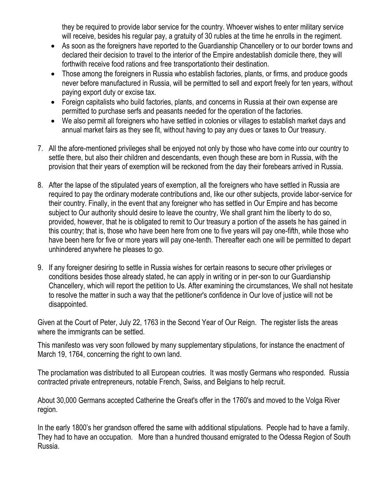they be required to provide labor service for the country. Whoever wishes to enter military service will receive, besides his regular pay, a gratuity of 30 rubles at the time he enrolls in the regiment.

- As soon as the foreigners have reported to the Guardianship Chancellery or to our border towns and declared their decision to travel to the interior of the Empire andestablish domicile there, they will forthwith receive food rations and free transportationto their destination.
- Those among the foreigners in Russia who establish factories, plants, or firms, and produce goods never before manufactured in Russia, will be permitted to sell and export freely for ten years, without paying export duty or excise tax.
- Foreign capitalists who build factories, plants, and concerns in Russia at their own expense are permitted to purchase serfs and peasants needed for the operation of the factories.
- We also permit all foreigners who have settled in colonies or villages to establish market days and annual market fairs as they see fit, without having to pay any dues or taxes to Our treasury.
- 7. All the afore-mentioned privileges shall be enjoyed not only by those who have come into our country to settle there, but also their children and descendants, even though these are born in Russia, with the provision that their years of exemption will be reckoned from the day their forebears arrived in Russia.
- 8. After the lapse of the stipulated years of exemption, all the foreigners who have settled in Russia are required to pay the ordinary moderate contributions and, like our other subjects, provide labor-service for their country. Finally, in the event that any foreigner who has settled in Our Empire and has become subject to Our authority should desire to leave the country, We shall grant him the liberty to do so, provided, however, that he is obligated to remit to Our treasury a portion of the assets he has gained in this country; that is, those who have been here from one to five years will pay one-fifth, while those who have been here for five or more years will pay one-tenth. Thereafter each one will be permitted to depart unhindered anywhere he pleases to go.
- 9. If any foreigner desiring to settle in Russia wishes for certain reasons to secure other privileges or conditions besides those already stated, he can apply in writing or in per-son to our Guardianship Chancellery, which will report the petition to Us. After examining the circumstances, We shall not hesitate to resolve the matter in such a way that the petitioner's confidence in Our love of justice will not be disappointed.

Given at the Court of Peter, July 22, 1763 in the Second Year of Our Reign. The register lists the areas where the immigrants can be settled.

This manifesto was very soon followed by many supplementary stipulations, for instance the enactment of March 19, 1764, concerning the right to own land.

The proclamation was distributed to all European coutries. It was mostly Germans who responded. Russia contracted private entrepreneurs, notable French, Swiss, and Belgians to help recruit.

About 30,000 Germans accepted Catherine the Great's offer in the 1760's and moved to the Volga River region.

In the early 1800's her grandson offered the same with additional stipulations. People had to have a family. They had to have an occupation. More than a hundred thousand emigrated to the Odessa Region of South Russia.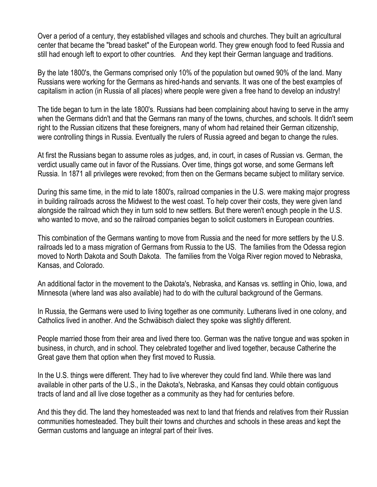Over a period of a century, they established villages and schools and churches. They built an agricultural center that became the "bread basket" of the European world. They grew enough food to feed Russia and still had enough left to export to other countries. And they kept their German language and traditions.

By the late 1800's, the Germans comprised only 10% of the population but owned 90% of the land. Many Russians were working for the Germans as hired-hands and servants. It was one of the best examples of capitalism in action (in Russia of all places) where people were given a free hand to develop an industry!

The tide began to turn in the late 1800's. Russians had been complaining about having to serve in the army when the Germans didn't and that the Germans ran many of the towns, churches, and schools. It didn't seem right to the Russian citizens that these foreigners, many of whom had retained their German citizenship, were controlling things in Russia. Eventually the rulers of Russia agreed and began to change the rules.

At first the Russians began to assume roles as judges, and, in court, in cases of Russian vs. German, the verdict usually came out in favor of the Russians. Over time, things got worse, and some Germans left Russia. In 1871 all privileges were revoked; from then on the Germans became subject to military service.

During this same time, in the mid to late 1800's, railroad companies in the U.S. were making major progress in building railroads across the Midwest to the west coast. To help cover their costs, they were given land alongside the railroad which they in turn sold to new settlers. But there weren't enough people in the U.S. who wanted to move, and so the railroad companies began to solicit customers in European countries.

This combination of the Germans wanting to move from Russia and the need for more settlers by the U.S. railroads led to a mass migration of Germans from Russia to the US. The families from the Odessa region moved to North Dakota and South Dakota. The families from the Volga River region moved to Nebraska, Kansas, and Colorado.

An additional factor in the movement to the Dakota's, Nebraska, and Kansas vs. settling in Ohio, Iowa, and Minnesota (where land was also available) had to do with the cultural background of the Germans.

In Russia, the Germans were used to living together as one community. Lutherans lived in one colony, and Catholics lived in another. And the Schwäbisch dialect they spoke was slightly different.

People married those from their area and lived there too. German was the native tongue and was spoken in business, in church, and in school. They celebrated together and lived together, because Catherine the Great gave them that option when they first moved to Russia.

In the U.S. things were different. They had to live wherever they could find land. While there was land available in other parts of the U.S., in the Dakota's, Nebraska, and Kansas they could obtain contiguous tracts of land and all live close together as a community as they had for centuries before.

And this they did. The land they homesteaded was next to land that friends and relatives from their Russian communities homesteaded. They built their towns and churches and schools in these areas and kept the German customs and language an integral part of their lives.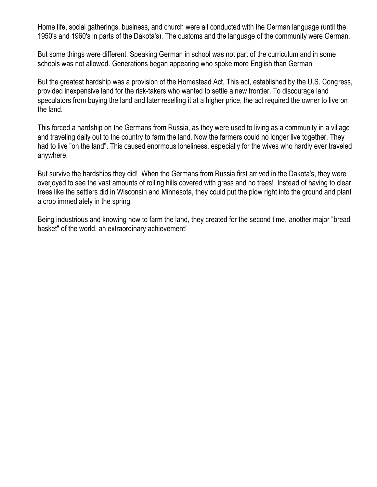Home life, social gatherings, business, and church were all conducted with the German language (until the 1950's and 1960's in parts of the Dakota's). The customs and the language of the community were German.

But some things were different. Speaking German in school was not part of the curriculum and in some schools was not allowed. Generations began appearing who spoke more English than German.

But the greatest hardship was a provision of the Homestead Act. This act, established by the U.S. Congress, provided inexpensive land for the risk-takers who wanted to settle a new frontier. To discourage land speculators from buying the land and later reselling it at a higher price, the act required the owner to live on the land.

This forced a hardship on the Germans from Russia, as they were used to living as a community in a village and traveling daily out to the country to farm the land. Now the farmers could no longer live together. They had to live "on the land". This caused enormous loneliness, especially for the wives who hardly ever traveled anywhere.

But survive the hardships they did! When the Germans from Russia first arrived in the Dakota's, they were overjoyed to see the vast amounts of rolling hills covered with grass and no trees! Instead of having to clear trees like the settlers did in Wisconsin and Minnesota, they could put the plow right into the ground and plant a crop immediately in the spring.

Being industrious and knowing how to farm the land, they created for the second time, another major "bread basket" of the world, an extraordinary achievement!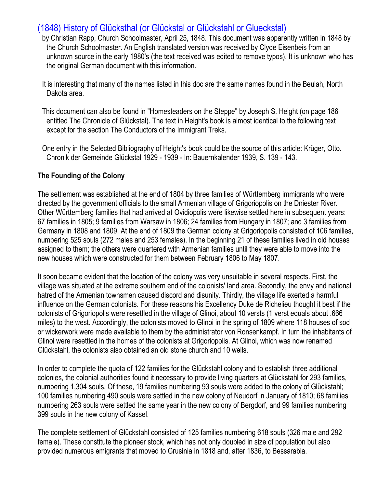## (1848) History of Glücksthal (or Glückstal or Glückstahl or Glueckstal)

- by Christian Rapp, Church Schoolmaster, April 25, 1848. This document was apparently written in 1848 by the Church Schoolmaster. An English translated version was received by Clyde Eisenbeis from an unknown source in the early 1980's (the text received was edited to remove typos). It is unknown who has the original German document with this information.
- It is interesting that many of the names listed in this doc are the same names found in the Beulah, North Dakota area.
- This document can also be found in "Homesteaders on the Steppe" by Joseph S. Height (on page 186 entitled The Chronicle of Glückstal). The text in Height's book is almost identical to the following text except for the section The Conductors of the Immigrant Treks.
- One entry in the Selected Bibliography of Height's book could be the source of this article: Krüger, Otto. Chronik der Gemeinde Glückstal 1929 - 1939 - In: Bauernkalender 1939, S. 139 - 143.

#### **The Founding of the Colony**

The settlement was established at the end of 1804 by three families of Württemberg immigrants who were directed by the government officials to the small Armenian village of Grigoriopolis on the Dniester River. Other Württemberg families that had arrived at Ovidiopolis were likewise settled here in subsequent years: 67 families in 1805; 9 families from Warsaw in 1806; 24 families from Hungary in 1807; and 3 families from Germany in 1808 and 1809. At the end of 1809 the German colony at Grigoriopolis consisted of 106 families, numbering 525 souls (272 males and 253 females). In the beginning 21 of these families lived in old houses assigned to them; the others were quartered with Armenian families until they were able to move into the new houses which were constructed for them between February 1806 to May 1807.

It soon became evident that the location of the colony was very unsuitable in several respects. First, the village was situated at the extreme southern end of the colonists' land area. Secondly, the envy and national hatred of the Armenian townsmen caused discord and disunity. Thirdly, the village life exerted a harmful influence on the German colonists. For these reasons his Excellency Duke de Richelieu thought it best if the colonists of Grigoriopolis were resettled in the village of Glinoi, about 10 versts (1 verst equals about .666 miles) to the west. Accordingly, the colonists moved to Glinoi in the spring of 1809 where 118 houses of sod or wickerwork were made available to them by the administrator von Ronsenkampf. In turn the inhabitants of Glinoi were resettled in the homes of the colonists at Grigoriopolis. At Glinoi, which was now renamed Glückstahl, the colonists also obtained an old stone church and 10 wells.

In order to complete the quota of 122 families for the Glückstahl colony and to establish three additional colonies, the colonial authorities found it necessary to provide living quarters at Glückstahl for 293 families, numbering 1,304 souls. Of these, 19 families numbering 93 souls were added to the colony of Glückstahl; 100 families numbering 490 souls were settled in the new colony of Neudorf in January of 1810; 68 families numbering 263 souls were settled the same year in the new colony of Bergdorf, and 99 families numbering 399 souls in the new colony of Kassel.

The complete settlement of Glückstahl consisted of 125 families numbering 618 souls (326 male and 292 female). These constitute the pioneer stock, which has not only doubled in size of population but also provided numerous emigrants that moved to Grusinia in 1818 and, after 1836, to Bessarabia.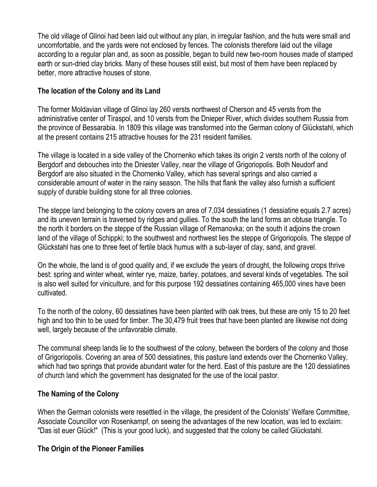The old village of Glinoi had been laid out without any plan, in irregular fashion, and the huts were small and uncomfortable, and the yards were not enclosed by fences. The colonists therefore laid out the village according to a regular plan and, as soon as possible, began to build new two-room houses made of stamped earth or sun-dried clay bricks. Many of these houses still exist, but most of them have been replaced by better, more attractive houses of stone.

### **The location of the Colony and its Land**

The former Moldavian village of Glinoi lay 260 versts northwest of Cherson and 45 versts from the administrative center of Tiraspol, and 10 versts from the Dnieper River, which divides southern Russia from the province of Bessarabia. In 1809 this village was transformed into the German colony of Glückstahl, which at the present contains 215 attractive houses for the 231 resident families.

The village is located in a side valley of the Chornenko which takes its origin 2 versts north of the colony of Bergdorf and debouches into the Dniester Valley, near the village of Grigoriopolis. Both Neudorf and Bergdorf are also situated in the Chornenko Valley, which has several springs and also carried a considerable amount of water in the rainy season. The hills that flank the valley also furnish a sufficient supply of durable building stone for all three colonies.

The steppe land belonging to the colony covers an area of 7,034 dessiatines (1 dessiatine equals 2.7 acres) and its uneven terrain is traversed by ridges and gullies. To the south the land forms an obtuse triangle. To the north it borders on the steppe of the Russian village of Remanovka; on the south it adjoins the crown land of the village of Schippki; to the southwest and northwest lies the steppe of Grigoriopolis. The steppe of Glückstahl has one to three feet of fertile black humus with a sub-layer of clay, sand, and gravel.

On the whole, the land is of good quality and, if we exclude the years of drought, the following crops thrive best: spring and winter wheat, winter rye, maize, barley, potatoes, and several kinds of vegetables. The soil is also well suited for viniculture, and for this purpose 192 dessiatines containing 465,000 vines have been cultivated.

To the north of the colony, 60 dessiatines have been planted with oak trees, but these are only 15 to 20 feet high and too thin to be used for timber. The 30,479 fruit trees that have been planted are likewise not doing well, largely because of the unfavorable climate.

The communal sheep lands lie to the southwest of the colony, between the borders of the colony and those of Grigoriopolis. Covering an area of 500 dessiatines, this pasture land extends over the Chornenko Valley, which had two springs that provide abundant water for the herd. East of this pasture are the 120 dessiatines of church land which the government has designated for the use of the local pastor.

### **The Naming of the Colony**

When the German colonists were resettled in the village, the president of the Colonists' Welfare Committee, Associate Councillor von Rosenkampf, on seeing the advantages of the new location, was led to exclaim: "Das ist euer Glück!" (This is your good luck), and suggested that the colony be called Glückstahl.

## **The Origin of the Pioneer Families**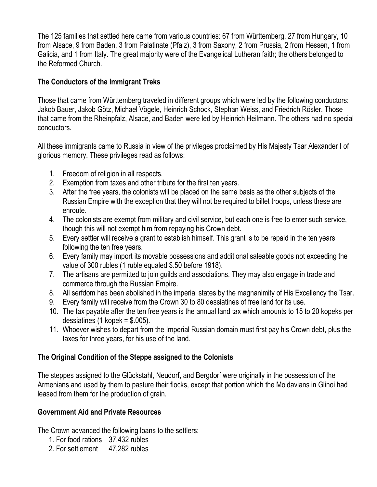The 125 families that settled here came from various countries: 67 from Württemberg, 27 from Hungary, 10 from Alsace, 9 from Baden, 3 from Palatinate (Pfalz), 3 from Saxony, 2 from Prussia, 2 from Hessen, 1 from Galicia, and 1 from Italy. The great majority were of the Evangelical Lutheran faith; the others belonged to the Reformed Church.

### **The Conductors of the Immigrant Treks**

Those that came from Württemberg traveled in different groups which were led by the following conductors: Jakob Bauer, Jakob Götz, Michael Vögele, Heinrich Schock, Stephan Weiss, and Friedrich Rösler. Those that came from the Rheinpfalz, Alsace, and Baden were led by Heinrich Heilmann. The others had no special conductors.

All these immigrants came to Russia in view of the privileges proclaimed by His Majesty Tsar Alexander I of glorious memory. These privileges read as follows:

- 1. Freedom of religion in all respects.
- 2. Exemption from taxes and other tribute for the first ten years.
- 3. After the free years, the colonists will be placed on the same basis as the other subjects of the Russian Empire with the exception that they will not be required to billet troops, unless these are enroute.
- 4. The colonists are exempt from military and civil service, but each one is free to enter such service, though this will not exempt him from repaying his Crown debt.
- 5. Every settler will receive a grant to establish himself. This grant is to be repaid in the ten years following the ten free years.
- 6. Every family may import its movable possessions and additional saleable goods not exceeding the value of 300 rubles (1 ruble equaled \$.50 before 1918).
- 7. The artisans are permitted to join guilds and associations. They may also engage in trade and commerce through the Russian Empire.
- 8. All serfdom has been abolished in the imperial states by the magnanimity of His Excellency the Tsar.
- 9. Every family will receive from the Crown 30 to 80 dessiatines of free land for its use.
- 10. The tax payable after the ten free years is the annual land tax which amounts to 15 to 20 kopeks per dessiatines  $(1 \text{ kopek} = $.005)$ .
- 11. Whoever wishes to depart from the Imperial Russian domain must first pay his Crown debt, plus the taxes for three years, for his use of the land.

## **The Original Condition of the Steppe assigned to the Colonists**

The steppes assigned to the Glückstahl, Neudorf, and Bergdorf were originally in the possession of the Armenians and used by them to pasture their flocks, except that portion which the Moldavians in Glinoi had leased from them for the production of grain.

## **Government Aid and Private Resources**

The Crown advanced the following loans to the settlers:

- 1. For food rations 37,432 rubles
- 2. For settlement 47,282 rubles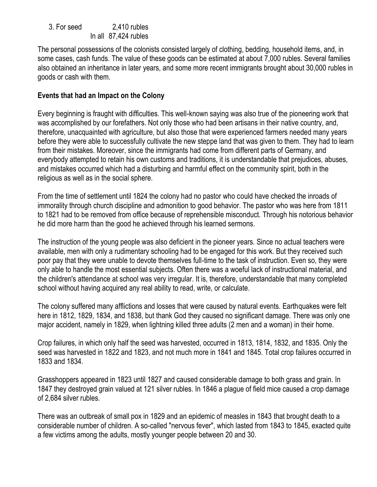| 3. For seed | $2,410$ rubles       |
|-------------|----------------------|
|             | In all 87,424 rubles |

The personal possessions of the colonists consisted largely of clothing, bedding, household items, and, in some cases, cash funds. The value of these goods can be estimated at about 7,000 rubles. Several families also obtained an inheritance in later years, and some more recent immigrants brought about 30,000 rubles in goods or cash with them.

#### **Events that had an Impact on the Colony**

Every beginning is fraught with difficulties. This well-known saying was also true of the pioneering work that was accomplished by our forefathers. Not only those who had been artisans in their native country, and, therefore, unacquainted with agriculture, but also those that were experienced farmers needed many years before they were able to successfully cultivate the new steppe land that was given to them. They had to learn from their mistakes. Moreover, since the immigrants had come from different parts of Germany, and everybody attempted to retain his own customs and traditions, it is understandable that prejudices, abuses, and mistakes occurred which had a disturbing and harmful effect on the community spirit, both in the religious as well as in the social sphere.

From the time of settlement until 1824 the colony had no pastor who could have checked the inroads of immorality through church discipline and admonition to good behavior. The pastor who was here from 1811 to 1821 had to be removed from office because of reprehensible misconduct. Through his notorious behavior he did more harm than the good he achieved through his learned sermons.

The instruction of the young people was also deficient in the pioneer years. Since no actual teachers were available, men with only a rudimentary schooling had to be engaged for this work. But they received such poor pay that they were unable to devote themselves full-time to the task of instruction. Even so, they were only able to handle the most essential subjects. Often there was a woeful lack of instructional material, and the children's attendance at school was very irregular. It is, therefore, understandable that many completed school without having acquired any real ability to read, write, or calculate.

The colony suffered many afflictions and losses that were caused by natural events. Earthquakes were felt here in 1812, 1829, 1834, and 1838, but thank God they caused no significant damage. There was only one major accident, namely in 1829, when lightning killed three adults (2 men and a woman) in their home.

Crop failures, in which only half the seed was harvested, occurred in 1813, 1814, 1832, and 1835. Only the seed was harvested in 1822 and 1823, and not much more in 1841 and 1845. Total crop failures occurred in 1833 and 1834.

Grasshoppers appeared in 1823 until 1827 and caused considerable damage to both grass and grain. In 1847 they destroyed grain valued at 121 silver rubles. In 1846 a plague of field mice caused a crop damage of 2,684 silver rubles.

There was an outbreak of small pox in 1829 and an epidemic of measles in 1843 that brought death to a considerable number of children. A so-called "nervous fever", which lasted from 1843 to 1845, exacted quite a few victims among the adults, mostly younger people between 20 and 30.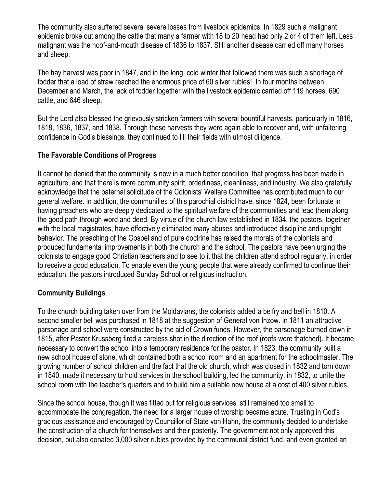The community also suffered several severe losses from livestock epidemics. In 1829 such a malignant epidemic broke out among the cattle that many a farmer with 18 to 20 head had only 2 or 4 of them left. Less malignant was the hoof-and-mouth disease of 1836 to 1837. Still another disease carried off many horses and sheep.

The hay harvest was poor in 1847, and in the long, cold winter that followed there was such a shortage of fodder that a load of straw reached the enormous price of 60 silver rubles! In four months between December and March, the lack of fodder together with the livestock epidemic carried off 119 horses, 690 cattle, and 646 sheep.

But the Lord also blessed the grievously stricken farmers with several bountiful harvests, particularly in 1816, 1818, 1836, 1837, and 1838. Through these harvests they were again able to recover and, with unfaltering confidence in God's blessings, they continued to till their fields with utmost diligence.

#### **The Favorable Conditions of Progress**

It cannot be denied that the community is now in a much better condition, that progress has been made in agriculture, and that there is more community spirit, orderliness, cleanliness, and industry. We also gratefully acknowledge that the paternal solicitude of the Colonists' Welfare Committee has contributed much to our general welfare. In addition, the communities of this parochial district have, since 1824, been fortunate in having preachers who are deeply dedicated to the spiritual welfare of the communities and lead them along the good path through word and deed. By virtue of the church law established in 1834, the pastors, together with the local magistrates, have effectively eliminated many abuses and introduced discipline and upright behavior. The preaching of the Gospel and of pure doctrine has raised the morals of the colonists and produced fundamental improvements in both the church and the school. The pastors have been urging the colonists to engage good Christian teachers and to see to it that the children attend school regularly, in order to receive a good education. To enable even the young people that were already confirmed to continue their education, the pastors introduced Sunday School or religious instruction.

### **Community Buildings**

To the church building taken over from the Moldavians, the colonists added a belfry and bell in 1810. A second smaller bell was purchased in 1818 at the suggestion of General von Inzow. In 1811 an attractive parsonage and school were constructed by the aid of Crown funds. However, the parsonage burned down in 1815, after Pastor Krussberg fired a careless shot in the direction of the roof (roofs were thatched). It became necessary to convert the school into a temporary residence for the pastor. In 1823, the community built a new school house of stone, which contained both a school room and an apartment for the schoolmaster. The growing number of school children and the fact that the old church, which was closed in 1832 and torn down in 1840, made it necessary to hold services in the school building, led the community, in 1832, to unite the school room with the teacher's quarters and to build him a suitable new house at a cost of 400 silver rubles.

Since the school house, though it was fitted out for religious services, still remained too small to accommodate the congregation, the need for a larger house of worship became acute. Trusting in God's gracious assistance and encouraged by Councillor of State von Hahn, the community decided to undertake the construction of a church for themselves and their posterity. The government not only approved this decision, but also donated 3,000 silver rubles provided by the communal district fund, and even granted an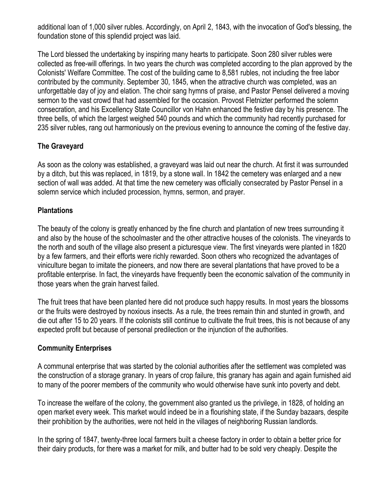additional loan of 1,000 silver rubles. Accordingly, on April 2, 1843, with the invocation of God's blessing, the foundation stone of this splendid project was laid.

The Lord blessed the undertaking by inspiring many hearts to participate. Soon 280 silver rubles were collected as free-will offerings. In two years the church was completed according to the plan approved by the Colonists' Welfare Committee. The cost of the building came to 8,581 rubles, not including the free labor contributed by the community. September 30, 1845, when the attractive church was completed, was an unforgettable day of joy and elation. The choir sang hymns of praise, and Pastor Pensel delivered a moving sermon to the vast crowd that had assembled for the occasion. Provost Fletnizter performed the solemn consecration, and his Excellency State Councillor von Hahn enhanced the festive day by his presence. The three bells, of which the largest weighed 540 pounds and which the community had recently purchased for 235 silver rubles, rang out harmoniously on the previous evening to announce the coming of the festive day.

### **The Graveyard**

As soon as the colony was established, a graveyard was laid out near the church. At first it was surrounded by a ditch, but this was replaced, in 1819, by a stone wall. In 1842 the cemetery was enlarged and a new section of wall was added. At that time the new cemetery was officially consecrated by Pastor Pensel in a solemn service which included procession, hymns, sermon, and prayer.

#### **Plantations**

The beauty of the colony is greatly enhanced by the fine church and plantation of new trees surrounding it and also by the house of the schoolmaster and the other attractive houses of the colonists. The vineyards to the north and south of the village also present a picturesque view. The first vineyards were planted in 1820 by a few farmers, and their efforts were richly rewarded. Soon others who recognized the advantages of viniculture began to imitate the pioneers, and now there are several plantations that have proved to be a profitable enterprise. In fact, the vineyards have frequently been the economic salvation of the community in those years when the grain harvest failed.

The fruit trees that have been planted here did not produce such happy results. In most years the blossoms or the fruits were destroyed by noxious insects. As a rule, the trees remain thin and stunted in growth, and die out after 15 to 20 years. If the colonists still continue to cultivate the fruit trees, this is not because of any expected profit but because of personal predilection or the injunction of the authorities.

#### **Community Enterprises**

A communal enterprise that was started by the colonial authorities after the settlement was completed was the construction of a storage granary. In years of crop failure, this granary has again and again furnished aid to many of the poorer members of the community who would otherwise have sunk into poverty and debt.

To increase the welfare of the colony, the government also granted us the privilege, in 1828, of holding an open market every week. This market would indeed be in a flourishing state, if the Sunday bazaars, despite their prohibition by the authorities, were not held in the villages of neighboring Russian landlords.

In the spring of 1847, twenty-three local farmers built a cheese factory in order to obtain a better price for their dairy products, for there was a market for milk, and butter had to be sold very cheaply. Despite the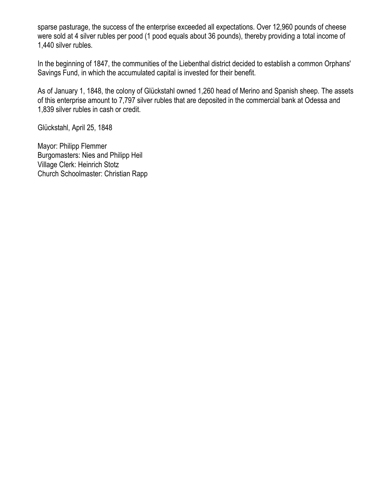sparse pasturage, the success of the enterprise exceeded all expectations. Over 12,960 pounds of cheese were sold at 4 silver rubles per pood (1 pood equals about 36 pounds), thereby providing a total income of 1,440 silver rubles.

In the beginning of 1847, the communities of the Liebenthal district decided to establish a common Orphans' Savings Fund, in which the accumulated capital is invested for their benefit.

As of January 1, 1848, the colony of Glückstahl owned 1,260 head of Merino and Spanish sheep. The assets of this enterprise amount to 7,797 silver rubles that are deposited in the commercial bank at Odessa and 1,839 silver rubles in cash or credit.

Glückstahl, April 25, 1848

Mayor: Philipp Flemmer Burgomasters: Nies and Philipp Heil Village Clerk: Heinrich Stotz Church Schoolmaster: Christian Rapp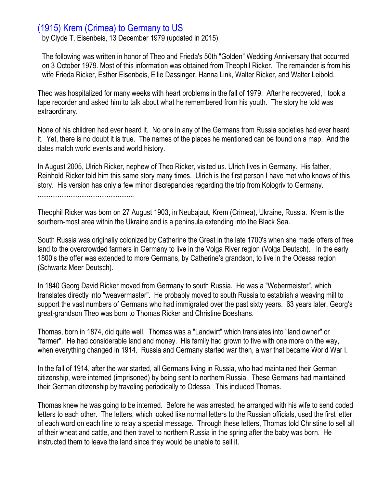## (1915) Krem (Crimea) to Germany to US

by Clyde T. Eisenbeis, 13 December 1979 (updated in 2015)

The following was written in honor of Theo and Frieda's 50th "Golden" Wedding Anniversary that occurred on 3 October 1979. Most of this information was obtained from Theophil Ricker. The remainder is from his wife Frieda Ricker, Esther Eisenbeis, Ellie Dassinger, Hanna Link, Walter Ricker, and Walter Leibold.

Theo was hospitalized for many weeks with heart problems in the fall of 1979. After he recovered, I took a tape recorder and asked him to talk about what he remembered from his youth. The story he told was extraordinary.

None of his children had ever heard it. No one in any of the Germans from Russia societies had ever heard it. Yet, there is no doubt it is true. The names of the places he mentioned can be found on a map. And the dates match world events and world history.

In August 2005, Ulrich Ricker, nephew of Theo Ricker, visited us. Ulrich lives in Germany. His father, Reinhold Ricker told him this same story many times. Ulrich is the first person I have met who knows of this story. His version has only a few minor discrepancies regarding the trip from Kologriv to Germany. .....................................................

Theophil Ricker was born on 27 August 1903, in Neubajaut, Krem (Crimea), Ukraine, Russia. Krem is the southern-most area within the Ukraine and is a peninsula extending into the Black Sea.

South Russia was originally colonized by Catherine the Great in the late 1700's when she made offers of free land to the overcrowded farmers in Germany to live in the Volga River region (Volga Deutsch). In the early 1800's the offer was extended to more Germans, by Catherine's grandson, to live in the Odessa region (Schwartz Meer Deutsch).

In 1840 Georg David Ricker moved from Germany to south Russia. He was a "Webermeister", which translates directly into "weavermaster". He probably moved to south Russia to establish a weaving mill to support the vast numbers of Germans who had immigrated over the past sixty years. 63 years later, Georg's great-grandson Theo was born to Thomas Ricker and Christine Boeshans.

Thomas, born in 1874, did quite well. Thomas was a "Landwirt" which translates into "land owner" or "farmer". He had considerable land and money. His family had grown to five with one more on the way, when everything changed in 1914. Russia and Germany started war then, a war that became World War I.

In the fall of 1914, after the war started, all Germans living in Russia, who had maintained their German citizenship, were interned (imprisoned) by being sent to northern Russia. These Germans had maintained their German citizenship by traveling periodically to Odessa. This included Thomas.

Thomas knew he was going to be interned. Before he was arrested, he arranged with his wife to send coded letters to each other. The letters, which looked like normal letters to the Russian officials, used the first letter of each word on each line to relay a special message. Through these letters, Thomas told Christine to sell all of their wheat and cattle, and then travel to northern Russia in the spring after the baby was born. He instructed them to leave the land since they would be unable to sell it.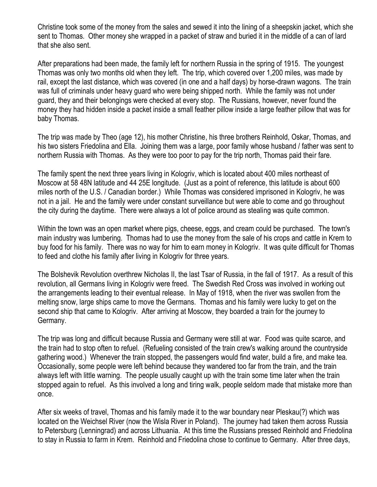Christine took some of the money from the sales and sewed it into the lining of a sheepskin jacket, which she sent to Thomas. Other money she wrapped in a packet of straw and buried it in the middle of a can of lard that she also sent.

After preparations had been made, the family left for northern Russia in the spring of 1915. The youngest Thomas was only two months old when they left. The trip, which covered over 1,200 miles, was made by rail, except the last distance, which was covered (in one and a half days) by horse-drawn wagons. The train was full of criminals under heavy guard who were being shipped north. While the family was not under guard, they and their belongings were checked at every stop. The Russians, however, never found the money they had hidden inside a packet inside a small feather pillow inside a large feather pillow that was for baby Thomas.

The trip was made by Theo (age 12), his mother Christine, his three brothers Reinhold, Oskar, Thomas, and his two sisters Friedolina and Ella. Joining them was a large, poor family whose husband / father was sent to northern Russia with Thomas. As they were too poor to pay for the trip north, Thomas paid their fare.

The family spent the next three years living in Kologriv, which is located about 400 miles northeast of Moscow at 58 48N latitude and 44 25E longitude. (Just as a point of reference, this latitude is about 600 miles north of the U.S. / Canadian border.) While Thomas was considered imprisoned in Kologriv, he was not in a jail. He and the family were under constant surveillance but were able to come and go throughout the city during the daytime. There were always a lot of police around as stealing was quite common.

Within the town was an open market where pigs, cheese, eggs, and cream could be purchased. The town's main industry was lumbering. Thomas had to use the money from the sale of his crops and cattle in Krem to buy food for his family. There was no way for him to earn money in Kologriv. It was quite difficult for Thomas to feed and clothe his family after living in Kologriv for three years.

The Bolshevik Revolution overthrew Nicholas II, the last Tsar of Russia, in the fall of 1917. As a result of this revolution, all Germans living in Kologriv were freed. The Swedish Red Cross was involved in working out the arrangements leading to their eventual release. In May of 1918, when the river was swollen from the melting snow, large ships came to move the Germans. Thomas and his family were lucky to get on the second ship that came to Kologriv. After arriving at Moscow, they boarded a train for the journey to Germany.

The trip was long and difficult because Russia and Germany were still at war. Food was quite scarce, and the train had to stop often to refuel. (Refueling consisted of the train crew's walking around the countryside gathering wood.) Whenever the train stopped, the passengers would find water, build a fire, and make tea. Occasionally, some people were left behind because they wandered too far from the train, and the train always left with little warning. The people usually caught up with the train some time later when the train stopped again to refuel. As this involved a long and tiring walk, people seldom made that mistake more than once.

After six weeks of travel, Thomas and his family made it to the war boundary near Pleskau(?) which was located on the Weichsel River (now the Wisla River in Poland). The journey had taken them across Russia to Petersburg (Lenningrad) and across Lithuania. At this time the Russians pressed Reinhold and Friedolina to stay in Russia to farm in Krem. Reinhold and Friedolina chose to continue to Germany. After three days,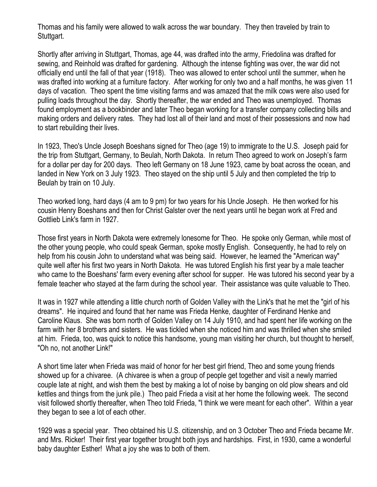Thomas and his family were allowed to walk across the war boundary. They then traveled by train to Stuttgart.

Shortly after arriving in Stuttgart, Thomas, age 44, was drafted into the army, Friedolina was drafted for sewing, and Reinhold was drafted for gardening. Although the intense fighting was over, the war did not officially end until the fall of that year (1918). Theo was allowed to enter school until the summer, when he was drafted into working at a furniture factory. After working for only two and a half months, he was given 11 days of vacation. Theo spent the time visiting farms and was amazed that the milk cows were also used for pulling loads throughout the day. Shortly thereafter, the war ended and Theo was unemployed. Thomas found employment as a bookbinder and later Theo began working for a transfer company collecting bills and making orders and delivery rates. They had lost all of their land and most of their possessions and now had to start rebuilding their lives.

In 1923, Theo's Uncle Joseph Boeshans signed for Theo (age 19) to immigrate to the U.S. Joseph paid for the trip from Stuttgart, Germany, to Beulah, North Dakota. In return Theo agreed to work on Joseph's farm for a dollar per day for 200 days. Theo left Germany on 18 June 1923, came by boat across the ocean, and landed in New York on 3 July 1923. Theo stayed on the ship until 5 July and then completed the trip to Beulah by train on 10 July.

Theo worked long, hard days (4 am to 9 pm) for two years for his Uncle Joseph. He then worked for his cousin Henry Boeshans and then for Christ Galster over the next years until he began work at Fred and Gottlieb Link's farm in 1927.

Those first years in North Dakota were extremely lonesome for Theo. He spoke only German, while most of the other young people, who could speak German, spoke mostly English. Consequently, he had to rely on help from his cousin John to understand what was being said. However, he learned the "American way" quite well after his first two years in North Dakota. He was tutored English his first year by a male teacher who came to the Boeshans' farm every evening after school for supper. He was tutored his second year by a female teacher who stayed at the farm during the school year. Their assistance was quite valuable to Theo.

It was in 1927 while attending a little church north of Golden Valley with the Link's that he met the "girl of his dreams". He inquired and found that her name was Frieda Henke, daughter of Ferdinand Henke and Caroline Klaus. She was born north of Golden Valley on 14 July 1910, and had spent her life working on the farm with her 8 brothers and sisters. He was tickled when she noticed him and was thrilled when she smiled at him. Frieda, too, was quick to notice this handsome, young man visiting her church, but thought to herself, "Oh no, not another Link!"

A short time later when Frieda was maid of honor for her best girl friend, Theo and some young friends showed up for a chivaree. (A chivaree is when a group of people get together and visit a newly married couple late at night, and wish them the best by making a lot of noise by banging on old plow shears and old kettles and things from the junk pile.) Theo paid Frieda a visit at her home the following week. The second visit followed shortly thereafter, when Theo told Frieda, "I think we were meant for each other". Within a year they began to see a lot of each other.

1929 was a special year. Theo obtained his U.S. citizenship, and on 3 October Theo and Frieda became Mr. and Mrs. Ricker! Their first year together brought both joys and hardships. First, in 1930, came a wonderful baby daughter Esther! What a joy she was to both of them.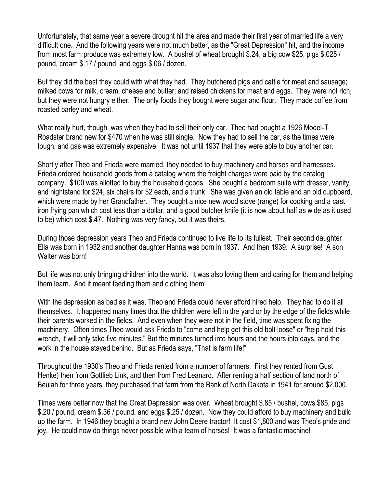Unfortunately, that same year a severe drought hit the area and made their first year of married life a very difficult one. And the following years were not much better, as the "Great Depression" hit, and the income from most farm produce was extremely low. A bushel of wheat brought \$.24, a big cow \$25, pigs \$.025 / pound, cream \$.17 / pound, and eggs \$.06 / dozen.

But they did the best they could with what they had. They butchered pigs and cattle for meat and sausage; milked cows for milk, cream, cheese and butter; and raised chickens for meat and eggs. They were not rich, but they were not hungry either. The only foods they bought were sugar and flour. They made coffee from roasted barley and wheat.

What really hurt, though, was when they had to sell their only car. Theo had bought a 1926 Model-T Roadster brand new for \$470 when he was still single. Now they had to sell the car, as the times were tough, and gas was extremely expensive. It was not until 1937 that they were able to buy another car.

Shortly after Theo and Frieda were married, they needed to buy machinery and horses and harnesses. Frieda ordered household goods from a catalog where the freight charges were paid by the catalog company. \$100 was allotted to buy the household goods. She bought a bedroom suite with dresser, vanity, and nightstand for \$24, six chairs for \$2 each, and a trunk. She was given an old table and an old cupboard, which were made by her Grandfather. They bought a nice new wood stove (range) for cooking and a cast iron frying pan which cost less than a dollar, and a good butcher knife (it is now about half as wide as it used to be) which cost \$.47. Nothing was very fancy, but it was theirs.

During those depression years Theo and Frieda continued to live life to its fullest. Their second daughter Ella was born in 1932 and another daughter Hanna was born in 1937. And then 1939. A surprise! A son Walter was born!

But life was not only bringing children into the world. It was also loving them and caring for them and helping them learn. And it meant feeding them and clothing them!

With the depression as bad as it was, Theo and Frieda could never afford hired help. They had to do it all themselves. It happened many times that the children were left in the yard or by the edge of the fields while their parents worked in the fields. And even when they were not in the field, time was spent fixing the machinery. Often times Theo would ask Frieda to "come and help get this old bolt loose" or "help hold this wrench, it will only take five minutes." But the minutes turned into hours and the hours into days, and the work in the house stayed behind. But as Frieda says, "That is farm life!"

Throughout the 1930's Theo and Frieda rented from a number of farmers. First they rented from Gust Henke) then from Gottlieb Link, and then from Fred Leanard. After renting a half section of land north of Beulah for three years, they purchased that farm from the Bank of North Dakota in 1941 for around \$2,000.

Times were better now that the Great Depression was over. Wheat brought \$.85 / bushel, cows \$85, pigs \$.20 / pound, cream \$.36 / pound, and eggs \$.25 / dozen. Now they could afford to buy machinery and build up the farm. In 1946 they bought a brand new John Deere tractor! It cost \$1,800 and was Theo's pride and joy. He could now do things never possible with a team of horses! It was a fantastic machine!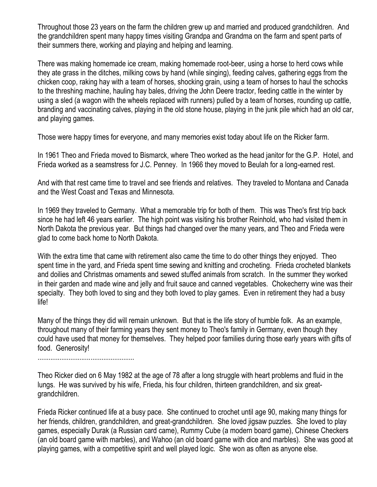Throughout those 23 years on the farm the children grew up and married and produced grandchildren. And the grandchildren spent many happy times visiting Grandpa and Grandma on the farm and spent parts of their summers there, working and playing and helping and learning.

There was making homemade ice cream, making homemade root-beer, using a horse to herd cows while they ate grass in the ditches, milking cows by hand (while singing), feeding calves, gathering eggs from the chicken coop, raking hay with a team of horses, shocking grain, using a team of horses to haul the schocks to the threshing machine, hauling hay bales, driving the John Deere tractor, feeding cattle in the winter by using a sled (a wagon with the wheels replaced with runners) pulled by a team of horses, rounding up cattle, branding and vaccinating calves, playing in the old stone house, playing in the junk pile which had an old car, and playing games.

Those were happy times for everyone, and many memories exist today about life on the Ricker farm.

In 1961 Theo and Frieda moved to Bismarck, where Theo worked as the head janitor for the G.P. Hotel, and Frieda worked as a seamstress for J.C. Penney. In 1966 they moved to Beulah for a long-earned rest.

And with that rest came time to travel and see friends and relatives. They traveled to Montana and Canada and the West Coast and Texas and Minnesota.

In 1969 they traveled to Germany. What a memorable trip for both of them. This was Theo's first trip back since he had left 46 years earlier. The high point was visiting his brother Reinhold, who had visited them in North Dakota the previous year. But things had changed over the many years, and Theo and Frieda were glad to come back home to North Dakota.

With the extra time that came with retirement also came the time to do other things they enjoyed. Theo spent time in the yard, and Frieda spent time sewing and knitting and crocheting. Frieda crocheted blankets and doilies and Christmas ornaments and sewed stuffed animals from scratch. In the summer they worked in their garden and made wine and jelly and fruit sauce and canned vegetables. Chokecherry wine was their specialty. They both loved to sing and they both loved to play games. Even in retirement they had a busy life!

Many of the things they did will remain unknown. But that is the life story of humble folk. As an example, throughout many of their farming years they sent money to Theo's family in Germany, even though they could have used that money for themselves. They helped poor families during those early years with gifts of food. Generosity!

.....................................................

Theo Ricker died on 6 May 1982 at the age of 78 after a long struggle with heart problems and fluid in the lungs. He was survived by his wife, Frieda, his four children, thirteen grandchildren, and six greatgrandchildren.

Frieda Ricker continued life at a busy pace. She continued to crochet until age 90, making many things for her friends, children, grandchildren, and great-grandchildren. She loved jigsaw puzzles. She loved to play games, especially Durak (a Russian card came), Rummy Cube (a modern board game), Chinese Checkers (an old board game with marbles), and Wahoo (an old board game with dice and marbles). She was good at playing games, with a competitive spirit and well played logic. She won as often as anyone else.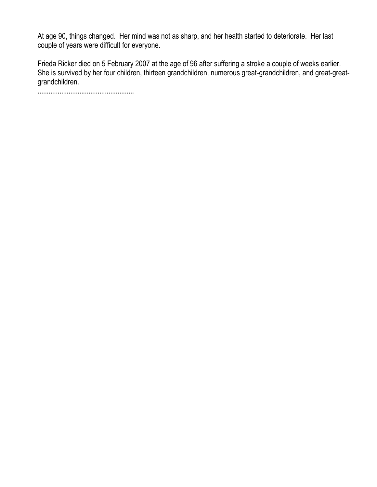At age 90, things changed. Her mind was not as sharp, and her health started to deteriorate. Her last couple of years were difficult for everyone.

Frieda Ricker died on 5 February 2007 at the age of 96 after suffering a stroke a couple of weeks earlier. She is survived by her four children, thirteen grandchildren, numerous great-grandchildren, and great-greatgrandchildren.

.....................................................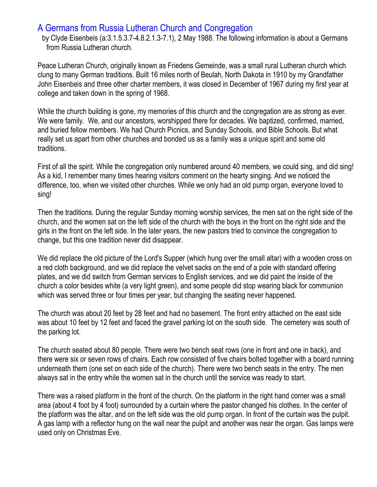# A Germans from Russia Lutheran Church and Congregation

by Clyde Eisenbeis (a:3.1.5.3.7-4.8.2.1.3-7.1), 2 May 1988. The following information is about a Germans from Russia Lutheran church.

Peace Lutheran Church, originally known as Friedens Gemeinde, was a small rural Lutheran church which clung to many German traditions. Built 16 miles north of Beulah, North Dakota in 1910 by my Grandfather John Eisenbeis and three other charter members, it was closed in December of 1967 during my first year at college and taken down in the spring of 1968.

While the church building is gone, my memories of this church and the congregation are as strong as ever. We were family. We, and our ancestors, worshipped there for decades. We baptized, confirmed, married, and buried fellow members. We had Church Picnics, and Sunday Schools, and Bible Schools. But what really set us apart from other churches and bonded us as a family was a unique spirit and some old traditions.

First of all the spirit. While the congregation only numbered around 40 members, we could sing, and did sing! As a kid, I remember many times hearing visitors comment on the hearty singing. And we noticed the difference, too, when we visited other churches. While we only had an old pump organ, everyone loved to sing!

Then the traditions. During the regular Sunday morning worship services, the men sat on the right side of the church, and the women sat on the left side of the church with the boys in the front on the right side and the girls in the front on the left side. In the later years, the new pastors tried to convince the congregation to change, but this one tradition never did disappear.

We did replace the old picture of the Lord's Supper (which hung over the small altar) with a wooden cross on a red cloth background, and we did replace the velvet sacks on the end of a pole with standard offering plates, and we did switch from German services to English services, and we did paint the inside of the church a color besides white (a very light green), and some people did stop wearing black for communion which was served three or four times per year, but changing the seating never happened.

The church was about 20 feet by 28 feet and had no basement. The front entry attached on the east side was about 10 feet by 12 feet and faced the gravel parking lot on the south side. The cemetery was south of the parking lot.

The church seated about 80 people. There were two bench seat rows (one in front and one in back), and there were six or seven rows of chairs. Each row consisted of five chairs bolted together with a board running underneath them (one set on each side of the church). There were two bench seats in the entry. The men always sat in the entry while the women sat in the church until the service was ready to start.

There was a raised platform in the front of the church. On the platform in the right hand corner was a small area (about 4 foot by 4 foot) surrounded by a curtain where the pastor changed his clothes. In the center of the platform was the altar, and on the left side was the old pump organ. In front of the curtain was the pulpit. A gas lamp with a reflector hung on the wall near the pulpit and another was near the organ. Gas lamps were used only on Christmas Eve.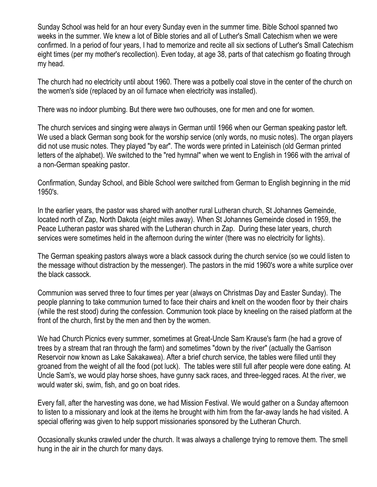Sunday School was held for an hour every Sunday even in the summer time. Bible School spanned two weeks in the summer. We knew a lot of Bible stories and all of Luther's Small Catechism when we were confirmed. In a period of four years, I had to memorize and recite all six sections of Luther's Small Catechism eight times (per my mother's recollection). Even today, at age 38, parts of that catechism go floating through my head.

The church had no electricity until about 1960. There was a potbelly coal stove in the center of the church on the women's side (replaced by an oil furnace when electricity was installed).

There was no indoor plumbing. But there were two outhouses, one for men and one for women.

The church services and singing were always in German until 1966 when our German speaking pastor left. We used a black German song book for the worship service (only words, no music notes). The organ players did not use music notes. They played "by ear". The words were printed in Lateinisch (old German printed letters of the alphabet). We switched to the "red hymnal" when we went to English in 1966 with the arrival of a non-German speaking pastor.

Confirmation, Sunday School, and Bible School were switched from German to English beginning in the mid 1950's.

In the earlier years, the pastor was shared with another rural Lutheran church, St Johannes Gemeinde, located north of Zap, North Dakota (eight miles away). When St Johannes Gemeinde closed in 1959, the Peace Lutheran pastor was shared with the Lutheran church in Zap. During these later years, church services were sometimes held in the afternoon during the winter (there was no electricity for lights).

The German speaking pastors always wore a black cassock during the church service (so we could listen to the message without distraction by the messenger). The pastors in the mid 1960's wore a white surplice over the black cassock.

Communion was served three to four times per year (always on Christmas Day and Easter Sunday). The people planning to take communion turned to face their chairs and knelt on the wooden floor by their chairs (while the rest stood) during the confession. Communion took place by kneeling on the raised platform at the front of the church, first by the men and then by the women.

We had Church Picnics every summer, sometimes at Great-Uncle Sam Krause's farm (he had a grove of trees by a stream that ran through the farm) and sometimes "down by the river" (actually the Garrison Reservoir now known as Lake Sakakawea). After a brief church service, the tables were filled until they groaned from the weight of all the food (pot luck). The tables were still full after people were done eating. At Uncle Sam's, we would play horse shoes, have gunny sack races, and three-legged races. At the river, we would water ski, swim, fish, and go on boat rides.

Every fall, after the harvesting was done, we had Mission Festival. We would gather on a Sunday afternoon to listen to a missionary and look at the items he brought with him from the far-away lands he had visited. A special offering was given to help support missionaries sponsored by the Lutheran Church.

Occasionally skunks crawled under the church. It was always a challenge trying to remove them. The smell hung in the air in the church for many days.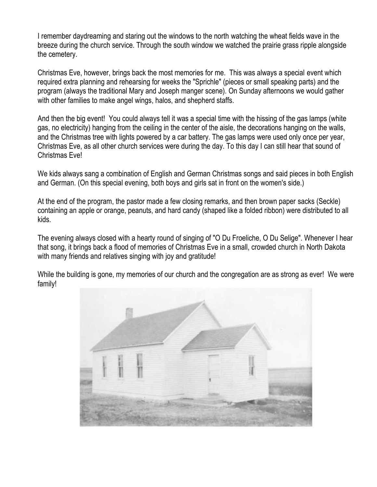I remember daydreaming and staring out the windows to the north watching the wheat fields wave in the breeze during the church service. Through the south window we watched the prairie grass ripple alongside the cemetery.

Christmas Eve, however, brings back the most memories for me. This was always a special event which required extra planning and rehearsing for weeks the "Sprichle" (pieces or small speaking parts) and the program (always the traditional Mary and Joseph manger scene). On Sunday afternoons we would gather with other families to make angel wings, halos, and shepherd staffs.

And then the big event! You could always tell it was a special time with the hissing of the gas lamps (white gas, no electricity) hanging from the ceiling in the center of the aisle, the decorations hanging on the walls, and the Christmas tree with lights powered by a car battery. The gas lamps were used only once per year, Christmas Eve, as all other church services were during the day. To this day I can still hear that sound of Christmas Eve!

We kids always sang a combination of English and German Christmas songs and said pieces in both English and German. (On this special evening, both boys and girls sat in front on the women's side.)

At the end of the program, the pastor made a few closing remarks, and then brown paper sacks (Seckle) containing an apple or orange, peanuts, and hard candy (shaped like a folded ribbon) were distributed to all kids.

The evening always closed with a hearty round of singing of "O Du Froeliche, O Du Selige". Whenever I hear that song, it brings back a flood of memories of Christmas Eve in a small, crowded church in North Dakota with many friends and relatives singing with joy and gratitude!

While the building is gone, my memories of our church and the congregation are as strong as ever! We were family!

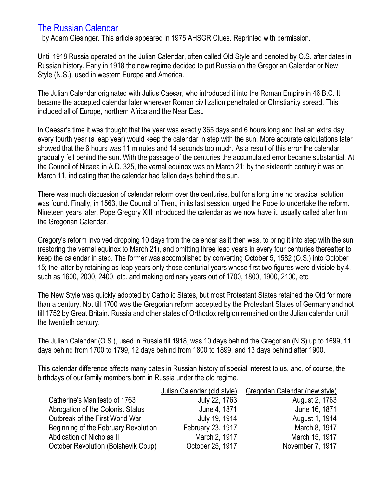# The Russian Calendar

by Adam Giesinger. This article appeared in 1975 AHSGR Clues. Reprinted with permission.

Until 1918 Russia operated on the Julian Calendar, often called Old Style and denoted by O.S. after dates in Russian history. Early in 1918 the new regime decided to put Russia on the Gregorian Calendar or New Style (N.S.), used in western Europe and America.

The Julian Calendar originated with Julius Caesar, who introduced it into the Roman Empire in 46 B.C. It became the accepted calendar later wherever Roman civilization penetrated or Christianity spread. This included all of Europe, northern Africa and the Near East.

In Caesar's time it was thought that the year was exactly 365 days and 6 hours long and that an extra day every fourth year (a leap year) would keep the calendar in step with the sun. More accurate calculations later showed that the 6 hours was 11 minutes and 14 seconds too much. As a result of this error the calendar gradually fell behind the sun. With the passage of the centuries the accumulated error became substantial. At the Council of Nicaea in A.D. 325, the vernal equinox was on March 21; by the sixteenth century it was on March 11, indicating that the calendar had fallen days behind the sun.

There was much discussion of calendar reform over the centuries, but for a long time no practical solution was found. Finally, in 1563, the Council of Trent, in its last session, urged the Pope to undertake the reform. Nineteen years later, Pope Gregory XIII introduced the calendar as we now have it, usually called after him the Gregorian Calendar.

Gregory's reform involved dropping 10 days from the calendar as it then was, to bring it into step with the sun (restoring the vernal equinox to March 21), and omitting three leap years in every four centuries thereafter to keep the calendar in step. The former was accomplished by converting October 5, 1582 (O.S.) into October 15; the latter by retaining as leap years only those centurial years whose first two figures were divisible by 4, such as 1600, 2000, 2400, etc. and making ordinary years out of 1700, 1800, 1900, 2100, etc.

The New Style was quickly adopted by Catholic States, but most Protestant States retained the Old for more than a century. Not till 1700 was the Gregorian reform accepted by the Protestant States of Germany and not till 1752 by Great Britain. Russia and other states of Orthodox religion remained on the Julian calendar until the twentieth century.

The Julian Calendar (O.S.), used in Russia till 1918, was 10 days behind the Gregorian (N.S) up to 1699, 11 days behind from 1700 to 1799, 12 days behind from 1800 to 1899, and 13 days behind after 1900.

This calendar difference affects many dates in Russian history of special interest to us, and, of course, the birthdays of our family members born in Russia under the old regime.

|                                      | Julian Calendar (old style) | Gregorian Calendar (new style) |
|--------------------------------------|-----------------------------|--------------------------------|
| Catherine's Manifesto of 1763        | July 22, 1763               | August 2, 1763                 |
| Abrogation of the Colonist Status    | June 4, 1871                | June 16, 1871                  |
| Outbreak of the First World War      | July 19, 1914               | August 1, 1914                 |
| Beginning of the February Revolution | February 23, 1917           | March 8, 1917                  |
| <b>Abdication of Nicholas II</b>     | March 2, 1917               | March 15, 1917                 |
| October Revolution (Bolshevik Coup)  | October 25, 1917            | November 7, 1917               |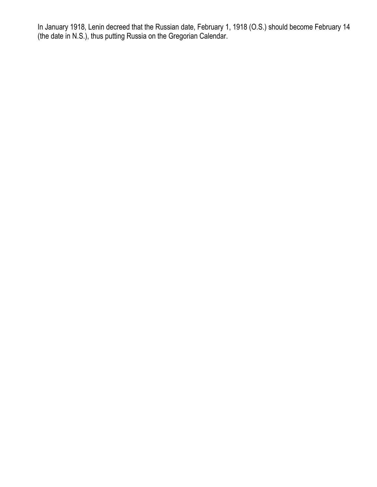In January 1918, Lenin decreed that the Russian date, February 1, 1918 (O.S.) should become February 14 (the date in N.S.), thus putting Russia on the Gregorian Calendar.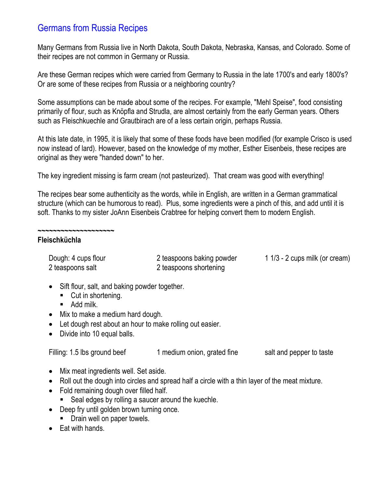# Germans from Russia Recipes

Many Germans from Russia live in North Dakota, South Dakota, Nebraska, Kansas, and Colorado. Some of their recipes are not common in Germany or Russia.

Are these German recipes which were carried from Germany to Russia in the late 1700's and early 1800's? Or are some of these recipes from Russia or a neighboring country?

Some assumptions can be made about some of the recipes. For example, "Mehl Speise", food consisting primarily of flour, such as Knöpfla and Strudla, are almost certainly from the early German years. Others such as Fleischkuechle and Grautbirach are of a less certain origin, perhaps Russia.

At this late date, in 1995, it is likely that some of these foods have been modified (for example Crisco is used now instead of lard). However, based on the knowledge of my mother, Esther Eisenbeis, these recipes are original as they were "handed down" to her.

The key ingredient missing is farm cream (not pasteurized). That cream was good with everything!

The recipes bear some authenticity as the words, while in English, are written in a German grammatical structure (which can be humorous to read). Plus, some ingredients were a pinch of this, and add until it is soft. Thanks to my sister JoAnn Eisenbeis Crabtree for helping convert them to modern English.

### **Fleischküchla**

**~~~~~~~~~~~~~~~~~~~~**

| Dough: 4 cups flour | 2 teaspoons baking powder | 1 $1/3$ - 2 cups milk (or cream) |
|---------------------|---------------------------|----------------------------------|
| 2 teaspoons salt    | 2 teaspoons shortening    |                                  |

- Sift flour, salt, and baking powder together.
	- Cut in shortening.
	- Add milk.
- Mix to make a medium hard dough.
- Let dough rest about an hour to make rolling out easier.
- Divide into 10 equal balls.

| Filling: 1.5 lbs ground beef | 1 medium onion, grated fine | salt and pepper to taste |
|------------------------------|-----------------------------|--------------------------|
|------------------------------|-----------------------------|--------------------------|

- Mix meat ingredients well. Set aside.
- Roll out the dough into circles and spread half a circle with a thin layer of the meat mixture.
- Fold remaining dough over filled half.
	- Seal edges by rolling a saucer around the kuechle.
- Deep fry until golden brown turning once.
	- Drain well on paper towels.
- Eat with hands.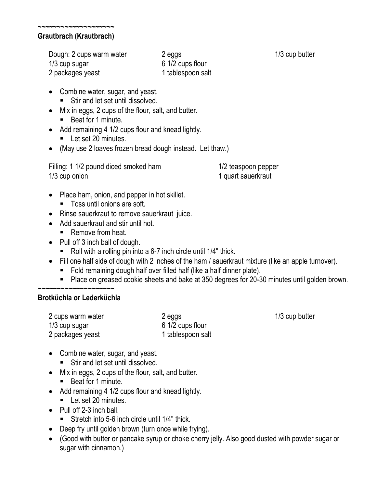#### **~~~~~~~~~~~~~~~~~~~~ Grautbrach (Krautbrach)**

Dough: 2 cups warm water 1/3 cup sugar 2 packages yeast 2 eggs 6 1/2 cups flour 1 tablespoon salt

- Combine water, sugar, and yeast. ■ Stir and let set until dissolved.
- Mix in eggs, 2 cups of the flour, salt, and butter. ■ Beat for 1 minute.
- Add remaining 4 1/2 cups flour and knead lightly. ■ Let set 20 minutes.
- (May use 2 loaves frozen bread dough instead. Let thaw.)

Filling: 1 1/2 pound diced smoked ham 1/3 cup onion

1/2 teaspoon pepper 1 quart sauerkraut

- Place ham, onion, and pepper in hot skillet.
	- Toss until onions are soft.
- Rinse sauerkraut to remove sauerkraut juice.
- Add sauerkraut and stir until hot.
	- Remove from heat.
- Pull off 3 inch ball of dough.
	- Roll with a rolling pin into a 6-7 inch circle until 1/4" thick.
- Fill one half side of dough with 2 inches of the ham / sauerkraut mixture (like an apple turnover).
	- Fold remaining dough half over filled half (like a half dinner plate).
	- Place on greased cookie sheets and bake at 350 degrees for 20-30 minutes until golden brown.

#### **~~~~~~~~~~~~~~~~~~~~ Brotküchla or Lederküchla**

| 2 cups warm water | 2 eggs            |
|-------------------|-------------------|
| 1/3 cup sugar     | 6 1/2 cups flour  |
| 2 packages yeast  | 1 tablespoon salt |

1/3 cup butter

- Combine water, sugar, and yeast.
	- Stir and let set until dissolved.
- Mix in eggs, 2 cups of the flour, salt, and butter.
	- Beat for 1 minute.
- Add remaining 4 1/2 cups flour and knead lightly.
	- Let set 20 minutes.
- Pull off 2-3 inch ball.
	- Stretch into 5-6 inch circle until 1/4" thick.
- Deep fry until golden brown (turn once while frying).
- (Good with butter or pancake syrup or choke cherry jelly. Also good dusted with powder sugar or sugar with cinnamon.)

1/3 cup butter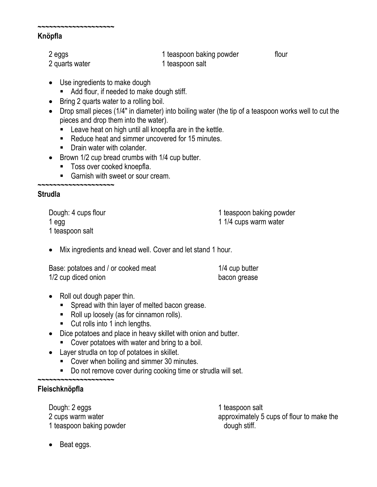## **Knöpfla**

**~~~~~~~~~~~~~~~~~~~~**

| 2 eggs         | 1 teaspoon baking powder | flour |
|----------------|--------------------------|-------|
| 2 quarts water | 1 teaspoon salt          |       |

- Use ingredients to make dough
	- Add flour, if needed to make dough stiff.
- Bring 2 quarts water to a rolling boil.
- Drop small pieces (1/4" in diameter) into boiling water (the tip of a teaspoon works well to cut the pieces and drop them into the water).
	- **EXECT** Leave heat on high until all knoepfla are in the kettle.
	- Reduce heat and simmer uncovered for 15 minutes.
	- Drain water with colander.
- Brown 1/2 cup bread crumbs with 1/4 cup butter.
	- Toss over cooked knoepfla.
	- Garnish with sweet or sour cream.

## **Strudla**

Dough: 4 cups flour 1 egg 1 teaspoon salt

**~~~~~~~~~~~~~~~~~~~~**

1 teaspoon baking powder 1 1/4 cups warm water

Mix ingredients and knead well. Cover and let stand 1 hour.

| Base: potatoes and / or cooked meat | 1/4 cup butter |
|-------------------------------------|----------------|
| 1/2 cup diced onion                 | bacon grease   |

- Roll out dough paper thin.
	- Spread with thin layer of melted bacon grease.
	- Roll up loosely (as for cinnamon rolls).
	- Cut rolls into 1 inch lengths.
- Dice potatoes and place in heavy skillet with onion and butter.
	- Cover potatoes with water and bring to a boil.
- Layer strudla on top of potatoes in skillet.
	- Cover when boiling and simmer 30 minutes.
	- Do not remove cover during cooking time or strudla will set.

#### **~~~~~~~~~~~~~~~~~~~~ Fleischknöpfla**

Dough: 2 eggs 2 cups warm water 1 teaspoon baking powder 1 teaspoon salt approximately 5 cups of flour to make the dough stiff.

• Beat eggs.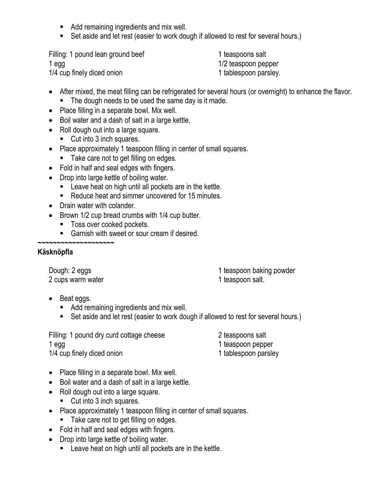- Add remaining ingredients and mix well.
- Set aside and let rest (easier to work dough if allowed to rest for several hours.)

Filling: 1 pound lean ground beef 1 egg 1/4 cup finely diced onion

1 teaspoons salt 1/2 teaspoon pepper 1 tablespoon parsley.

- After mixed, the meat filling can be refrigerated for several hours (or overnight) to enhance the flavor. ■ The dough needs to be used the same day is it made.
- Place filling in a separate bowl. Mix well.
- Boil water and a dash of salt in a large kettle.
- Roll dough out into a large square.
	- Cut into 3 inch squares.
- Place approximately 1 teaspoon filling in center of small squares.
	- Take care not to get filling on edges.
- Fold in half and seal edges with fingers.
- Drop into large kettle of boiling water.
	- Leave heat on high until all pockets are in the kettle.
	- Reduce heat and simmer uncovered for 15 minutes.
- Drain water with colander.
- Brown 1/2 cup bread crumbs with 1/4 cup butter.
	- Toss over cooked pockets.
	- Garnish with sweet or sour cream if desired.

#### **~~~~~~~~~~~~~~~~~~~~ Käsknöpfla**

Dough: 2 eggs 2 cups warm water 1 teaspoon baking powder

1 teaspoon salt.

- Beat eggs.
	- Add remaining ingredients and mix well.
	- Set aside and let rest (easier to work dough if allowed to rest for several hours.)

Filling: 1 pound dry curd cottage cheese 1 egg 1/4 cup finely diced onion

2 teaspoons salt

- 1 teaspoon pepper
- 1 tablespoon parsley
- Place filling in a separate bowl. Mix well.
- Boil water and a dash of salt in a large kettle.
- Roll dough out into a large square.
	- Cut into 3 inch squares.
- Place approximately 1 teaspoon filling in center of small squares.
	- Take care not to get filling on edges.
- Fold in half and seal edges with fingers.
- Drop into large kettle of boiling water.
	- Leave heat on high until all pockets are in the kettle.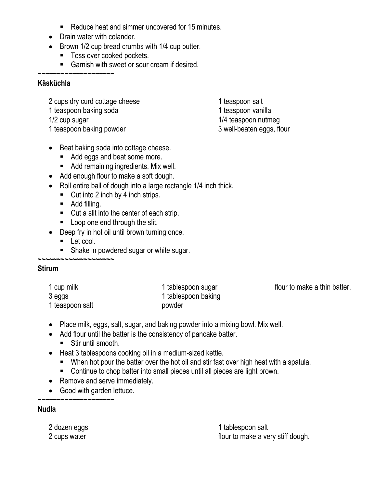- Reduce heat and simmer uncovered for 15 minutes.
- Drain water with colander.
- Brown 1/2 cup bread crumbs with 1/4 cup butter.
	- Toss over cooked pockets.
	- Garnish with sweet or sour cream if desired.

## **Käsküchla**

2 cups dry curd cottage cheese 1 teaspoon baking soda

1/2 cup sugar

**~~~~~~~~~~~~~~~~~~~~**

1 teaspoon baking powder

1 teaspoon salt 1 teaspoon vanilla 1/4 teaspoon nutmeg 3 well-beaten eggs, flour

- Beat baking soda into cottage cheese.
	- Add eggs and beat some more.
	- Add remaining ingredients. Mix well.
- Add enough flour to make a soft dough.
- Roll entire ball of dough into a large rectangle 1/4 inch thick.
	- Cut into 2 inch by 4 inch strips.
	- Add filling.
	- Cut a slit into the center of each strip.
	- Loop one end through the slit.
- Deep fry in hot oil until brown turning once.
	- Let cool.

**~~~~~~~~~~~~~~~~~~~~**

■ Shake in powdered sugar or white sugar.

# **Stirum**

| 1 cup milk      | 1 tablespoon sugar  |
|-----------------|---------------------|
| 3 eggs          | 1 tablespoon baking |
| 1 teaspoon salt | powder              |

flour to make a thin batter.

- Place milk, eggs, salt, sugar, and baking powder into a mixing bowl. Mix well.
- Add flour until the batter is the consistency of pancake batter.
	- Stir until smooth.
- Heat 3 tablespoons cooking oil in a medium-sized kettle.
	- When hot pour the batter over the hot oil and stir fast over high heat with a spatula.
	- Continue to chop batter into small pieces until all pieces are light brown.
- Remove and serve immediately.
- Good with garden lettuce.

**Nudla**

2 dozen eggs 2 cups water

**~~~~~~~~~~~~~~~~~~~~**

1 tablespoon salt flour to make a very stiff dough.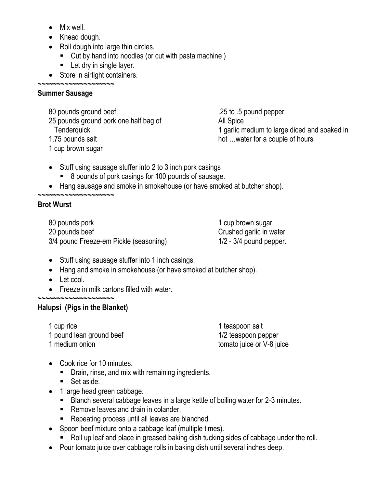- Mix well.
- Knead dough.

**~~~~~~~~~~~~~~~~~~~~**

**~~~~~~~~~~~~~~~~~~~~**

- Roll dough into large thin circles.
	- Cut by hand into noodles (or cut with pasta machine)
	- Let dry in single layer.
- Store in airtight containers.

## **Summer Sausage**

80 pounds ground beef 25 pounds ground pork one half bag of **Tenderquick** 1.75 pounds salt 1 cup brown sugar

.25 to .5 pound pepper All Spice 1 garlic medium to large diced and soaked in hot …water for a couple of hours

- Stuff using sausage stuffer into 2 to 3 inch pork casings
	- 8 pounds of pork casings for 100 pounds of sausage.
- Hang sausage and smoke in smokehouse (or have smoked at butcher shop).

# **Brot Wurst**

80 pounds pork 20 pounds beef 3/4 pound Freeze-em Pickle (seasoning)

1 cup brown sugar Crushed garlic in water 1/2 - 3/4 pound pepper.

- Stuff using sausage stuffer into 1 inch casings.
- Hang and smoke in smokehouse (or have smoked at butcher shop).
- Let cool.
- Freeze in milk cartons filled with water.

### **~~~~~~~~~~~~~~~~~~~~ Halupsi (Pigs in the Blanket)**

1 cup rice 1 pound lean ground beef 1 medium onion

1 teaspoon salt 1/2 teaspoon pepper tomato juice or V-8 juice

- Cook rice for 10 minutes.
	- **•** Drain, rinse, and mix with remaining ingredients.
	- Set aside.
- 1 large head green cabbage.
	- Blanch several cabbage leaves in a large kettle of boiling water for 2-3 minutes.
	- Remove leaves and drain in colander.
	- Repeating process until all leaves are blanched.
- Spoon beef mixture onto a cabbage leaf (multiple times).
	- Roll up leaf and place in greased baking dish tucking sides of cabbage under the roll.
- Pour tomato juice over cabbage rolls in baking dish until several inches deep.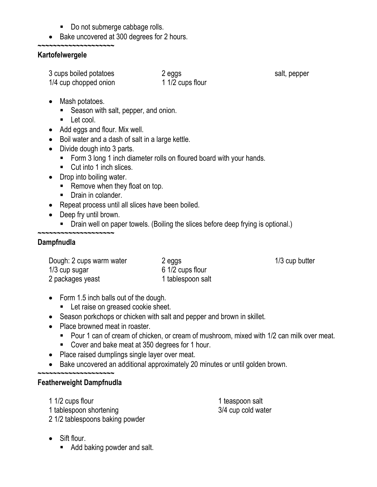- Do not submerge cabbage rolls.
- Bake uncovered at 300 degrees for 2 hours.

#### **~~~~~~~~~~~~~~~~~~~~ Kartofelwergele**

| 3 cups boiled potatoes<br>1/4 cup chopped onion | 2 eggs<br>1 1/2 cups flour | salt, pepper |
|-------------------------------------------------|----------------------------|--------------|
|-------------------------------------------------|----------------------------|--------------|

- Mash potatoes.
	- Season with salt, pepper, and onion.
	- Let cool.
- Add eggs and flour. Mix well.
- Boil water and a dash of salt in a large kettle.
- Divide dough into 3 parts.
	- Form 3 long 1 inch diameter rolls on floured board with your hands.
	- Cut into 1 inch slices.
- Drop into boiling water.
	- Remove when they float on top.
	- Drain in colander.
- Repeat process until all slices have been boiled.
- Deep fry until brown.
	- Drain well on paper towels. (Boiling the slices before deep frying is optional.)

#### **~~~~~~~~~~~~~~~~~~~~ Dampfnudla**

| Dough: 2 cups warm water | 2 eggs            |
|--------------------------|-------------------|
| $1/3$ cup sugar          | 6 1/2 cups flour  |
| 2 packages yeast         | 1 tablespoon salt |

1/3 cup butter

- Form 1.5 inch balls out of the dough.
	- Let raise on greased cookie sheet.
- Season porkchops or chicken with salt and pepper and brown in skillet.
- Place browned meat in roaster.
	- Pour 1 can of cream of chicken, or cream of mushroom, mixed with 1/2 can milk over meat.
	- Cover and bake meat at 350 degrees for 1 hour.
- Place raised dumplings single layer over meat.
- Bake uncovered an additional approximately 20 minutes or until golden brown.

## **~~~~~~~~~~~~~~~~~~~~**

# **Featherweight Dampfnudla**

1 1/2 cups flour 1 tablespoon shortening

2 1/2 tablespoons baking powder

1 teaspoon salt 3/4 cup cold water

- Sift flour.
	- Add baking powder and salt.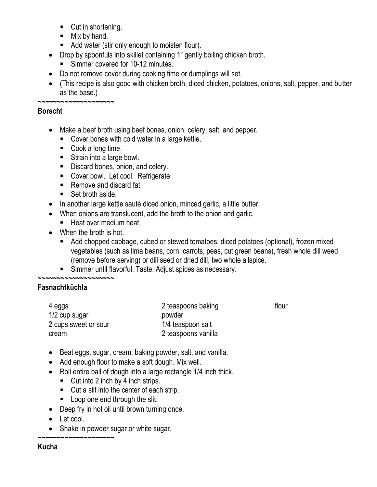- Cut in shortening.
- $\blacksquare$  Mix by hand.
- Add water (stir only enough to moisten flour).
- Drop by spoonfuls into skillet containing 1" gently boiling chicken broth.
	- Simmer covered for 10-12 minutes.
- Do not remove cover during cooking time or dumplings will set.
- (This recipe is also good with chicken broth, diced chicken, potatoes, onions, salt, pepper, and butter as the base.)

# **~~~~~~~~~~~~~~~~~~~~**

## **Borscht**

- Make a beef broth using beef bones, onion, celery, salt, and pepper.
	- Cover bones with cold water in a large kettle.
	- Cook a long time.
	- Strain into a large bowl.
	- Discard bones, onion, and celery.
	- Cover bowl. Let cool. Refrigerate.
	- Remove and discard fat.
	- Set broth aside.
- In another large kettle sauté diced onion, minced garlic, a little butter.
- When onions are translucent, add the broth to the onion and garlic.
	- Heat over medium heat.
- When the broth is hot.
	- Add chopped cabbage, cubed or stewed tomatoes, diced potatoes (optional), frozen mixed vegetables (such as lima beans, corn, carrots, peas, cut green beans), fresh whole dill weed (remove before serving) or dill seed or dried dill, two whole allspice.

flour

■ Simmer until flavorful. Taste. Adjust spices as necessary.

#### **~~~~~~~~~~~~~~~~~~~~ Fasnachtküchla**

| 4 eggs               | 2 teaspoons baking  |
|----------------------|---------------------|
| 1/2 cup sugar        | powder              |
| 2 cups sweet or sour | 1/4 teaspoon salt   |
| cream                | 2 teaspoons vanilla |

- Beat eggs, sugar, cream, baking powder, salt, and vanilla.
- Add enough flour to make a soft dough. Mix well.
- Roll entire ball of dough into a large rectangle 1/4 inch thick.
	- Cut into 2 inch by 4 inch strips.
	- Cut a slit into the center of each strip.
	- Loop one end through the slit.
- Deep fry in hot oil until brown turning once.
- Let cool.

**~~~~~~~~~~~~~~~~~~~~**

• Shake in powder sugar or white sugar.

**Kucha**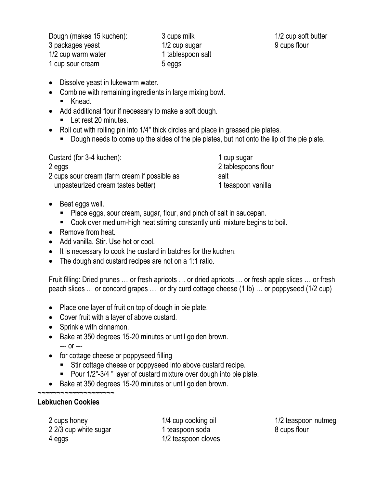Dough (makes 15 kuchen): 3 packages yeast 1/2 cup warm water 1 cup sour cream

3 cups milk 1/2 cup sugar 1 tablespoon salt 5 eggs

1/2 cup soft butter 9 cups flour

- Dissolve yeast in lukewarm water.
- Combine with remaining ingredients in large mixing bowl.
	- Knead.
- Add additional flour if necessary to make a soft dough. ■ Let rest 20 minutes.
- Roll out with rolling pin into 1/4" thick circles and place in greased pie plates.
	- Dough needs to come up the sides of the pie plates, but not onto the lip of the pie plate.

| Custard (for 3-4 kuchen):                    | 1 cup sugar         |
|----------------------------------------------|---------------------|
| 2 eggs                                       | 2 tablespoons flour |
| 2 cups sour cream (farm cream if possible as | salt                |
| unpasteurized cream tastes better)           | 1 teaspoon vanilla  |

- Beat eggs well.
	- Place eggs, sour cream, sugar, flour, and pinch of salt in saucepan.
	- Cook over medium-high heat stirring constantly until mixture begins to boil.
- Remove from heat.
- Add vanilla. Stir. Use hot or cool.
- It is necessary to cook the custard in batches for the kuchen.
- The dough and custard recipes are not on a 1:1 ratio.

Fruit filling: Dried prunes … or fresh apricots … or dried apricots … or fresh apple slices … or fresh peach slices … or concord grapes … or dry curd cottage cheese (1 lb) … or poppyseed (1/2 cup)

- Place one layer of fruit on top of dough in pie plate.
- Cover fruit with a layer of above custard.
- Sprinkle with cinnamon.

**~~~~~~~~~~~~~~~~~~~~**

- Bake at 350 degrees 15-20 minutes or until golden brown. --- or ---
- for cottage cheese or poppyseed filling
	- Stir cottage cheese or poppyseed into above custard recipe.
	- Pour 1/2"-3/4 " layer of custard mixture over dough into pie plate.
- Bake at 350 degrees 15-20 minutes or until golden brown.

# **Lebkuchen Cookies**

2 cups honey 2 2/3 cup white sugar 4 eggs

1/4 cup cooking oil 1 teaspoon soda 1/2 teaspoon cloves

1/2 teaspoon nutmeg 8 cups flour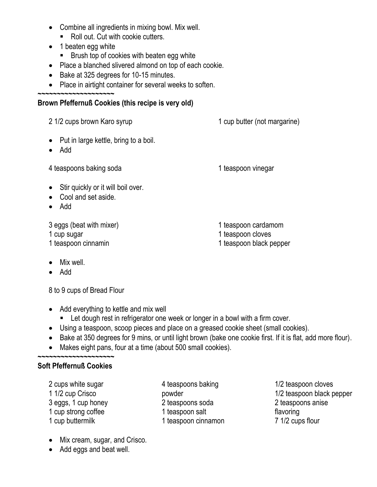- Combine all ingredients in mixing bowl. Mix well.
	- Roll out. Cut with cookie cutters.
- 1 beaten egg white
	- Brush top of cookies with beaten egg white
- Place a blanched slivered almond on top of each cookie.
- Bake at 325 degrees for 10-15 minutes.
- Place in airtight container for several weeks to soften.

#### **~~~~~~~~~~~~~~~~~~~~ Brown Pfeffernuß Cookies (this recipe is very old)**

- Put in large kettle, bring to a boil.
- Add

4 teaspoons baking soda 1 teaspoon vinegar

1 cup butter (not margarine)

- Stir quickly or it will boil over.
- Cool and set aside.
- Add

3 eggs (beat with mixer)

- 1 cup sugar
- 1 teaspoon cinnamin
- Mix well.
- Add

8 to 9 cups of Bread Flour

- Add everything to kettle and mix well
	- Let dough rest in refrigerator one week or longer in a bowl with a firm cover.
- Using a teaspoon, scoop pieces and place on a greased cookie sheet (small cookies).
- Bake at 350 degrees for 9 mins, or until light brown (bake one cookie first. If it is flat, add more flour).
- Makes eight pans, four at a time (about 500 small cookies).

#### **~~~~~~~~~~~~~~~~~~~~ Soft Pfeffernuß Cookies**

2 cups white sugar 1 1/2 cup Crisco 3 eggs, 1 cup honey 1 cup strong coffee 1 cup buttermilk

4 teaspoons baking powder 2 teaspoons soda 1 teaspoon salt 1 teaspoon cinnamon

1/2 teaspoon cloves 1/2 teaspoon black pepper 2 teaspoons anise flavoring 7 1/2 cups flour

- Mix cream, sugar, and Crisco.
- Add eggs and beat well.
- 1 teaspoon cardamom
- 1 teaspoon cloves
- 1 teaspoon black pepper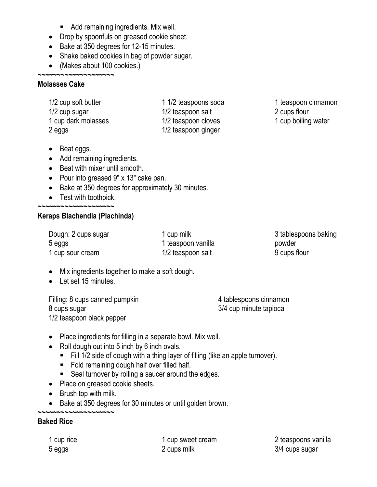- Add remaining ingredients. Mix well.
- Drop by spoonfuls on greased cookie sheet.
- Bake at 350 degrees for 12-15 minutes.
- Shake baked cookies in bag of powder sugar.
- (Makes about 100 cookies.)

#### **~~~~~~~~~~~~~~~~~~~~ Molasses Cake**

| 1/2 cup soft butter |  |
|---------------------|--|
| 1/2 cup sugar       |  |
| 1 cup dark molasses |  |
| 2 eggs              |  |

- 1 1/2 teaspoons soda 1/2 teaspoon salt 1/2 teaspoon cloves 1/2 teaspoon ginger
- 1 teaspoon cinnamon 2 cups flour
- 1 cup boiling water

- Beat eggs.
- Add remaining ingredients.
- Beat with mixer until smooth.
- Pour into greased 9" x 13" cake pan.
- Bake at 350 degrees for approximately 30 minutes.
- Test with toothpick. **~~~~~~~~~~~~~~~~~~~~**

# **Keraps Blachendla (Plachinda)**

Dough: 2 cups sugar 5 eggs 1 cup sour cream

1 cup milk 1 teaspoon vanilla 1/2 teaspoon salt

3 tablespoons baking powder 9 cups flour

- Mix ingredients together to make a soft dough.
- Let set 15 minutes.

Filling: 8 cups canned pumpkin 8 cups sugar 1/2 teaspoon black pepper

4 tablespoons cinnamon 3/4 cup minute tapioca

- Place ingredients for filling in a separate bowl. Mix well.
- Roll dough out into 5 inch by 6 inch ovals.
	- Fill 1/2 side of dough with a thing layer of filling (like an apple turnover).
	- Fold remaining dough half over filled half.
	- Seal turnover by rolling a saucer around the edges.
- Place on greased cookie sheets.
- Brush top with milk.
- Bake at 350 degrees for 30 minutes or until golden brown.

### **~~~~~~~~~~~~~~~~~~~~ Baked Rice**

1 cup rice 5 eggs

1 cup sweet cream 2 cups milk

2 teaspoons vanilla 3/4 cups sugar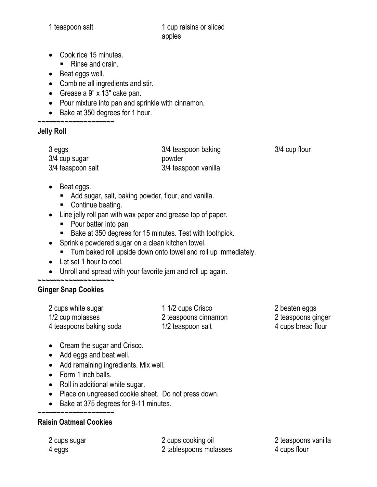- Cook rice 15 minutes.
	- Rinse and drain.
- Beat eggs well.
- Combine all ingredients and stir.
- Grease a 9" x 13" cake pan.
- Pour mixture into pan and sprinkle with cinnamon.
- Bake at 350 degrees for 1 hour.

#### **~~~~~~~~~~~~~~~~~~~~ Jelly Roll**

| 3 eggs            | 3/4 teaspoon baking  | 3/4 cup flour |
|-------------------|----------------------|---------------|
| 3/4 cup sugar     | powder               |               |
| 3/4 teaspoon salt | 3/4 teaspoon vanilla |               |

- Beat eggs.
	- Add sugar, salt, baking powder, flour, and vanilla.
	- Continue beating.
- Line jelly roll pan with wax paper and grease top of paper.
	- Pour batter into pan
	- Bake at 350 degrees for 15 minutes. Test with toothpick.
- Sprinkle powdered sugar on a clean kitchen towel.
	- Turn baked roll upside down onto towel and roll up immediately.
- Let set 1 hour to cool.
- Unroll and spread with your favorite jam and roll up again.

#### **~~~~~~~~~~~~~~~~~~~~ Ginger Snap Cookies**

| 2 cups white sugar      | 1 1/2 cups Crisco    | 2 beaten eggs      |
|-------------------------|----------------------|--------------------|
| 1/2 cup molasses        | 2 teaspoons cinnamon | 2 teaspoons ginger |
| 4 teaspoons baking soda | 1/2 teaspoon salt    | 4 cups bread flour |

- Cream the sugar and Crisco.
- Add eggs and beat well.
- Add remaining ingredients. Mix well.
- Form 1 inch balls.
- Roll in additional white sugar.
- Place on ungreased cookie sheet. Do not press down.
- Bake at 375 degrees for 9-11 minutes.

# **Raisin Oatmeal Cookies**

**~~~~~~~~~~~~~~~~~~~~**

2 cups sugar 4 eggs

2 cups cooking oil 2 tablespoons molasses

2 teaspoons vanilla 4 cups flour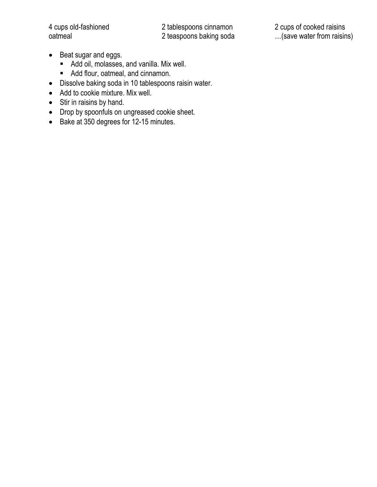4 cups old-fashioned oatmeal

2 tablespoons cinnamon 2 teaspoons baking soda

- Beat sugar and eggs.
	- Add oil, molasses, and vanilla. Mix well.
	- Add flour, oatmeal, and cinnamon.
- Dissolve baking soda in 10 tablespoons raisin water.
- Add to cookie mixture. Mix well.
- Stir in raisins by hand.
- Drop by spoonfuls on ungreased cookie sheet.
- Bake at 350 degrees for 12-15 minutes.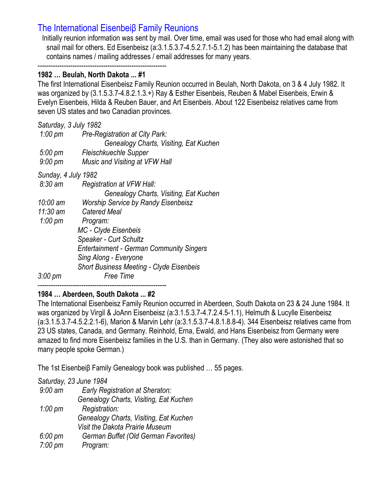# The International Eisenbeiβ Family Reunions

Initially reunion information was sent by mail. Over time, email was used for those who had email along with snail mail for others. Ed Eisenbeisz (a:3.1.5.3.7-4.5.2.7.1-5.1.2) has been maintaining the database that contains names / mailing addresses / email addresses for many years.

----------------------------------------------------------- **1982 … Beulah, North Dakota ... #1**

The first International Eisenbeisz Family Reunion occurred in Beulah, North Dakota, on 3 & 4 July 1982. It was organized by (3.1.5.3.7-4.8.2.1.3.+) Ray & Esther Eisenbeis, Reuben & Mabel Eisenbeis, Erwin & Evelyn Eisenbeis, Hilda & Reuben Bauer, and Art Eisenbeis. About 122 Eisenbeisz relatives came from seven US states and two Canadian provinces.

| Saturday, 3 July 1982 |                                                 |
|-----------------------|-------------------------------------------------|
| $1:00 \text{ pm}$     | Pre-Registration at City Park:                  |
|                       | Genealogy Charts, Visiting, Eat Kuchen          |
| $5:00 \text{ pm}$     | Fleischkuechle Supper                           |
| $9:00 \text{ pm}$     | Music and Visiting at VFW Hall                  |
| Sunday, 4 July 1982   |                                                 |
| $8:30 \text{ am}$     | Registration at VFW Hall:                       |
|                       | Genealogy Charts, Visiting, Eat Kuchen          |
| 10:00 am              | <b>Worship Service by Randy Eisenbeisz</b>      |
| $11:30$ am            | Catered Meal                                    |
| $1:00 \text{ pm}$     | Program:                                        |
|                       | MC - Clyde Eisenbeis                            |
|                       | <b>Speaker - Curt Schultz</b>                   |
|                       | <b>Entertainment - German Community Singers</b> |
|                       | Sing Along - Everyone                           |
|                       | <b>Short Business Meeting - Clyde Eisenbeis</b> |
| 3:00 pm               | Free Time                                       |

# **1984 … Aberdeen, South Dakota ... #2**

The International Eisenbeisz Family Reunion occurred in Aberdeen, South Dakota on 23 & 24 June 1984. It was organized by Virgil & JoAnn Eisenbeisz (a:3.1.5.3.7-4.7.2.4.5-1.1), Helmuth & Lucylle Eisenbeisz (a:3.1.5.3.7-4.5.2.2.1-6), Marion & Marvin Lehr (a:3.1.5.3.7-4.8.1.8.8-4). 344 Eisenbeisz relatives came from 23 US states, Canada, and Germany. Reinhold, Erna, Ewald, and Hans Eisenbeisz from Germany were amazed to find more Eisenbeisz families in the U.S. than in Germany. (They also were astonished that so many people spoke German.)

The 1st Eisenbeiβ Family Genealogy book was published … 55 pages.

# *Saturday, 23 June 1984*

| $9:00$ am         | <b>Early Registration at Sheraton:</b> |
|-------------------|----------------------------------------|
|                   | Genealogy Charts, Visiting, Eat Kuchen |
| $1:00 \text{ pm}$ | Registration:                          |
|                   | Genealogy Charts, Visiting, Eat Kuchen |
|                   | Visit the Dakota Prairie Museum        |
| $6:00 \text{ pm}$ | German Buffet (Old German Favorites)   |
| $7:00 \text{ pm}$ | Program:                               |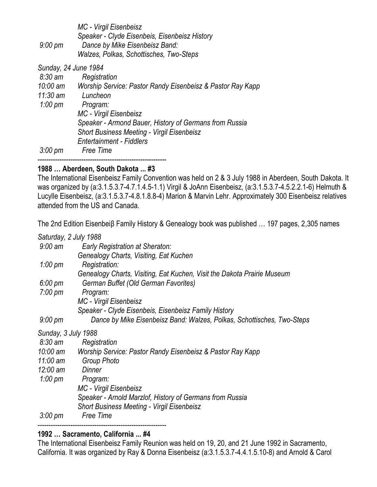*MC - Virgil Eisenbeisz Speaker - Clyde Eisenbeis, Eisenbeisz History 9:00 pm Dance by Mike Eisenbeisz Band: Walzes, Polkas, Schottisches, Two-Steps*

*Sunday, 24 June 1984*

| $8:30$ am                | Registration                                                                         |
|--------------------------|--------------------------------------------------------------------------------------|
| $10:00$ am<br>$11:30$ am | Worship Service: Pastor Randy Eisenbeisz & Pastor Ray Kapp<br>Luncheon               |
| 1:00 $\mu$ m             | Program:                                                                             |
|                          | MC - Virgil Eisenbeisz                                                               |
|                          | Speaker - Armond Bauer, History of Germans from Russia                               |
|                          | <b>Short Business Meeting - Virgil Eisenbeisz</b><br><b>Entertainment - Fiddlers</b> |
| $3:00 \text{ pm}$        | Free Time                                                                            |
|                          |                                                                                      |

## **1988 … Aberdeen, South Dakota ... #3**

The International Eisenbeisz Family Convention was held on 2 & 3 July 1988 in Aberdeen, South Dakota. It was organized by (a:3.1.5.3.7-4.7.1.4.5-1.1) Virgil & JoAnn Eisenbeisz, (a:3.1.5.3.7-4.5.2.2.1-6) Helmuth & Lucylle Eisenbeisz, (a:3.1.5.3.7-4.8.1.8.8-4) Marion & Marvin Lehr. Approximately 300 Eisenbeisz relatives attended from the US and Canada.

The 2nd Edition Eisenbeiβ Family History & Genealogy book was published … 197 pages, 2,305 names

|                     | Saturday, 2 July 1988                                                   |
|---------------------|-------------------------------------------------------------------------|
| $9:00$ am           | Early Registration at Sheraton:                                         |
|                     | Genealogy Charts, Visiting, Eat Kuchen                                  |
| $1:00 \text{ pm}$   | Registration:                                                           |
|                     | Genealogy Charts, Visiting, Eat Kuchen, Visit the Dakota Prairie Museum |
| $6:00 \text{ pm}$   | German Buffet (Old German Favorites)                                    |
| $7:00 \text{ pm}$   | Program:                                                                |
|                     | MC - Virgil Eisenbeisz                                                  |
|                     | Speaker - Clyde Eisenbeis, Eisenbeisz Family History                    |
| $9:00 \text{ pm}$   | Dance by Mike Eisenbeisz Band: Walzes, Polkas, Schottisches, Two-Steps  |
| Sunday, 3 July 1988 |                                                                         |
| $8:30 \text{ am}$   | Registration                                                            |
| 10:00 am            | Worship Service: Pastor Randy Eisenbeisz & Pastor Ray Kapp              |
| $11:00$ am          | <b>Group Photo</b>                                                      |
| $12:00 \text{ am}$  | Dinner                                                                  |
| $1:00 \text{ pm}$   | Program:                                                                |
|                     | MC - Virgil Eisenbeisz                                                  |
|                     | Speaker - Arnold Marzlof, History of Germans from Russia                |
|                     | <b>Short Business Meeting - Virgil Eisenbeisz</b>                       |
| $3:00 \text{ pm}$   | <b>Free Time</b><br>---------------------------                         |

## **1992 … Sacramento, California ... #4**

The International Eisenbeisz Family Reunion was held on 19, 20, and 21 June 1992 in Sacramento, California. It was organized by Ray & Donna Eisenbeisz (a:3.1.5.3.7-4.4.1.5.10-8) and Arnold & Carol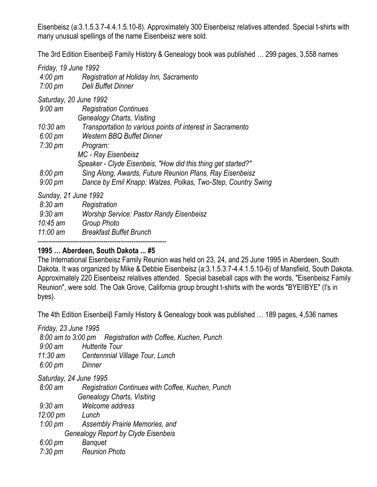Eisenbeisz (a:3.1.5.3.7-4.4.1.5.10-8). Approximately 300 Eisenbeisz relatives attended. Special t-shirts with many unusual spellings of the name Eisenbeisz were sold.

The 3rd Edition Eisenbeiβ Family History & Genealogy book was published … 299 pages, 3,558 names

|         | Friday, 19 June 1992 |                                         |
|---------|----------------------|-----------------------------------------|
| 4:00 pm |                      | Registration at Holiday Inn, Sacramento |
| 7:00 pm |                      | Deli Buffet Dinner                      |

*Saturday, 20 June 1992*

| $9:00$ am         | <b>Registration Continues</b>                                |
|-------------------|--------------------------------------------------------------|
|                   | <b>Genealogy Charts, Visiting</b>                            |
| $10:30$ am        | Transportation to various points of interest in Sacramento   |
| $6:00 \text{ pm}$ | <b>Western BBQ Buffet Dinner</b>                             |
| $7:30 \text{ pm}$ | Program:                                                     |
|                   | MC - Ray Eisenbeisz                                          |
|                   | Speaker - Clyde Eisenbeis, "How did this thing get started?" |
| $8:00 \text{ pm}$ | Sing Along, Awards, Future Reunion Plans, Ray Eisenbeisz     |
| $9:00 \text{ pm}$ | Dance by Emil Knapp: Walzes, Polkas, Two-Step, Country Swing |

*Sunday, 21 June 1992*

| $8:30 \text{ am}$ | Registration                                    |
|-------------------|-------------------------------------------------|
| $9:30$ am         | <b>Worship Service: Pastor Randy Eisenbeisz</b> |
| $10:45$ am        | Group Photo                                     |
| $11:00$ am        | <b>Breakfast Buffet Brunch</b>                  |
|                   |                                                 |

# **1995 … Aberdeen, South Dakota ... #5**

The International Eisenbeisz Family Reunion was held on 23, 24, and 25 June 1995 in Aberdeen, South Dakota. It was organized by Mike & Debbie Eisenbeisz (a:3.1.5.3.7-4.4.1.5.10-6) of Mansfield, South Dakota. Approximately 220 Eisenbeisz relatives attended. Special baseball caps with the words, "Eisenbeisz Family Reunion", were sold. The Oak Grove, California group brought t-shirts with the words "BYEIIBYE" (I's in byes).

The 4th Edition Eisenbeiβ Family History & Genealogy book was published … 189 pages, 4,536 names

*Friday, 23 June 1995*

*8:00 am to 3:00 pm Registration with Coffee, Kuchen, Punch*

- *9:00 am Hutterite Tour*
- *11:30 am Centennnial Village Tour, Lunch*

*6:00 pm Dinner*

*Saturday, 24 June 1995*

| $8:00 \text{ am}$ | Registration Continues with Coffee, Kuchen, Punch |
|-------------------|---------------------------------------------------|
|                   | Genealogy Charts, Visiting                        |
| .                 |                                                   |

*9:30 am Welcome address*

*12:00 pm Lunch*

*1:00 pm Assembly Prairie Memories, and* 

*Genealogy Report by Clyde Eisenbeis*

*6:00 pm Banquet*

*7:30 pm Reunion Photo*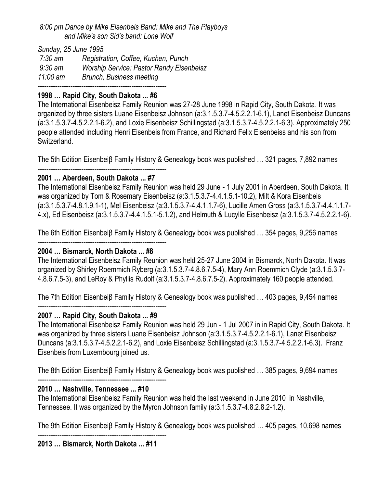## *8:00 pm Dance by Mike Eisenbeis Band: Mike and The Playboys and Mike's son Sid's band: Lone Wolf*

*Sunday, 25 June 1995*

| 7:30 am    | Registration, Coffee, Kuchen, Punch             |
|------------|-------------------------------------------------|
| 9:30 am    | <b>Worship Service: Pastor Randy Eisenbeisz</b> |
| $11:00$ am | Brunch, Business meeting                        |

-----------------------------------------------------------

# **1998 … Rapid City, South Dakota ... #6**

The International Eisenbeisz Family Reunion was 27-28 June 1998 in Rapid City, South Dakota. It was organized by three sisters Luane Eisenbeisz Johnson (a:3.1.5.3.7-4.5.2.2.1-6.1), Lanet Eisenbeisz Duncans (a:3.1.5.3.7-4.5.2.2.1-6.2), and Loxie Eisenbeisz Schillingstad (a:3.1.5.3.7-4.5.2.2.1-6.3). Approximately 250 people attended including Henri Eisenbeis from France, and Richard Felix Eisenbeiss and his son from Switzerland.

The 5th Edition Eisenbeiβ Family History & Genealogy book was published … 321 pages, 7,892 names

#### ----------------------------------------------------------- **2001 … Aberdeen, South Dakota ... #7**

The International Eisenbeisz Family Reunion was held 29 June - 1 July 2001 in Aberdeen, South Dakota. It was organized by Tom & Rosemary Eisenbeisz (a:3.1.5.3.7-4.4.1.5.1-10.2), Milt & Kora Eisenbeis (a:3.1.5.3.7-4.8.1.9.1-1), Mel Eisenbeisz (a:3.1.5.3.7-4.4.1.1.7-6), Lucille Amen Gross (a:3.1.5.3.7-4.4.1.1.7- 4.x), Ed Eisenbeisz (a:3.1.5.3.7-4.4.1.5.1-5.1.2), and Helmuth & Lucylle Eisenbeisz (a:3.1.5.3.7-4.5.2.2.1-6).

The 6th Edition Eisenbeiβ Family History & Genealogy book was published … 354 pages, 9,256 names

#### ----------------------------------------------------------- **2004 … Bismarck, North Dakota ... #8**

The International Eisenbeisz Family Reunion was held 25-27 June 2004 in Bismarck, North Dakota. It was organized by Shirley Roemmich Ryberg (a:3.1.5.3.7-4.8.6.7.5-4), Mary Ann Roemmich Clyde (a:3.1.5.3.7- 4.8.6.7.5-3), and LeRoy & Phyllis Rudolf (a:3.1.5.3.7-4.8.6.7.5-2). Approximately 160 people attended.

The 7th Edition Eisenbeiβ Family History & Genealogy book was published … 403 pages, 9,454 names -----------------------------------------------------------

# **2007 … Rapid City, South Dakota ... #9**

The International Eisenbeisz Family Reunion was held 29 Jun - 1 Jul 2007 in in Rapid City, South Dakota. It was organized by three sisters Luane Eisenbeisz Johnson (a:3.1.5.3.7-4.5.2.2.1-6.1), Lanet Eisenbeisz Duncans (a:3.1.5.3.7-4.5.2.2.1-6.2), and Loxie Eisenbeisz Schillingstad (a:3.1.5.3.7-4.5.2.2.1-6.3). Franz Eisenbeis from Luxembourg joined us.

The 8th Edition Eisenbeiβ Family History & Genealogy book was published … 385 pages, 9,694 names

#### ----------------------------------------------------------- **2010 … Nashville, Tennessee ... #10**

The International Eisenbeisz Family Reunion was held the last weekend in June 2010 in Nashville, Tennessee. It was organized by the Myron Johnson family (a:3.1.5.3.7-4.8.2.8.2-1.2).

The 9th Edition Eisenbeiβ Family History & Genealogy book was published … 405 pages, 10,698 names

----------------------------------------------------------- **2013 … Bismarck, North Dakota ... #11**